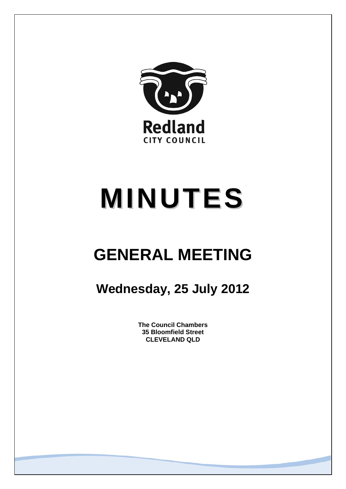

# **MINUTES**

## **GENERAL MEETING**

### **Wednesday, 25 July 2012**

**The Council Chambers 35 Bloomfield Street CLEVELAND QLD**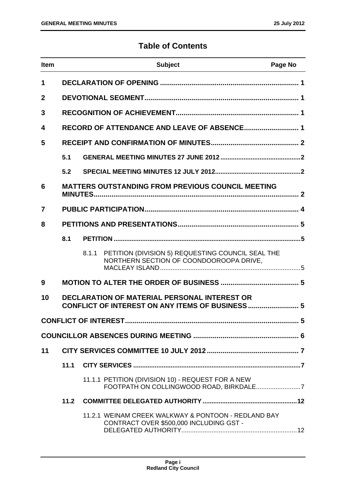#### **Table of Contents**

| <b>Item</b>    |      | <b>Subject</b>                                                                                        | Page No |
|----------------|------|-------------------------------------------------------------------------------------------------------|---------|
| 1              |      |                                                                                                       |         |
| $\mathbf 2$    |      |                                                                                                       |         |
| 3              |      |                                                                                                       |         |
| 4              |      | RECORD OF ATTENDANCE AND LEAVE OF ABSENCE 1                                                           |         |
| 5              |      |                                                                                                       |         |
|                | 5.1  |                                                                                                       |         |
|                | 5.2  |                                                                                                       |         |
| 6              |      | <b>MATTERS OUTSTANDING FROM PREVIOUS COUNCIL MEETING</b>                                              |         |
| $\overline{7}$ |      |                                                                                                       |         |
| 8              |      |                                                                                                       |         |
|                | 8.1  |                                                                                                       |         |
|                |      | PETITION (DIVISION 5) REQUESTING COUNCIL SEAL THE<br>8.1.1<br>NORTHERN SECTION OF COONDOOROOPA DRIVE, |         |
| 9              |      |                                                                                                       |         |
| 10             |      | <b>DECLARATION OF MATERIAL PERSONAL INTEREST OR</b>                                                   |         |
|                |      |                                                                                                       |         |
|                |      |                                                                                                       |         |
| 11             |      |                                                                                                       |         |
|                | 11.1 |                                                                                                       |         |
|                |      | 11.1.1 PETITION (DIVISION 10) - REQUEST FOR A NEW                                                     |         |
|                | 11.2 |                                                                                                       |         |
|                |      | 11.2.1 WEINAM CREEK WALKWAY & PONTOON - REDLAND BAY<br>CONTRACT OVER \$500,000 INCLUDING GST -        |         |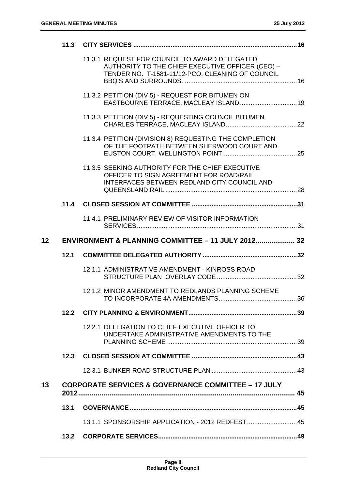|                 |      | 11.3.1 REQUEST FOR COUNCIL TO AWARD DELEGATED<br>AUTHORITY TO THE CHIEF EXECUTIVE OFFICER (CEO) -<br>TENDER NO. T-1581-11/12-PCO, CLEANING OF COUNCIL |  |
|-----------------|------|-------------------------------------------------------------------------------------------------------------------------------------------------------|--|
|                 |      | 11.3.2 PETITION (DIV 5) - REQUEST FOR BITUMEN ON<br>EASTBOURNE TERRACE, MACLEAY ISLAND 19                                                             |  |
|                 |      | 11.3.3 PETITION (DIV 5) - REQUESTING COUNCIL BITUMEN                                                                                                  |  |
|                 |      | 11.3.4 PETITION (DIVISION 8) REQUESTING THE COMPLETION<br>OF THE FOOTPATH BETWEEN SHERWOOD COURT AND                                                  |  |
|                 |      | 11.3.5 SEEKING AUTHORITY FOR THE CHIEF EXECUTIVE<br>OFFICER TO SIGN AGREEMENT FOR ROAD/RAIL<br>INTERFACES BETWEEN REDLAND CITY COUNCIL AND            |  |
|                 | 11.4 |                                                                                                                                                       |  |
|                 |      | 11.4.1 PRELIMINARY REVIEW OF VISITOR INFORMATION                                                                                                      |  |
| 12 <sub>2</sub> |      | ENVIRONMENT & PLANNING COMMITTEE - 11 JULY 2012 32                                                                                                    |  |
|                 |      |                                                                                                                                                       |  |
|                 | 12.1 |                                                                                                                                                       |  |
|                 |      | 12.1.1 ADMINISTRATIVE AMENDMENT - KINROSS ROAD                                                                                                        |  |
|                 |      | 12.1.2 MINOR AMENDMENT TO REDLANDS PLANNING SCHEME                                                                                                    |  |
|                 |      |                                                                                                                                                       |  |
|                 |      | 12.2.1 DELEGATION TO CHIEF EXECUTIVE OFFICER TO<br>UNDERTAKE ADMINISTRATIVE AMENDMENTS TO THE                                                         |  |
|                 |      |                                                                                                                                                       |  |
|                 |      |                                                                                                                                                       |  |
| 13              |      | <b>CORPORATE SERVICES &amp; GOVERNANCE COMMITTEE - 17 JULY</b>                                                                                        |  |
|                 | 13.1 |                                                                                                                                                       |  |
|                 |      | 13.1.1 SPONSORSHIP APPLICATION - 2012 REDFEST 45                                                                                                      |  |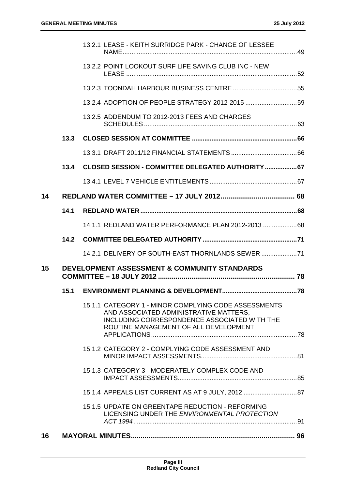|    |      | 13.2.1 LEASE - KEITH SURRIDGE PARK - CHANGE OF LESSEE                                                                                                                                   |  |
|----|------|-----------------------------------------------------------------------------------------------------------------------------------------------------------------------------------------|--|
|    |      | 13.2.2 POINT LOOKOUT SURF LIFE SAVING CLUB INC - NEW                                                                                                                                    |  |
|    |      |                                                                                                                                                                                         |  |
|    |      | 13.2.4 ADOPTION OF PEOPLE STRATEGY 2012-2015 59                                                                                                                                         |  |
|    |      | 13.2.5 ADDENDUM TO 2012-2013 FEES AND CHARGES                                                                                                                                           |  |
|    | 13.3 |                                                                                                                                                                                         |  |
|    |      |                                                                                                                                                                                         |  |
|    | 13.4 | CLOSED SESSION - COMMITTEE DELEGATED AUTHORITY  67                                                                                                                                      |  |
|    |      |                                                                                                                                                                                         |  |
| 14 |      |                                                                                                                                                                                         |  |
|    | 14.1 |                                                                                                                                                                                         |  |
|    |      | 14.1.1 REDLAND WATER PERFORMANCE PLAN 2012-2013 68                                                                                                                                      |  |
|    | 14.2 |                                                                                                                                                                                         |  |
|    |      | 14.2.1 DELIVERY OF SOUTH-EAST THORNLANDS SEWER  71                                                                                                                                      |  |
| 15 |      | <b>DEVELOPMENT ASSESSMENT &amp; COMMUNITY STANDARDS</b>                                                                                                                                 |  |
|    | 15.1 |                                                                                                                                                                                         |  |
|    |      | 15.1.1 CATEGORY 1 - MINOR COMPLYING CODE ASSESSMENTS<br>AND ASSOCIATED ADMINISTRATIVE MATTERS,<br>INCLUDING CORRESPONDENCE ASSOCIATED WITH THE<br>ROUTINE MANAGEMENT OF ALL DEVELOPMENT |  |
|    |      | 15.1.2 CATEGORY 2 - COMPLYING CODE ASSESSMENT AND                                                                                                                                       |  |
|    |      | 15.1.3 CATEGORY 3 - MODERATELY COMPLEX CODE AND                                                                                                                                         |  |
|    |      | 15.1.4 APPEALS LIST CURRENT AS AT 9 JULY, 2012 87                                                                                                                                       |  |
|    |      | 15.1.5 UPDATE ON GREENTAPE REDUCTION - REFORMING<br>LICENSING UNDER THE ENVIRONMENTAL PROTECTION                                                                                        |  |
| 16 |      |                                                                                                                                                                                         |  |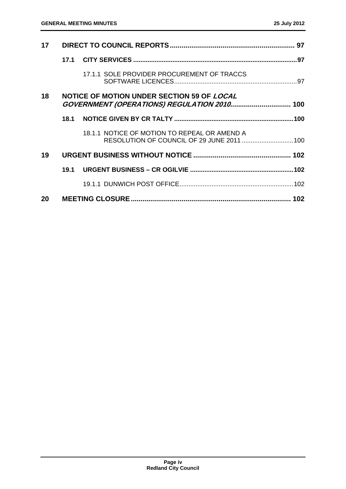| 17 |      |                                                                                                  |  |
|----|------|--------------------------------------------------------------------------------------------------|--|
|    | 17.1 |                                                                                                  |  |
|    |      | 17.1.1 SOLE PROVIDER PROCUREMENT OF TRACCS                                                       |  |
| 18 |      | NOTICE OF MOTION UNDER SECTION 59 OF <i>LOCAL</i><br>GOVERNMENT (OPERATIONS) REGULATION 2010 100 |  |
|    | 18.1 |                                                                                                  |  |
|    |      | 18.1.1 NOTICE OF MOTION TO REPEAL OR AMEND A<br>RESOLUTION OF COUNCIL OF 29 JUNE 2011  100       |  |
| 19 |      |                                                                                                  |  |
|    |      |                                                                                                  |  |
|    |      |                                                                                                  |  |
| 20 |      |                                                                                                  |  |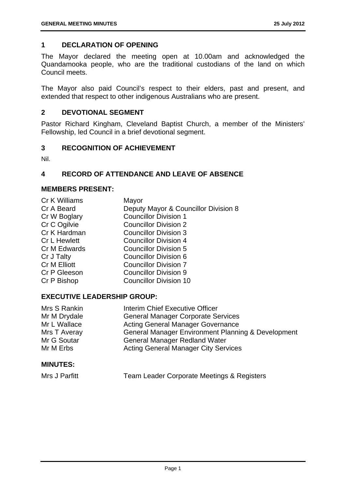#### **1 DECLARATION OF OPENING**

The Mayor declared the meeting open at 10.00am and acknowledged the Quandamooka people, who are the traditional custodians of the land on which Council meets.

The Mayor also paid Council's respect to their elders, past and present, and extended that respect to other indigenous Australians who are present.

#### **2 DEVOTIONAL SEGMENT**

Pastor Richard Kingham, Cleveland Baptist Church, a member of the Ministers' Fellowship, led Council in a brief devotional segment.

#### **3 RECOGNITION OF ACHIEVEMENT**

Nil.

#### **4 RECORD OF ATTENDANCE AND LEAVE OF ABSENCE**

#### **MEMBERS PRESENT:**

| <b>Cr K Williams</b> | Mayor                                |
|----------------------|--------------------------------------|
| Cr A Beard           | Deputy Mayor & Councillor Division 8 |
| Cr W Boglary         | <b>Councillor Division 1</b>         |
| Cr C Ogilvie         | <b>Councillor Division 2</b>         |
| Cr K Hardman         | <b>Councillor Division 3</b>         |
| Cr L Hewlett         | <b>Councillor Division 4</b>         |
| Cr M Edwards         | <b>Councillor Division 5</b>         |
| Cr J Talty           | <b>Councillor Division 6</b>         |
| Cr M Elliott         | <b>Councillor Division 7</b>         |
| Cr P Gleeson         | <b>Councillor Division 9</b>         |
| Cr P Bishop          | <b>Councillor Division 10</b>        |
|                      |                                      |

#### **EXECUTIVE LEADERSHIP GROUP:**

| Mrs S Rankin | Interim Chief Executive Officer                               |
|--------------|---------------------------------------------------------------|
| Mr M Drydale | <b>General Manager Corporate Services</b>                     |
| Mr L Wallace | <b>Acting General Manager Governance</b>                      |
| Mrs T Averay | <b>General Manager Environment Planning &amp; Development</b> |
| Mr G Soutar  | <b>General Manager Redland Water</b>                          |
| Mr M Erbs    | <b>Acting General Manager City Services</b>                   |

#### **MINUTES:**

| Mrs J Parfitt | Team Leader Corporate Meetings & Registers |
|---------------|--------------------------------------------|
|---------------|--------------------------------------------|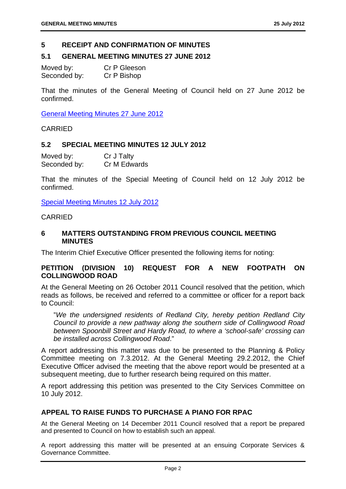#### **5 RECEIPT AND CONFIRMATION OF MINUTES**

#### **5.1 GENERAL MEETING MINUTES 27 JUNE 2012**

Moved by: Cr P Gleeson Seconded by: Cr P Bishop

That the minutes of the General Meeting of Council held on 27 June 2012 be confirmed.

General Meeting Minutes 27 June 2012

CARRIED

#### **5.2 SPECIAL MEETING MINUTES 12 JULY 2012**

| Moved by:    | Cr J Talty   |
|--------------|--------------|
| Seconded by: | Cr M Edwards |

That the minutes of the Special Meeting of Council held on 12 July 2012 be confirmed.

Special Meeting Minutes 12 July 2012

#### CARRIED

#### **6 MATTERS OUTSTANDING FROM PREVIOUS COUNCIL MEETING MINUTES**

The Interim Chief Executive Officer presented the following items for noting:

#### **PETITION (DIVISION 10) REQUEST FOR A NEW FOOTPATH ON COLLINGWOOD ROAD**

At the General Meeting on 26 October 2011 Council resolved that the petition, which reads as follows, be received and referred to a committee or officer for a report back to Council:

"*We the undersigned residents of Redland City, hereby petition Redland City Council to provide a new pathway along the southern side of Collingwood Road between Spoonbill Street and Hardy Road, to where a 'school-safe' crossing can be installed across Collingwood Road*."

A report addressing this matter was due to be presented to the Planning & Policy Committee meeting on 7.3.2012. At the General Meeting 29.2.2012, the Chief Executive Officer advised the meeting that the above report would be presented at a subsequent meeting, due to further research being required on this matter.

A report addressing this petition was presented to the City Services Committee on 10 July 2012.

#### **APPEAL TO RAISE FUNDS TO PURCHASE A PIANO FOR RPAC**

At the General Meeting on 14 December 2011 Council resolved that a report be prepared and presented to Council on how to establish such an appeal.

A report addressing this matter will be presented at an ensuing Corporate Services & Governance Committee.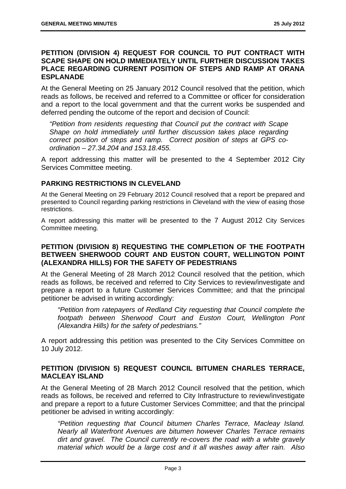#### **PETITION (DIVISION 4) REQUEST FOR COUNCIL TO PUT CONTRACT WITH SCAPE SHAPE ON HOLD IMMEDIATELY UNTIL FURTHER DISCUSSION TAKES PLACE REGARDING CURRENT POSITION OF STEPS AND RAMP AT ORANA ESPLANADE**

At the General Meeting on 25 January 2012 Council resolved that the petition, which reads as follows, be received and referred to a Committee or officer for consideration and a report to the local government and that the current works be suspended and deferred pending the outcome of the report and decision of Council:

*"Petition from residents requesting that Council put the contract with Scape Shape on hold immediately until further discussion takes place regarding correct position of steps and ramp. Correct position of steps at GPS coordination – 27.34.204 and 153.18.455.* 

A report addressing this matter will be presented to the 4 September 2012 City Services Committee meeting.

#### **PARKING RESTRICTIONS IN CLEVELAND**

At the General Meeting on 29 February 2012 Council resolved that a report be prepared and presented to Council regarding parking restrictions in Cleveland with the view of easing those restrictions.

A report addressing this matter will be presented to the 7 August 2012 City Services Committee meeting.

#### **PETITION (DIVISION 8) REQUESTING THE COMPLETION OF THE FOOTPATH BETWEEN SHERWOOD COURT AND EUSTON COURT, WELLINGTON POINT (ALEXANDRA HILLS) FOR THE SAFETY OF PEDESTRIANS**

At the General Meeting of 28 March 2012 Council resolved that the petition, which reads as follows, be received and referred to City Services to review/investigate and prepare a report to a future Customer Services Committee; and that the principal petitioner be advised in writing accordingly:

*"Petition from ratepayers of Redland City requesting that Council complete the footpath between Sherwood Court and Euston Court, Wellington Pont (Alexandra Hills) for the safety of pedestrians."* 

A report addressing this petition was presented to the City Services Committee on 10 July 2012.

#### **PETITION (DIVISION 5) REQUEST COUNCIL BITUMEN CHARLES TERRACE, MACLEAY ISLAND**

At the General Meeting of 28 March 2012 Council resolved that the petition, which reads as follows, be received and referred to City Infrastructure to review/investigate and prepare a report to a future Customer Services Committee; and that the principal petitioner be advised in writing accordingly:

*"Petition requesting that Council bitumen Charles Terrace, Macleay Island. Nearly all Waterfront Avenues are bitumen however Charles Terrace remains dirt and gravel. The Council currently re-covers the road with a white gravely material which would be a large cost and it all washes away after rain. Also*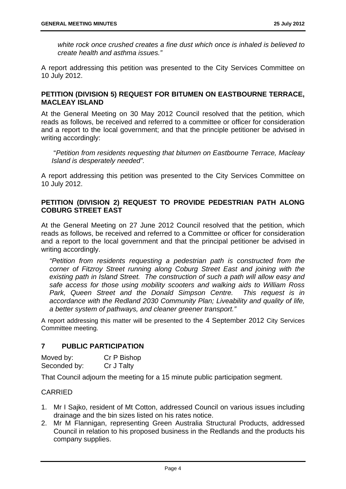*white rock once crushed creates a fine dust which once is inhaled is believed to create health and asthma issues."* 

A report addressing this petition was presented to the City Services Committee on 10 July 2012.

#### **PETITION (DIVISION 5) REQUEST FOR BITUMEN ON EASTBOURNE TERRACE, MACLEAY ISLAND**

At the General Meeting on 30 May 2012 Council resolved that the petition, which reads as follows, be received and referred to a committee or officer for consideration and a report to the local government; and that the principle petitioner be advised in writing accordingly:

 "*Petition from residents requesting that bitumen on Eastbourne Terrace, Macleay Island is desperately needed".* 

A report addressing this petition was presented to the City Services Committee on 10 July 2012.

#### **PETITION (DIVISION 2) REQUEST TO PROVIDE PEDESTRIAN PATH ALONG COBURG STREET EAST**

At the General Meeting on 27 June 2012 Council resolved that the petition, which reads as follows, be received and referred to a Committee or officer for consideration and a report to the local government and that the principal petitioner be advised in writing accordingly.

*"Petition from residents requesting a pedestrian path is constructed from the corner of Fitzroy Street running along Coburg Street East and joining with the existing path in Island Street. The construction of such a path will allow easy and safe access for those using mobility scooters and walking aids to William Ross Park, Queen Street and the Donald Simpson Centre. This request is in accordance with the Redland 2030 Community Plan; Liveability and quality of life, a better system of pathways, and cleaner greener transport."* 

A report addressing this matter will be presented to the 4 September 2012 City Services Committee meeting.

#### **7 PUBLIC PARTICIPATION**

| Moved by:    | Cr P Bishop |
|--------------|-------------|
| Seconded by: | Cr J Talty  |

That Council adjourn the meeting for a 15 minute public participation segment.

#### CARRIED

- 1. Mr I Sajko, resident of Mt Cotton, addressed Council on various issues including drainage and the bin sizes listed on his rates notice.
- 2. Mr M Flannigan, representing Green Australia Structural Products, addressed Council in relation to his proposed business in the Redlands and the products his company supplies.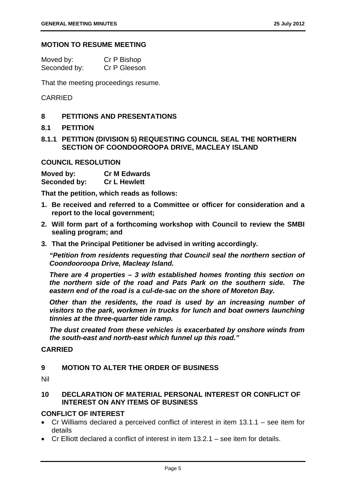#### **MOTION TO RESUME MEETING**

| Moved by:    | Cr P Bishop  |
|--------------|--------------|
| Seconded by: | Cr P Gleeson |

That the meeting proceedings resume.

#### CARRIED

#### **8 PETITIONS AND PRESENTATIONS**

#### **8.1 PETITION**

#### **8.1.1 PETITION (DIVISION 5) REQUESTING COUNCIL SEAL THE NORTHERN SECTION OF COONDOOROOPA DRIVE, MACLEAY ISLAND**

#### **COUNCIL RESOLUTION**

| Moved by:    | <b>Cr M Edwards</b> |
|--------------|---------------------|
| Seconded by: | <b>Cr L Hewlett</b> |

**That the petition, which reads as follows:** 

- **1. Be received and referred to a Committee or officer for consideration and a report to the local government;**
- **2. Will form part of a forthcoming workshop with Council to review the SMBI sealing program; and**
- **3. That the Principal Petitioner be advised in writing accordingly.**

*"Petition from residents requesting that Council seal the northern section of Coondooroopa Drive, Macleay Island.* 

*There are 4 properties – 3 with established homes fronting this section on the northern side of the road and Pats Park on the southern side. The eastern end of the road is a cul-de-sac on the shore of Moreton Bay.* 

*Other than the residents, the road is used by an increasing number of visitors to the park, workmen in trucks for lunch and boat owners launching tinnies at the three-quarter tide ramp.* 

*The dust created from these vehicles is exacerbated by onshore winds from the south-east and north-east which funnel up this road."* 

#### **CARRIED**

#### **9 MOTION TO ALTER THE ORDER OF BUSINESS**

Nil

#### **10 DECLARATION OF MATERIAL PERSONAL INTEREST OR CONFLICT OF INTEREST ON ANY ITEMS OF BUSINESS**

#### **CONFLICT OF INTEREST**

- Cr Williams declared a perceived conflict of interest in item 13.1.1 see item for details
- Cr Elliott declared a conflict of interest in item 13.2.1 see item for details.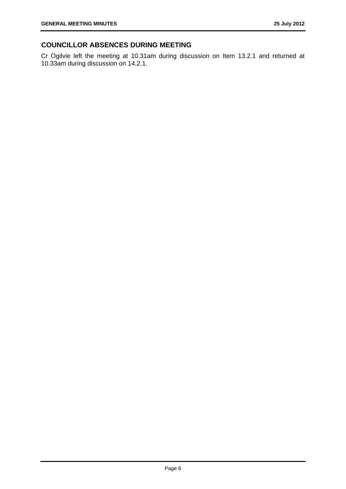#### **COUNCILLOR ABSENCES DURING MEETING**

Cr Ogilvie left the meeting at 10.31am during discussion on Item 13.2.1 and returned at 10.33am during discussion on 14.2.1.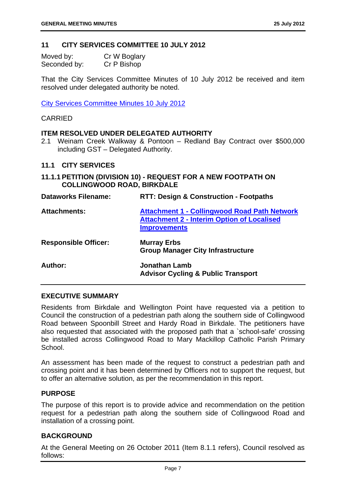#### **11 CITY SERVICES COMMITTEE 10 JULY 2012**

| Moved by:    | Cr W Boglary |
|--------------|--------------|
| Seconded by: | Cr P Bishop  |

That the City Services Committee Minutes of 10 July 2012 be received and item resolved under delegated authority be noted.

City Services Committee Minutes 10 July 2012

#### CARRIED

#### **ITEM RESOLVED UNDER DELEGATED AUTHORITY**

2.1 Weinam Creek Walkway & Pontoon – Redland Bay Contract over \$500,000 including GST – Delegated Authority.

#### **11.1 CITY SERVICES**

**11.1.1 PETITION (DIVISION 10) - REQUEST FOR A NEW FOOTPATH ON COLLINGWOOD ROAD, BIRKDALE** 

| <b>Dataworks Filename:</b>  | <b>RTT: Design &amp; Construction - Footpaths</b>                                                                               |
|-----------------------------|---------------------------------------------------------------------------------------------------------------------------------|
| <b>Attachments:</b>         | <b>Attachment 1 - Collingwood Road Path Network</b><br><b>Attachment 2 - Interim Option of Localised</b><br><b>Improvements</b> |
| <b>Responsible Officer:</b> | <b>Murray Erbs</b><br><b>Group Manager City Infrastructure</b>                                                                  |
| Author:                     | <b>Jonathan Lamb</b><br><b>Advisor Cycling &amp; Public Transport</b>                                                           |

#### **EXECUTIVE SUMMARY**

Residents from Birkdale and Wellington Point have requested via a petition to Council the construction of a pedestrian path along the southern side of Collingwood Road between Spoonbill Street and Hardy Road in Birkdale. The petitioners have also requested that associated with the proposed path that a `school-safe' crossing be installed across Collingwood Road to Mary Mackillop Catholic Parish Primary School.

An assessment has been made of the request to construct a pedestrian path and crossing point and it has been determined by Officers not to support the request, but to offer an alternative solution, as per the recommendation in this report.

#### **PURPOSE**

The purpose of this report is to provide advice and recommendation on the petition request for a pedestrian path along the southern side of Collingwood Road and installation of a crossing point.

#### **BACKGROUND**

At the General Meeting on 26 October 2011 (Item 8.1.1 refers), Council resolved as follows: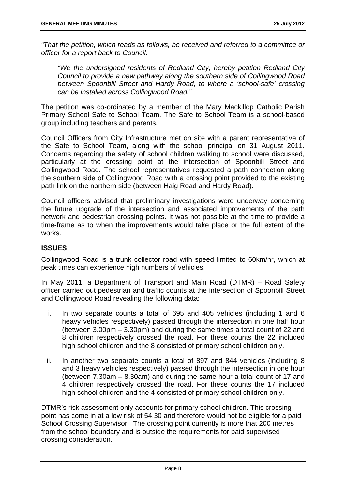*"That the petition, which reads as follows, be received and referred to a committee or officer for a report back to Council.* 

*"We the undersigned residents of Redland City, hereby petition Redland City Council to provide a new pathway along the southern side of Collingwood Road between Spoonbill Street and Hardy Road, to where a 'school-safe' crossing can be installed across Collingwood Road."* 

The petition was co-ordinated by a member of the Mary Mackillop Catholic Parish Primary School Safe to School Team. The Safe to School Team is a school-based group including teachers and parents.

Council Officers from City Infrastructure met on site with a parent representative of the Safe to School Team, along with the school principal on 31 August 2011. Concerns regarding the safety of school children walking to school were discussed, particularly at the crossing point at the intersection of Spoonbill Street and Collingwood Road. The school representatives requested a path connection along the southern side of Collingwood Road with a crossing point provided to the existing path link on the northern side (between Haig Road and Hardy Road).

Council officers advised that preliminary investigations were underway concerning the future upgrade of the intersection and associated improvements of the path network and pedestrian crossing points. It was not possible at the time to provide a time-frame as to when the improvements would take place or the full extent of the works.

#### **ISSUES**

Collingwood Road is a trunk collector road with speed limited to 60km/hr, which at peak times can experience high numbers of vehicles.

In May 2011, a Department of Transport and Main Road (DTMR) – Road Safety officer carried out pedestrian and traffic counts at the intersection of Spoonbill Street and Collingwood Road revealing the following data:

- i. In two separate counts a total of 695 and 405 vehicles (including 1 and 6 heavy vehicles respectively) passed through the intersection in one half hour (between 3.00pm – 3.30pm) and during the same times a total count of 22 and 8 children respectively crossed the road. For these counts the 22 included high school children and the 8 consisted of primary school children only.
- ii. In another two separate counts a total of 897 and 844 vehicles (including 8 and 3 heavy vehicles respectively) passed through the intersection in one hour (between 7.30am – 8.30am) and during the same hour a total count of 17 and 4 children respectively crossed the road. For these counts the 17 included high school children and the 4 consisted of primary school children only.

DTMR's risk assessment only accounts for primary school children. This crossing point has come in at a low risk of 54.30 and therefore would not be eligible for a paid School Crossing Supervisor. The crossing point currently is more that 200 metres from the school boundary and is outside the requirements for paid supervised crossing consideration.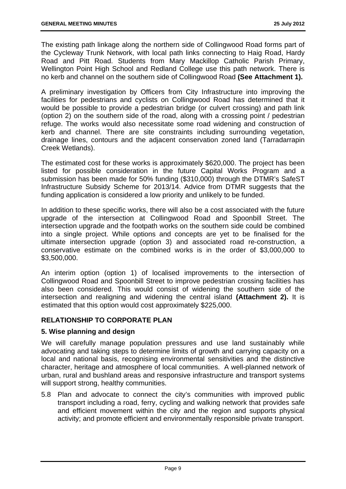The existing path linkage along the northern side of Collingwood Road forms part of the Cycleway Trunk Network, with local path links connecting to Haig Road, Hardy Road and Pitt Road. Students from Mary Mackillop Catholic Parish Primary, Wellington Point High School and Redland College use this path network. There is no kerb and channel on the southern side of Collingwood Road **(See Attachment 1).**

A preliminary investigation by Officers from City Infrastructure into improving the facilities for pedestrians and cyclists on Collingwood Road has determined that it would be possible to provide a pedestrian bridge (or culvert crossing) and path link (option 2) on the southern side of the road, along with a crossing point / pedestrian refuge. The works would also necessitate some road widening and construction of kerb and channel. There are site constraints including surrounding vegetation, drainage lines, contours and the adjacent conservation zoned land (Tarradarrapin Creek Wetlands).

The estimated cost for these works is approximately \$620,000. The project has been listed for possible consideration in the future Capital Works Program and a submission has been made for 50% funding (\$310,000) through the DTMR's SafeST Infrastructure Subsidy Scheme for 2013/14. Advice from DTMR suggests that the funding application is considered a low priority and unlikely to be funded.

In addition to these specific works, there will also be a cost associated with the future upgrade of the intersection at Collingwood Road and Spoonbill Street. The intersection upgrade and the footpath works on the southern side could be combined into a single project. While options and concepts are yet to be finalised for the ultimate intersection upgrade (option 3) and associated road re-construction, a conservative estimate on the combined works is in the order of \$3,000,000 to \$3,500,000.

An interim option (option 1) of localised improvements to the intersection of Collingwood Road and Spoonbill Street to improve pedestrian crossing facilities has also been considered. This would consist of widening the southern side of the intersection and realigning and widening the central island **(Attachment 2).** It is estimated that this option would cost approximately \$225,000.

#### **RELATIONSHIP TO CORPORATE PLAN**

#### **5. Wise planning and design**

We will carefully manage population pressures and use land sustainably while advocating and taking steps to determine limits of growth and carrying capacity on a local and national basis, recognising environmental sensitivities and the distinctive character, heritage and atmosphere of local communities. A well-planned network of urban, rural and bushland areas and responsive infrastructure and transport systems will support strong, healthy communities.

5.8 Plan and advocate to connect the city's communities with improved public transport including a road, ferry, cycling and walking network that provides safe and efficient movement within the city and the region and supports physical activity; and promote efficient and environmentally responsible private transport.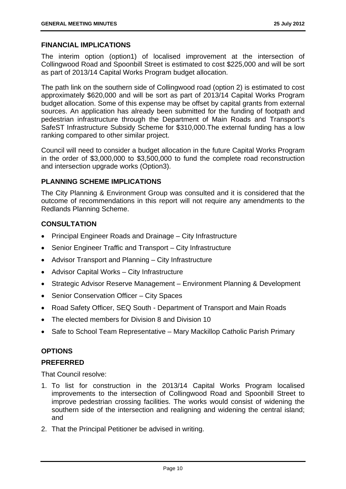#### **FINANCIAL IMPLICATIONS**

The interim option (option1) of localised improvement at the intersection of Collingwood Road and Spoonbill Street is estimated to cost \$225,000 and will be sort as part of 2013/14 Capital Works Program budget allocation.

The path link on the southern side of Collingwood road (option 2) is estimated to cost approximately \$620,000 and will be sort as part of 2013/14 Capital Works Program budget allocation. Some of this expense may be offset by capital grants from external sources. An application has already been submitted for the funding of footpath and pedestrian infrastructure through the Department of Main Roads and Transport's SafeST Infrastructure Subsidy Scheme for \$310,000.The external funding has a low ranking compared to other similar project.

Council will need to consider a budget allocation in the future Capital Works Program in the order of \$3,000,000 to \$3,500,000 to fund the complete road reconstruction and intersection upgrade works (Option3).

#### **PLANNING SCHEME IMPLICATIONS**

The City Planning & Environment Group was consulted and it is considered that the outcome of recommendations in this report will not require any amendments to the Redlands Planning Scheme.

#### **CONSULTATION**

- Principal Engineer Roads and Drainage City Infrastructure
- Senior Engineer Traffic and Transport City Infrastructure
- Advisor Transport and Planning City Infrastructure
- Advisor Capital Works City Infrastructure
- Strategic Advisor Reserve Management Environment Planning & Development
- Senior Conservation Officer City Spaces
- Road Safety Officer, SEQ South Department of Transport and Main Roads
- The elected members for Division 8 and Division 10
- Safe to School Team Representative Mary Mackillop Catholic Parish Primary

#### **OPTIONS**

#### **PREFERRED**

That Council resolve:

- 1. To list for construction in the 2013/14 Capital Works Program localised improvements to the intersection of Collingwood Road and Spoonbill Street to improve pedestrian crossing facilities. The works would consist of widening the southern side of the intersection and realigning and widening the central island; and
- 2. That the Principal Petitioner be advised in writing.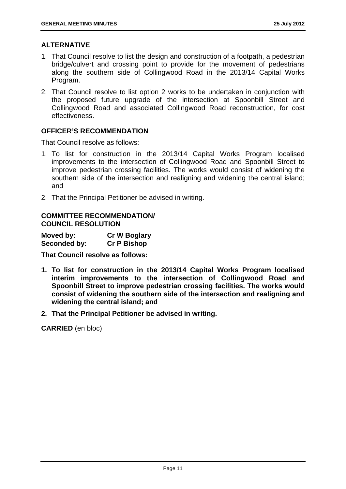#### **ALTERNATIVE**

- 1. That Council resolve to list the design and construction of a footpath, a pedestrian bridge/culvert and crossing point to provide for the movement of pedestrians along the southern side of Collingwood Road in the 2013/14 Capital Works Program.
- 2. That Council resolve to list option 2 works to be undertaken in conjunction with the proposed future upgrade of the intersection at Spoonbill Street and Collingwood Road and associated Collingwood Road reconstruction, for cost effectiveness.

#### **OFFICER'S RECOMMENDATION**

That Council resolve as follows:

- 1. To list for construction in the 2013/14 Capital Works Program localised improvements to the intersection of Collingwood Road and Spoonbill Street to improve pedestrian crossing facilities. The works would consist of widening the southern side of the intersection and realigning and widening the central island; and
- 2. That the Principal Petitioner be advised in writing.

#### **COMMITTEE RECOMMENDATION/ COUNCIL RESOLUTION**

**Moved by: Cr W Boglary Seconded by: Cr P Bishop** 

**That Council resolve as follows:** 

- **1. To list for construction in the 2013/14 Capital Works Program localised interim improvements to the intersection of Collingwood Road and Spoonbill Street to improve pedestrian crossing facilities. The works would consist of widening the southern side of the intersection and realigning and widening the central island; and**
- **2. That the Principal Petitioner be advised in writing.**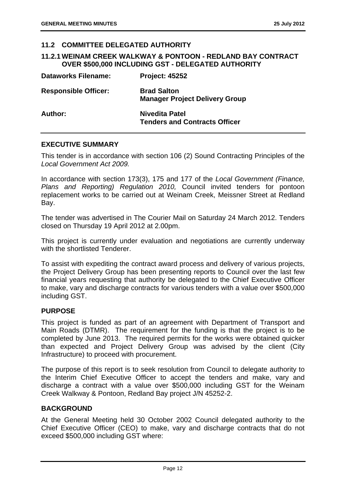#### **11.2 COMMITTEE DELEGATED AUTHORITY**

#### **11.2.1 WEINAM CREEK WALKWAY & PONTOON - REDLAND BAY CONTRACT OVER \$500,000 INCLUDING GST - DELEGATED AUTHORITY**

| <b>Dataworks Filename:</b>  | <b>Project: 45252</b>                                       |
|-----------------------------|-------------------------------------------------------------|
| <b>Responsible Officer:</b> | <b>Brad Salton</b><br><b>Manager Project Delivery Group</b> |
| Author:                     | Nivedita Patel<br><b>Tenders and Contracts Officer</b>      |

#### **EXECUTIVE SUMMARY**

This tender is in accordance with section 106 (2) Sound Contracting Principles of the *Local Government Act 2009.* 

In accordance with section 173(3), 175 and 177 of the *Local Government (Finance, Plans and Reporting) Regulation 2010,* Council invited tenders for pontoon replacement works to be carried out at Weinam Creek, Meissner Street at Redland Bay.

The tender was advertised in The Courier Mail on Saturday 24 March 2012. Tenders closed on Thursday 19 April 2012 at 2.00pm.

This project is currently under evaluation and negotiations are currently underway with the shortlisted Tenderer.

To assist with expediting the contract award process and delivery of various projects, the Project Delivery Group has been presenting reports to Council over the last few financial years requesting that authority be delegated to the Chief Executive Officer to make, vary and discharge contracts for various tenders with a value over \$500,000 including GST.

#### **PURPOSE**

This project is funded as part of an agreement with Department of Transport and Main Roads (DTMR). The requirement for the funding is that the project is to be completed by June 2013. The required permits for the works were obtained quicker than expected and Project Delivery Group was advised by the client (City Infrastructure) to proceed with procurement.

The purpose of this report is to seek resolution from Council to delegate authority to the Interim Chief Executive Officer to accept the tenders and make, vary and discharge a contract with a value over \$500,000 including GST for the Weinam Creek Walkway & Pontoon, Redland Bay project J/N 45252-2.

#### **BACKGROUND**

At the General Meeting held 30 October 2002 Council delegated authority to the Chief Executive Officer (CEO) to make, vary and discharge contracts that do not exceed \$500,000 including GST where: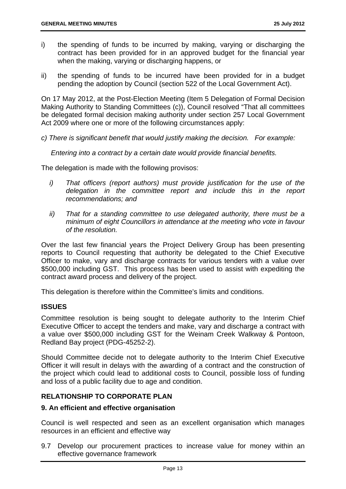- i) the spending of funds to be incurred by making, varying or discharging the contract has been provided for in an approved budget for the financial year when the making, varying or discharging happens, or
- ii) the spending of funds to be incurred have been provided for in a budget pending the adoption by Council (section 522 of the Local Government Act).

On 17 May 2012, at the Post-Election Meeting (Item 5 Delegation of Formal Decision Making Authority to Standing Committees (c)), Council resolved "That all committees be delegated formal decision making authority under section 257 Local Government Act 2009 where one or more of the following circumstances apply:

*c) There is significant benefit that would justify making the decision. For example:* 

*Entering into a contract by a certain date would provide financial benefits.* 

The delegation is made with the following provisos:

- *i*) That officers (report authors) must provide justification for the use of the *delegation in the committee report and include this in the report recommendations; and*
- *ii) That for a standing committee to use delegated authority, there must be a minimum of eight Councillors in attendance at the meeting who vote in favour of the resolution.*

Over the last few financial years the Project Delivery Group has been presenting reports to Council requesting that authority be delegated to the Chief Executive Officer to make, vary and discharge contracts for various tenders with a value over \$500,000 including GST. This process has been used to assist with expediting the contract award process and delivery of the project.

This delegation is therefore within the Committee's limits and conditions.

#### **ISSUES**

Committee resolution is being sought to delegate authority to the Interim Chief Executive Officer to accept the tenders and make, vary and discharge a contract with a value over \$500,000 including GST for the Weinam Creek Walkway & Pontoon, Redland Bay project (PDG-45252-2).

Should Committee decide not to delegate authority to the Interim Chief Executive Officer it will result in delays with the awarding of a contract and the construction of the project which could lead to additional costs to Council, possible loss of funding and loss of a public facility due to age and condition.

#### **RELATIONSHIP TO CORPORATE PLAN**

#### **9. An efficient and effective organisation**

Council is well respected and seen as an excellent organisation which manages resources in an efficient and effective way

9.7 Develop our procurement practices to increase value for money within an effective governance framework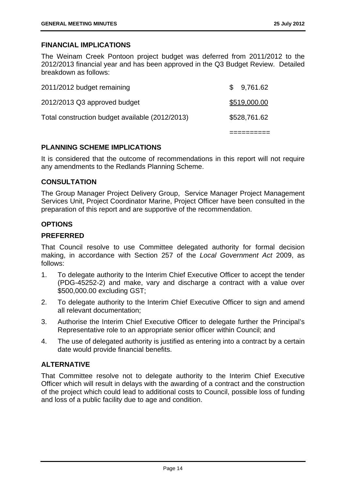#### **FINANCIAL IMPLICATIONS**

The Weinam Creek Pontoon project budget was deferred from 2011/2012 to the 2012/2013 financial year and has been approved in the Q3 Budget Review. Detailed breakdown as follows:

| Total construction budget available (2012/2013) | \$528,761.62 |
|-------------------------------------------------|--------------|
| 2012/2013 Q3 approved budget                    | \$519,000.00 |
| 2011/2012 budget remaining                      | \$9,761.62   |

#### **PLANNING SCHEME IMPLICATIONS**

It is considered that the outcome of recommendations in this report will not require any amendments to the Redlands Planning Scheme.

#### **CONSULTATION**

The Group Manager Project Delivery Group, Service Manager Project Management Services Unit, Project Coordinator Marine, Project Officer have been consulted in the preparation of this report and are supportive of the recommendation.

#### **OPTIONS**

#### **PREFERRED**

That Council resolve to use Committee delegated authority for formal decision making, in accordance with Section 257 of the *Local Government Act* 2009, as follows:

- 1. To delegate authority to the Interim Chief Executive Officer to accept the tender (PDG-45252-2) and make, vary and discharge a contract with a value over \$500,000.00 excluding GST;
- 2. To delegate authority to the Interim Chief Executive Officer to sign and amend all relevant documentation;
- 3. Authorise the Interim Chief Executive Officer to delegate further the Principal's Representative role to an appropriate senior officer within Council; and
- 4. The use of delegated authority is justified as entering into a contract by a certain date would provide financial benefits.

#### **ALTERNATIVE**

That Committee resolve not to delegate authority to the Interim Chief Executive Officer which will result in delays with the awarding of a contract and the construction of the project which could lead to additional costs to Council, possible loss of funding and loss of a public facility due to age and condition.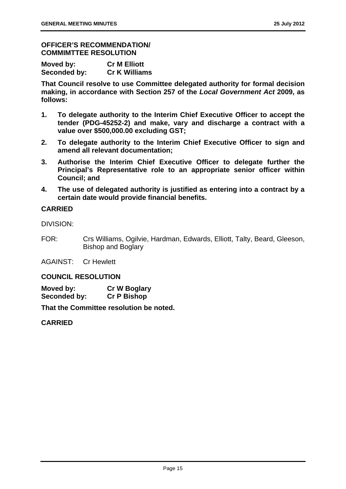#### **OFFICER'S RECOMMENDATION/ COMMIMTTEE RESOLUTION**

| Moved by:    | <b>Cr M Elliott</b>  |
|--------------|----------------------|
| Seconded by: | <b>Cr K Williams</b> |

**That Council resolve to use Committee delegated authority for formal decision making, in accordance with Section 257 of the** *Local Government Act* **2009, as follows:** 

- **1. To delegate authority to the Interim Chief Executive Officer to accept the tender (PDG-45252-2) and make, vary and discharge a contract with a value over \$500,000.00 excluding GST;**
- **2. To delegate authority to the Interim Chief Executive Officer to sign and amend all relevant documentation;**
- **3. Authorise the Interim Chief Executive Officer to delegate further the Principal's Representative role to an appropriate senior officer within Council; and**
- **4. The use of delegated authority is justified as entering into a contract by a certain date would provide financial benefits.**

#### **CARRIED**

DIVISION:

FOR: Crs Williams, Ogilvie, Hardman, Edwards, Elliott, Talty, Beard, Gleeson, Bishop and Boglary

AGAINST: Cr Hewlett

#### **COUNCIL RESOLUTION**

**Moved by: Cr W Boglary Seconded by: Cr P Bishop** 

**That the Committee resolution be noted.** 

#### **CARRIED**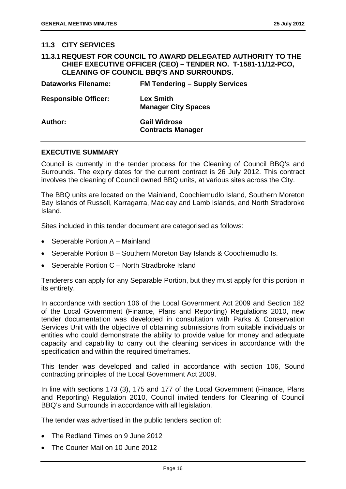#### **11.3 CITY SERVICES**

| 11.3.1 REQUEST FOR COUNCIL TO AWARD DELEGATED AUTHORITY TO THE |  |
|----------------------------------------------------------------|--|
| CHIEF EXECUTIVE OFFICER (CEO) - TENDER NO. T-1581-11/12-PCO,   |  |
| <b>CLEANING OF COUNCIL BBQ'S AND SURROUNDS.</b>                |  |

| <b>Dataworks Filename:</b>  | <b>FM Tendering - Supply Services</b>           |
|-----------------------------|-------------------------------------------------|
| <b>Responsible Officer:</b> | <b>Lex Smith</b><br><b>Manager City Spaces</b>  |
| Author:                     | <b>Gail Widrose</b><br><b>Contracts Manager</b> |

#### **EXECUTIVE SUMMARY**

Council is currently in the tender process for the Cleaning of Council BBQ's and Surrounds. The expiry dates for the current contract is 26 July 2012. This contract involves the cleaning of Council owned BBQ units, at various sites across the City.

The BBQ units are located on the Mainland, Coochiemudlo Island, Southern Moreton Bay Islands of Russell, Karragarra, Macleay and Lamb Islands, and North Stradbroke Island.

Sites included in this tender document are categorised as follows:

- Seperable Portion  $A -$  Mainland
- Seperable Portion B Southern Moreton Bay Islands & Coochiemudlo Is.
- Seperable Portion C North Stradbroke Island

Tenderers can apply for any Separable Portion, but they must apply for this portion in its entirety.

In accordance with section 106 of the Local Government Act 2009 and Section 182 of the Local Government (Finance, Plans and Reporting) Regulations 2010, new tender documentation was developed in consultation with Parks & Conservation Services Unit with the objective of obtaining submissions from suitable individuals or entities who could demonstrate the ability to provide value for money and adequate capacity and capability to carry out the cleaning services in accordance with the specification and within the required timeframes.

This tender was developed and called in accordance with section 106, Sound contracting principles of the Local Government Act 2009.

In line with sections 173 (3), 175 and 177 of the Local Government (Finance, Plans and Reporting) Regulation 2010, Council invited tenders for Cleaning of Council BBQ's and Surrounds in accordance with all legislation.

The tender was advertised in the public tenders section of:

- The Redland Times on 9 June 2012
- The Courier Mail on 10 June 2012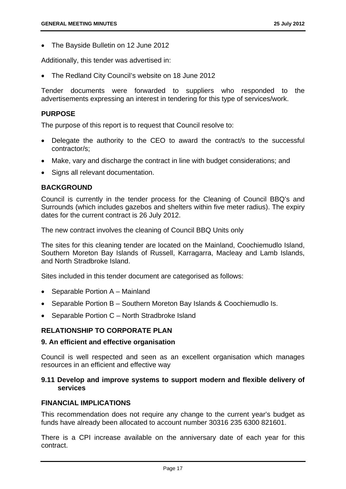The Bayside Bulletin on 12 June 2012

Additionally, this tender was advertised in:

The Redland City Council's website on 18 June 2012

Tender documents were forwarded to suppliers who responded to the advertisements expressing an interest in tendering for this type of services/work.

#### **PURPOSE**

The purpose of this report is to request that Council resolve to:

- Delegate the authority to the CEO to award the contract/s to the successful contractor/s;
- Make, vary and discharge the contract in line with budget considerations; and
- Signs all relevant documentation.

#### **BACKGROUND**

Council is currently in the tender process for the Cleaning of Council BBQ's and Surrounds (which includes gazebos and shelters within five meter radius). The expiry dates for the current contract is 26 July 2012.

The new contract involves the cleaning of Council BBQ Units only

The sites for this cleaning tender are located on the Mainland, Coochiemudlo Island, Southern Moreton Bay Islands of Russell, Karragarra, Macleay and Lamb Islands, and North Stradbroke Island.

Sites included in this tender document are categorised as follows:

- Separable Portion A Mainland
- Separable Portion B Southern Moreton Bay Islands & Coochiemudlo Is.
- Separable Portion C North Stradbroke Island

#### **RELATIONSHIP TO CORPORATE PLAN**

#### **9. An efficient and effective organisation**

Council is well respected and seen as an excellent organisation which manages resources in an efficient and effective way

#### **9.11 Develop and improve systems to support modern and flexible delivery of services**

#### **FINANCIAL IMPLICATIONS**

This recommendation does not require any change to the current year's budget as funds have already been allocated to account number 30316 235 6300 821601.

There is a CPI increase available on the anniversary date of each year for this contract.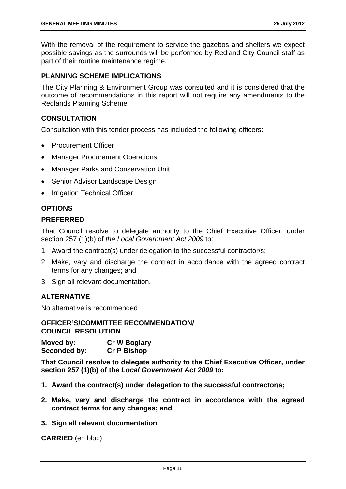With the removal of the requirement to service the gazebos and shelters we expect possible savings as the surrounds will be performed by Redland City Council staff as part of their routine maintenance regime.

#### **PLANNING SCHEME IMPLICATIONS**

The City Planning & Environment Group was consulted and it is considered that the outcome of recommendations in this report will not require any amendments to the Redlands Planning Scheme.

#### **CONSULTATION**

Consultation with this tender process has included the following officers:

- Procurement Officer
- Manager Procurement Operations
- Manager Parks and Conservation Unit
- Senior Advisor Landscape Design
- Irrigation Technical Officer

#### **OPTIONS**

#### **PREFERRED**

That Council resolve to delegate authority to the Chief Executive Officer, under section 257 (1)(b) of *the Local Government Act 2009* to:

- 1. Award the contract(s) under delegation to the successful contractor/s;
- 2. Make, vary and discharge the contract in accordance with the agreed contract terms for any changes; and
- 3. Sign all relevant documentation.

#### **ALTERNATIVE**

No alternative is recommended

#### **OFFICER'S/COMMITTEE RECOMMENDATION/ COUNCIL RESOLUTION**

**Moved by: Cr W Boglary Seconded by: Cr P Bishop** 

**That Council resolve to delegate authority to the Chief Executive Officer, under section 257 (1)(b) of the** *Local Government Act 2009* **to:** 

- **1. Award the contract(s) under delegation to the successful contractor/s;**
- **2. Make, vary and discharge the contract in accordance with the agreed contract terms for any changes; and**
- **3. Sign all relevant documentation.**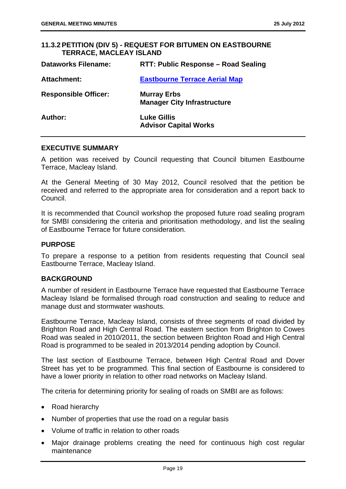#### **11.3.2 PETITION (DIV 5) - REQUEST FOR BITUMEN ON EASTBOURNE TERRACE, MACLEAY ISLAND**

| <b>Dataworks Filename:</b>  | RTT: Public Response – Road Sealing                      |
|-----------------------------|----------------------------------------------------------|
| <b>Attachment:</b>          | <b>Eastbourne Terrace Aerial Map</b>                     |
| <b>Responsible Officer:</b> | <b>Murray Erbs</b><br><b>Manager City Infrastructure</b> |
| Author:                     | <b>Luke Gillis</b><br><b>Advisor Capital Works</b>       |

#### **EXECUTIVE SUMMARY**

A petition was received by Council requesting that Council bitumen Eastbourne Terrace, Macleay Island.

At the General Meeting of 30 May 2012, Council resolved that the petition be received and referred to the appropriate area for consideration and a report back to Council.

It is recommended that Council workshop the proposed future road sealing program for SMBI considering the criteria and prioritisation methodology, and list the sealing of Eastbourne Terrace for future consideration.

#### **PURPOSE**

To prepare a response to a petition from residents requesting that Council seal Eastbourne Terrace, Macleay Island.

#### **BACKGROUND**

A number of resident in Eastbourne Terrace have requested that Eastbourne Terrace Macleay Island be formalised through road construction and sealing to reduce and manage dust and stormwater washouts.

Eastbourne Terrace, Macleay Island, consists of three segments of road divided by Brighton Road and High Central Road. The eastern section from Brighton to Cowes Road was sealed in 2010/2011, the section between Brighton Road and High Central Road is programmed to be sealed in 2013/2014 pending adoption by Council.

The last section of Eastbourne Terrace, between High Central Road and Dover Street has yet to be programmed. This final section of Eastbourne is considered to have a lower priority in relation to other road networks on Macleay Island.

The criteria for determining priority for sealing of roads on SMBI are as follows:

- Road hierarchy
- Number of properties that use the road on a regular basis
- Volume of traffic in relation to other roads
- Major drainage problems creating the need for continuous high cost regular maintenance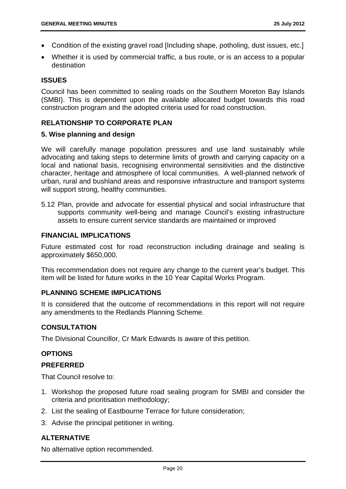- Condition of the existing gravel road [Including shape, potholing, dust issues, etc.]
- Whether it is used by commercial traffic, a bus route, or is an access to a popular destination

#### **ISSUES**

Council has been committed to sealing roads on the Southern Moreton Bay Islands (SMBI). This is dependent upon the available allocated budget towards this road construction program and the adopted criteria used for road construction.

#### **RELATIONSHIP TO CORPORATE PLAN**

#### **5. Wise planning and design**

We will carefully manage population pressures and use land sustainably while advocating and taking steps to determine limits of growth and carrying capacity on a local and national basis, recognising environmental sensitivities and the distinctive character, heritage and atmosphere of local communities. A well-planned network of urban, rural and bushland areas and responsive infrastructure and transport systems will support strong, healthy communities.

5.12 Plan, provide and advocate for essential physical and social infrastructure that supports community well-being and manage Council's existing infrastructure assets to ensure current service standards are maintained or improved

#### **FINANCIAL IMPLICATIONS**

Future estimated cost for road reconstruction including drainage and sealing is approximately \$650,000.

This recommendation does not require any change to the current year's budget. This item will be listed for future works in the 10 Year Capital Works Program.

#### **PLANNING SCHEME IMPLICATIONS**

It is considered that the outcome of recommendations in this report will not require any amendments to the Redlands Planning Scheme.

#### **CONSULTATION**

The Divisional Councillor, Cr Mark Edwards is aware of this petition.

#### **OPTIONS**

#### **PREFERRED**

That Council resolve to:

- 1. Workshop the proposed future road sealing program for SMBI and consider the criteria and prioritisation methodology;
- 2. List the sealing of Eastbourne Terrace for future consideration;
- 3. Advise the principal petitioner in writing.

#### **ALTERNATIVE**

No alternative option recommended.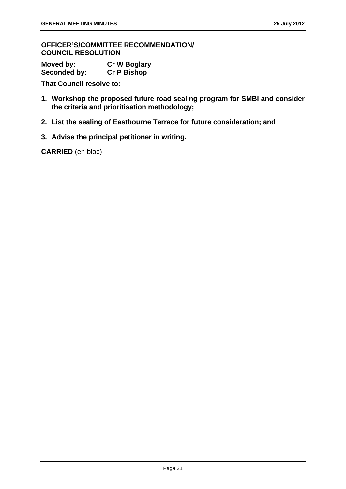**OFFICER'S/COMMITTEE RECOMMENDATION/ COUNCIL RESOLUTION** 

**Moved by: Cr W Boglary Seconded by: Cr P Bishop** 

**That Council resolve to:** 

- **1. Workshop the proposed future road sealing program for SMBI and consider the criteria and prioritisation methodology;**
- **2. List the sealing of Eastbourne Terrace for future consideration; and**
- **3. Advise the principal petitioner in writing.**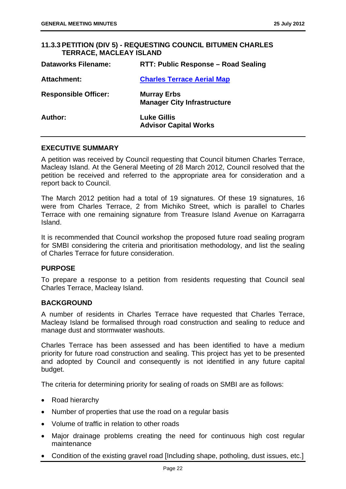#### **11.3.3 PETITION (DIV 5) - REQUESTING COUNCIL BITUMEN CHARLES TERRACE, MACLEAY ISLAND**

| <b>Dataworks Filename:</b>  | RTT: Public Response – Road Sealing                      |
|-----------------------------|----------------------------------------------------------|
| Attachment:                 | <b>Charles Terrace Aerial Map</b>                        |
| <b>Responsible Officer:</b> | <b>Murray Erbs</b><br><b>Manager City Infrastructure</b> |
| Author:                     | <b>Luke Gillis</b><br><b>Advisor Capital Works</b>       |

#### **EXECUTIVE SUMMARY**

A petition was received by Council requesting that Council bitumen Charles Terrace, Macleay Island. At the General Meeting of 28 March 2012, Council resolved that the petition be received and referred to the appropriate area for consideration and a report back to Council.

The March 2012 petition had a total of 19 signatures. Of these 19 signatures, 16 were from Charles Terrace, 2 from Michiko Street, which is parallel to Charles Terrace with one remaining signature from Treasure Island Avenue on Karragarra Island.

It is recommended that Council workshop the proposed future road sealing program for SMBI considering the criteria and prioritisation methodology, and list the sealing of Charles Terrace for future consideration.

#### **PURPOSE**

To prepare a response to a petition from residents requesting that Council seal Charles Terrace, Macleay Island.

#### **BACKGROUND**

A number of residents in Charles Terrace have requested that Charles Terrace, Macleay Island be formalised through road construction and sealing to reduce and manage dust and stormwater washouts.

Charles Terrace has been assessed and has been identified to have a medium priority for future road construction and sealing. This project has yet to be presented and adopted by Council and consequently is not identified in any future capital budget.

The criteria for determining priority for sealing of roads on SMBI are as follows:

- Road hierarchy
- Number of properties that use the road on a regular basis
- Volume of traffic in relation to other roads
- Major drainage problems creating the need for continuous high cost regular maintenance
- Condition of the existing gravel road [Including shape, potholing, dust issues, etc.]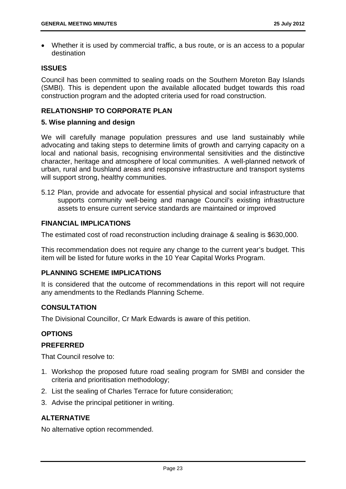Whether it is used by commercial traffic, a bus route, or is an access to a popular destination

#### **ISSUES**

Council has been committed to sealing roads on the Southern Moreton Bay Islands (SMBI). This is dependent upon the available allocated budget towards this road construction program and the adopted criteria used for road construction.

#### **RELATIONSHIP TO CORPORATE PLAN**

#### **5. Wise planning and design**

We will carefully manage population pressures and use land sustainably while advocating and taking steps to determine limits of growth and carrying capacity on a local and national basis, recognising environmental sensitivities and the distinctive character, heritage and atmosphere of local communities. A well-planned network of urban, rural and bushland areas and responsive infrastructure and transport systems will support strong, healthy communities.

5.12 Plan, provide and advocate for essential physical and social infrastructure that supports community well-being and manage Council's existing infrastructure assets to ensure current service standards are maintained or improved

#### **FINANCIAL IMPLICATIONS**

The estimated cost of road reconstruction including drainage & sealing is \$630,000.

This recommendation does not require any change to the current year's budget. This item will be listed for future works in the 10 Year Capital Works Program.

#### **PLANNING SCHEME IMPLICATIONS**

It is considered that the outcome of recommendations in this report will not require any amendments to the Redlands Planning Scheme.

#### **CONSULTATION**

The Divisional Councillor, Cr Mark Edwards is aware of this petition.

#### **OPTIONS**

#### **PREFERRED**

That Council resolve to:

- 1. Workshop the proposed future road sealing program for SMBI and consider the criteria and prioritisation methodology;
- 2. List the sealing of Charles Terrace for future consideration;
- 3. Advise the principal petitioner in writing.

#### **ALTERNATIVE**

No alternative option recommended.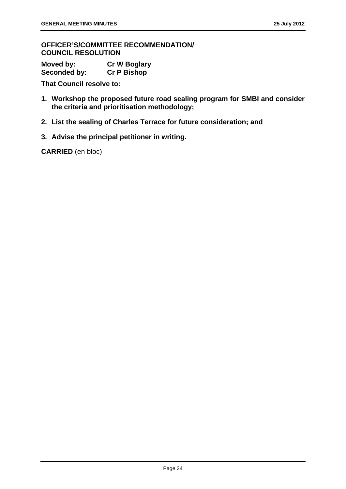**OFFICER'S/COMMITTEE RECOMMENDATION/ COUNCIL RESOLUTION** 

**Moved by: Cr W Boglary Seconded by: Cr P Bishop** 

**That Council resolve to:** 

- **1. Workshop the proposed future road sealing program for SMBI and consider the criteria and prioritisation methodology;**
- **2. List the sealing of Charles Terrace for future consideration; and**
- **3. Advise the principal petitioner in writing.**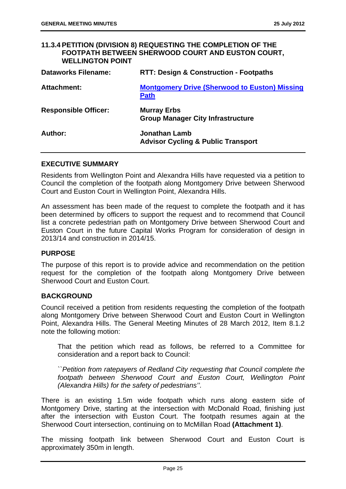#### **11.3.4 PETITION (DIVISION 8) REQUESTING THE COMPLETION OF THE FOOTPATH BETWEEN SHERWOOD COURT AND EUSTON COURT, WELLINGTON POINT**

| <b>Dataworks Filename:</b>  | <b>RTT: Design &amp; Construction - Footpaths</b>                     |
|-----------------------------|-----------------------------------------------------------------------|
| <b>Attachment:</b>          | <b>Montgomery Drive (Sherwood to Euston) Missing</b><br><b>Path</b>   |
| <b>Responsible Officer:</b> | <b>Murray Erbs</b><br><b>Group Manager City Infrastructure</b>        |
| Author:                     | <b>Jonathan Lamb</b><br><b>Advisor Cycling &amp; Public Transport</b> |

#### **EXECUTIVE SUMMARY**

Residents from Wellington Point and Alexandra Hills have requested via a petition to Council the completion of the footpath along Montgomery Drive between Sherwood Court and Euston Court in Wellington Point, Alexandra Hills.

An assessment has been made of the request to complete the footpath and it has been determined by officers to support the request and to recommend that Council list a concrete pedestrian path on Montgomery Drive between Sherwood Court and Euston Court in the future Capital Works Program for consideration of design in 2013/14 and construction in 2014/15.

#### **PURPOSE**

The purpose of this report is to provide advice and recommendation on the petition request for the completion of the footpath along Montgomery Drive between Sherwood Court and Euston Court.

#### **BACKGROUND**

Council received a petition from residents requesting the completion of the footpath along Montgomery Drive between Sherwood Court and Euston Court in Wellington Point, Alexandra Hills. The General Meeting Minutes of 28 March 2012, Item 8.1.2 note the following motion:

That the petition which read as follows, be referred to a Committee for consideration and a report back to Council:

*``Petition from ratepayers of Redland City requesting that Council complete the footpath between Sherwood Court and Euston Court, Wellington Point (Alexandra Hills) for the safety of pedestrians''.* 

There is an existing 1.5m wide footpath which runs along eastern side of Montgomery Drive, starting at the intersection with McDonald Road, finishing just after the intersection with Euston Court. The footpath resumes again at the Sherwood Court intersection, continuing on to McMillan Road **(Attachment 1)**.

The missing footpath link between Sherwood Court and Euston Court is approximately 350m in length.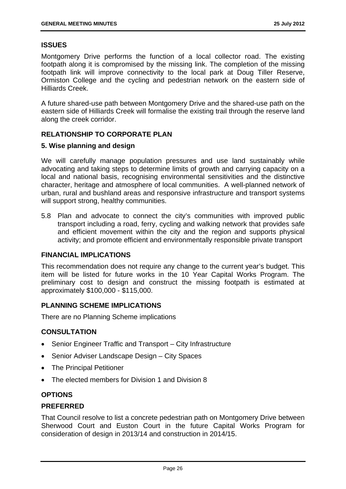#### **ISSUES**

Montgomery Drive performs the function of a local collector road. The existing footpath along it is compromised by the missing link. The completion of the missing footpath link will improve connectivity to the local park at Doug Tiller Reserve, Ormiston College and the cycling and pedestrian network on the eastern side of Hilliards Creek.

A future shared-use path between Montgomery Drive and the shared-use path on the eastern side of Hilliards Creek will formalise the existing trail through the reserve land along the creek corridor.

#### **RELATIONSHIP TO CORPORATE PLAN**

#### **5. Wise planning and design**

We will carefully manage population pressures and use land sustainably while advocating and taking steps to determine limits of growth and carrying capacity on a local and national basis, recognising environmental sensitivities and the distinctive character, heritage and atmosphere of local communities. A well-planned network of urban, rural and bushland areas and responsive infrastructure and transport systems will support strong, healthy communities.

5.8 Plan and advocate to connect the city's communities with improved public transport including a road, ferry, cycling and walking network that provides safe and efficient movement within the city and the region and supports physical activity; and promote efficient and environmentally responsible private transport

#### **FINANCIAL IMPLICATIONS**

This recommendation does not require any change to the current year's budget. This item will be listed for future works in the 10 Year Capital Works Program. The preliminary cost to design and construct the missing footpath is estimated at approximately \$100,000 - \$115,000.

#### **PLANNING SCHEME IMPLICATIONS**

There are no Planning Scheme implications

#### **CONSULTATION**

- Senior Engineer Traffic and Transport City Infrastructure
- Senior Adviser Landscape Design City Spaces
- The Principal Petitioner
- The elected members for Division 1 and Division 8

#### **OPTIONS**

#### **PREFERRED**

That Council resolve to list a concrete pedestrian path on Montgomery Drive between Sherwood Court and Euston Court in the future Capital Works Program for consideration of design in 2013/14 and construction in 2014/15.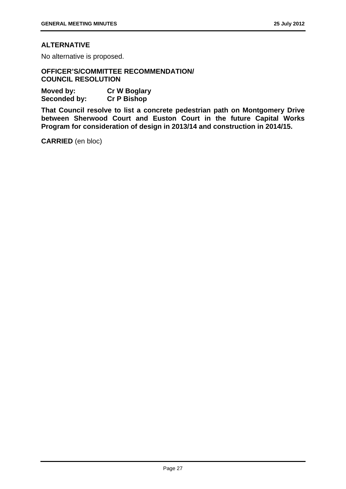#### **ALTERNATIVE**

No alternative is proposed.

**OFFICER'S/COMMITTEE RECOMMENDATION/ COUNCIL RESOLUTION** 

**Moved by: Cr W Boglary Seconded by: Cr P Bishop** 

**That Council resolve to list a concrete pedestrian path on Montgomery Drive between Sherwood Court and Euston Court in the future Capital Works Program for consideration of design in 2013/14 and construction in 2014/15.**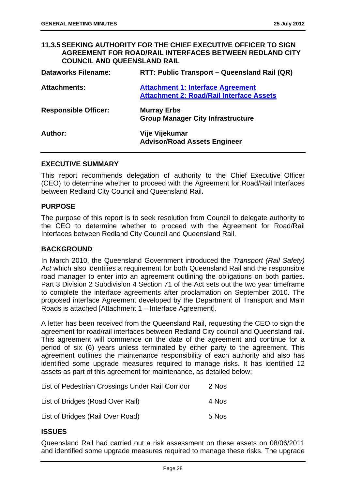#### **11.3.5 SEEKING AUTHORITY FOR THE CHIEF EXECUTIVE OFFICER TO SIGN AGREEMENT FOR ROAD/RAIL INTERFACES BETWEEN REDLAND CITY COUNCIL AND QUEENSLAND RAIL**

| <b>Dataworks Filename:</b>  | RTT: Public Transport – Queensland Rail (QR)                                                |
|-----------------------------|---------------------------------------------------------------------------------------------|
| <b>Attachments:</b>         | <b>Attachment 1: Interface Agreement</b><br><b>Attachment 2: Road/Rail Interface Assets</b> |
| <b>Responsible Officer:</b> | <b>Murray Erbs</b><br><b>Group Manager City Infrastructure</b>                              |
| Author:                     | Vije Vijekumar<br><b>Advisor/Road Assets Engineer</b>                                       |

#### **EXECUTIVE SUMMARY**

This report recommends delegation of authority to the Chief Executive Officer (CEO) to determine whether to proceed with the Agreement for Road/Rail Interfaces between Redland City Council and Queensland Rail**.**

#### **PURPOSE**

The purpose of this report is to seek resolution from Council to delegate authority to the CEO to determine whether to proceed with the Agreement for Road/Rail Interfaces between Redland City Council and Queensland Rail.

#### **BACKGROUND**

In March 2010, the Queensland Government introduced the *Transport (Rail Safety) Act* which also identifies a requirement for both Queensland Rail and the responsible road manager to enter into an agreement outlining the obligations on both parties. Part 3 Division 2 Subdivision 4 Section 71 of the Act sets out the two year timeframe to complete the interface agreements after proclamation on September 2010. The proposed interface Agreement developed by the Department of Transport and Main Roads is attached [Attachment 1 – Interface Agreement].

A letter has been received from the Queensland Rail, requesting the CEO to sign the agreement for road/rail interfaces between Redland City council and Queensland rail. This agreement will commence on the date of the agreement and continue for a period of six (6) years unless terminated by either party to the agreement. This agreement outlines the maintenance responsibility of each authority and also has identified some upgrade measures required to manage risks. It has identified 12 assets as part of this agreement for maintenance, as detailed below;

| List of Pedestrian Crossings Under Rail Corridor | 2 Nos |
|--------------------------------------------------|-------|
| List of Bridges (Road Over Rail)                 | 4 Nos |
| List of Bridges (Rail Over Road)                 | 5 Nos |

#### **ISSUES**

Queensland Rail had carried out a risk assessment on these assets on 08/06/2011 and identified some upgrade measures required to manage these risks. The upgrade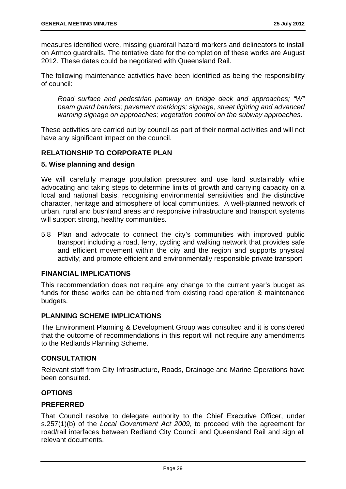measures identified were, missing guardrail hazard markers and delineators to install on Armco guardrails. The tentative date for the completion of these works are August 2012. These dates could be negotiated with Queensland Rail.

The following maintenance activities have been identified as being the responsibility of council:

*Road surface and pedestrian pathway on bridge deck and approaches; "W" beam guard barriers; pavement markings; signage, street lighting and advanced warning signage on approaches; vegetation control on the subway approaches.* 

These activities are carried out by council as part of their normal activities and will not have any significant impact on the council.

#### **RELATIONSHIP TO CORPORATE PLAN**

#### **5. Wise planning and design**

We will carefully manage population pressures and use land sustainably while advocating and taking steps to determine limits of growth and carrying capacity on a local and national basis, recognising environmental sensitivities and the distinctive character, heritage and atmosphere of local communities. A well-planned network of urban, rural and bushland areas and responsive infrastructure and transport systems will support strong, healthy communities.

5.8 Plan and advocate to connect the city's communities with improved public transport including a road, ferry, cycling and walking network that provides safe and efficient movement within the city and the region and supports physical activity; and promote efficient and environmentally responsible private transport

#### **FINANCIAL IMPLICATIONS**

This recommendation does not require any change to the current year's budget as funds for these works can be obtained from existing road operation & maintenance budgets.

#### **PLANNING SCHEME IMPLICATIONS**

The Environment Planning & Development Group was consulted and it is considered that the outcome of recommendations in this report will not require any amendments to the Redlands Planning Scheme.

#### **CONSULTATION**

Relevant staff from City Infrastructure, Roads, Drainage and Marine Operations have been consulted.

#### **OPTIONS**

#### **PREFERRED**

That Council resolve to delegate authority to the Chief Executive Officer, under s.257(1)(b) of the *Local Government Act 2009*, to proceed with the agreement for road/rail interfaces between Redland City Council and Queensland Rail and sign all relevant documents.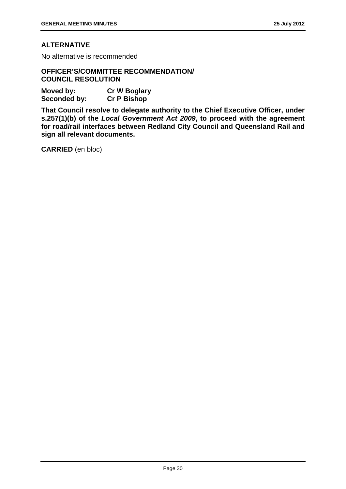#### **ALTERNATIVE**

No alternative is recommended

#### **OFFICER'S/COMMITTEE RECOMMENDATION/ COUNCIL RESOLUTION**

| Moved by:    | <b>Cr W Boglary</b> |
|--------------|---------------------|
| Seconded by: | <b>Cr P Bishop</b>  |

**That Council resolve to delegate authority to the Chief Executive Officer, under s.257(1)(b) of the** *Local Government Act 2009***, to proceed with the agreement for road/rail interfaces between Redland City Council and Queensland Rail and sign all relevant documents.**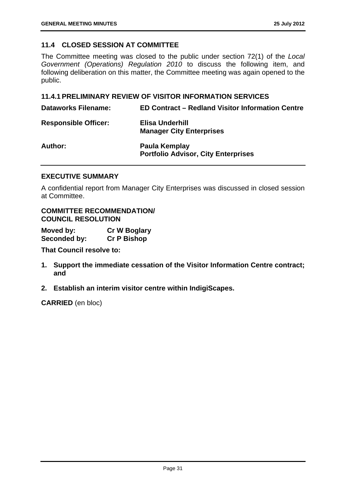#### **11.4 CLOSED SESSION AT COMMITTEE**

The Committee meeting was closed to the public under section 72(1) of the *Local Government (Operations) Regulation 2010* to discuss the following item, and following deliberation on this matter, the Committee meeting was again opened to the public.

#### **11.4.1 PRELIMINARY REVIEW OF VISITOR INFORMATION SERVICES**

| <b>Dataworks Filename:</b>  | <b>ED Contract - Redland Visitor Information Centre</b>     |
|-----------------------------|-------------------------------------------------------------|
| <b>Responsible Officer:</b> | Elisa Underhill<br><b>Manager City Enterprises</b>          |
| Author:                     | Paula Kemplay<br><b>Portfolio Advisor, City Enterprises</b> |

#### **EXECUTIVE SUMMARY**

A confidential report from Manager City Enterprises was discussed in closed session at Committee.

#### **COMMITTEE RECOMMENDATION/ COUNCIL RESOLUTION**

| Moved by:           | <b>Cr W Boglary</b> |
|---------------------|---------------------|
| <b>Seconded by:</b> | <b>Cr P Bishop</b>  |

**That Council resolve to:** 

- **1. Support the immediate cessation of the Visitor Information Centre contract; and**
- **2. Establish an interim visitor centre within IndigiScapes.**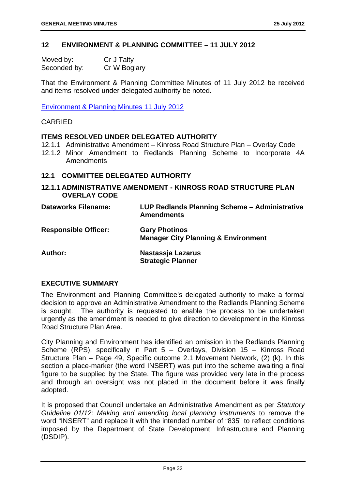### **12 ENVIRONMENT & PLANNING COMMITTEE – 11 JULY 2012**

| Moved by:    | Cr J Talty   |
|--------------|--------------|
| Seconded by: | Cr W Boglary |

That the Environment & Planning Committee Minutes of 11 July 2012 be received and items resolved under delegated authority be noted.

Environment & Planning Minutes 11 July 2012

#### CARRIED

#### **ITEMS RESOLVED UNDER DELEGATED AUTHORITY**

- 12.1.1 Administrative Amendment Kinross Road Structure Plan Overlay Code
- 12.1.2 Minor Amendment to Redlands Planning Scheme to Incorporate 4A Amendments

# **12.1 COMMITTEE DELEGATED AUTHORITY**

**12.1.1 ADMINISTRATIVE AMENDMENT - KINROSS ROAD STRUCTURE PLAN OVERLAY CODE** 

| <b>Dataworks Filename:</b>  | LUP Redlands Planning Scheme - Administrative<br><b>Amendments</b>     |
|-----------------------------|------------------------------------------------------------------------|
| <b>Responsible Officer:</b> | <b>Gary Photinos</b><br><b>Manager City Planning &amp; Environment</b> |
| Author:                     | Nastassja Lazarus<br><b>Strategic Planner</b>                          |

### **EXECUTIVE SUMMARY**

The Environment and Planning Committee's delegated authority to make a formal decision to approve an Administrative Amendment to the Redlands Planning Scheme is sought. The authority is requested to enable the process to be undertaken urgently as the amendment is needed to give direction to development in the Kinross Road Structure Plan Area.

City Planning and Environment has identified an omission in the Redlands Planning Scheme (RPS), specifically in Part 5 – Overlays, Division 15 – Kinross Road Structure Plan – Page 49, Specific outcome 2.1 Movement Network, (2) (k). In this section a place-marker (the word INSERT) was put into the scheme awaiting a final figure to be supplied by the State. The figure was provided very late in the process and through an oversight was not placed in the document before it was finally adopted.

It is proposed that Council undertake an Administrative Amendment as per *Statutory Guideline 01/12: Making and amending local planning instruments* to remove the word "INSERT" and replace it with the intended number of "835" to reflect conditions imposed by the Department of State Development, Infrastructure and Planning (DSDIP).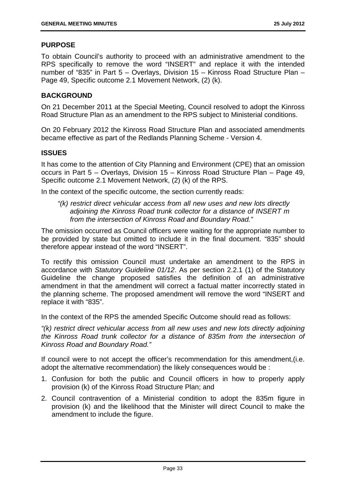# **PURPOSE**

To obtain Council's authority to proceed with an administrative amendment to the RPS specifically to remove the word "INSERT" and replace it with the intended number of "835" in Part 5 – Overlays, Division 15 – Kinross Road Structure Plan – Page 49, Specific outcome 2.1 Movement Network, (2) (k).

# **BACKGROUND**

On 21 December 2011 at the Special Meeting, Council resolved to adopt the Kinross Road Structure Plan as an amendment to the RPS subject to Ministerial conditions.

On 20 February 2012 the Kinross Road Structure Plan and associated amendments became effective as part of the Redlands Planning Scheme - Version 4.

#### **ISSUES**

It has come to the attention of City Planning and Environment (CPE) that an omission occurs in Part 5 – Overlays, Division 15 – Kinross Road Structure Plan – Page 49, Specific outcome 2.1 Movement Network, (2) (k) of the RPS.

In the context of the specific outcome, the section currently reads:

*"(k) restrict direct vehicular access from all new uses and new lots directly adjoining the Kinross Road trunk collector for a distance of INSERT m from the intersection of Kinross Road and Boundary Road."* 

The omission occurred as Council officers were waiting for the appropriate number to be provided by state but omitted to include it in the final document. "835" should therefore appear instead of the word "INSERT".

To rectify this omission Council must undertake an amendment to the RPS in accordance with *Statutory Guideline 01/12*. As per section 2.2.1 (1) of the Statutory Guideline the change proposed satisfies the definition of an administrative amendment in that the amendment will correct a factual matter incorrectly stated in the planning scheme. The proposed amendment will remove the word "INSERT and replace it with "835".

In the context of the RPS the amended Specific Outcome should read as follows:

*"(k) restrict direct vehicular access from all new uses and new lots directly adjoining the Kinross Road trunk collector for a distance of 835m from the intersection of Kinross Road and Boundary Road."* 

If council were to not accept the officer's recommendation for this amendment,(i.e. adopt the alternative recommendation) the likely consequences would be :

- 1. Confusion for both the public and Council officers in how to properly apply provision (k) of the Kinross Road Structure Plan; and
- 2. Council contravention of a Ministerial condition to adopt the 835m figure in provision (k) and the likelihood that the Minister will direct Council to make the amendment to include the figure.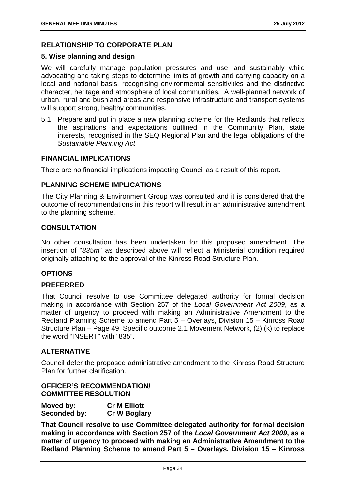# **RELATIONSHIP TO CORPORATE PLAN**

#### **5. Wise planning and design**

We will carefully manage population pressures and use land sustainably while advocating and taking steps to determine limits of growth and carrying capacity on a local and national basis, recognising environmental sensitivities and the distinctive character, heritage and atmosphere of local communities. A well-planned network of urban, rural and bushland areas and responsive infrastructure and transport systems will support strong, healthy communities.

5.1 Prepare and put in place a new planning scheme for the Redlands that reflects the aspirations and expectations outlined in the Community Plan, state interests, recognised in the SEQ Regional Plan and the legal obligations of the *Sustainable Planning Act*

#### **FINANCIAL IMPLICATIONS**

There are no financial implications impacting Council as a result of this report.

#### **PLANNING SCHEME IMPLICATIONS**

The City Planning & Environment Group was consulted and it is considered that the outcome of recommendations in this report will result in an administrative amendment to the planning scheme.

#### **CONSULTATION**

No other consultation has been undertaken for this proposed amendment. The insertion of "*835m*" as described above will reflect a Ministerial condition required originally attaching to the approval of the Kinross Road Structure Plan.

#### **OPTIONS**

#### **PREFERRED**

That Council resolve to use Committee delegated authority for formal decision making in accordance with Section 257 of the *Local Government Act 2009*, as a matter of urgency to proceed with making an Administrative Amendment to the Redland Planning Scheme to amend Part 5 – Overlays, Division 15 – Kinross Road Structure Plan – Page 49, Specific outcome 2.1 Movement Network, (2) (k) to replace the word "INSERT" with "835".

#### **ALTERNATIVE**

Council defer the proposed administrative amendment to the Kinross Road Structure Plan for further clarification.

## **OFFICER'S RECOMMENDATION/ COMMITTEE RESOLUTION**

| Moved by:    | <b>Cr M Elliott</b> |
|--------------|---------------------|
| Seconded by: | <b>Cr W Boglary</b> |

**That Council resolve to use Committee delegated authority for formal decision making in accordance with Section 257 of the** *Local Government Act 2009***, as a matter of urgency to proceed with making an Administrative Amendment to the Redland Planning Scheme to amend Part 5 – Overlays, Division 15 – Kinross**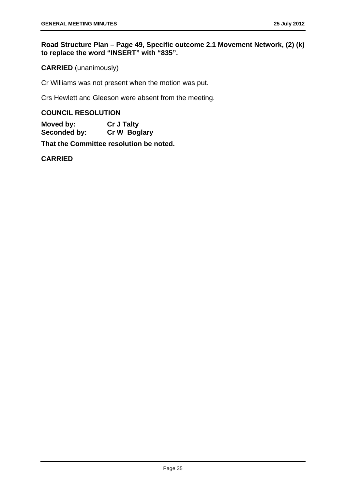# **Road Structure Plan – Page 49, Specific outcome 2.1 Movement Network, (2) (k) to replace the word "INSERT" with "835".**

**CARRIED** (unanimously)

Cr Williams was not present when the motion was put.

Crs Hewlett and Gleeson were absent from the meeting.

### **COUNCIL RESOLUTION**

**Moved by: Cr J Talty Seconded by: Cr W Boglary** 

**That the Committee resolution be noted.** 

**CARRIED**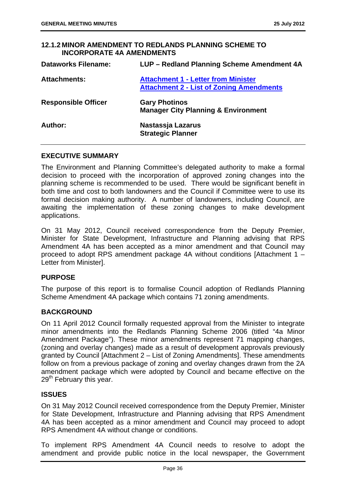### **12.1.2 MINOR AMENDMENT TO REDLANDS PLANNING SCHEME TO INCORPORATE 4A AMENDMENTS**

| <b>Dataworks Filename:</b> | LUP - Redland Planning Scheme Amendment 4A                                                    |
|----------------------------|-----------------------------------------------------------------------------------------------|
| <b>Attachments:</b>        | <b>Attachment 1 - Letter from Minister</b><br><b>Attachment 2 - List of Zoning Amendments</b> |
| <b>Responsible Officer</b> | <b>Gary Photinos</b><br><b>Manager City Planning &amp; Environment</b>                        |
| Author:                    | Nastassja Lazarus<br><b>Strategic Planner</b>                                                 |

### **EXECUTIVE SUMMARY**

The Environment and Planning Committee's delegated authority to make a formal decision to proceed with the incorporation of approved zoning changes into the planning scheme is recommended to be used. There would be significant benefit in both time and cost to both landowners and the Council if Committee were to use its formal decision making authority. A number of landowners, including Council, are awaiting the implementation of these zoning changes to make development applications.

On 31 May 2012, Council received correspondence from the Deputy Premier, Minister for State Development, Infrastructure and Planning advising that RPS Amendment 4A has been accepted as a minor amendment and that Council may proceed to adopt RPS amendment package 4A without conditions [Attachment 1 – Letter from Minister].

#### **PURPOSE**

The purpose of this report is to formalise Council adoption of Redlands Planning Scheme Amendment 4A package which contains 71 zoning amendments.

# **BACKGROUND**

On 11 April 2012 Council formally requested approval from the Minister to integrate minor amendments into the Redlands Planning Scheme 2006 (titled "4a Minor Amendment Package"). These minor amendments represent 71 mapping changes, (zoning and overlay changes) made as a result of development approvals previously granted by Council [Attachment 2 – List of Zoning Amendments]. These amendments follow on from a previous package of zoning and overlay changes drawn from the 2A amendment package which were adopted by Council and became effective on the 29<sup>th</sup> February this year.

# **ISSUES**

On 31 May 2012 Council received correspondence from the Deputy Premier, Minister for State Development, Infrastructure and Planning advising that RPS Amendment 4A has been accepted as a minor amendment and Council may proceed to adopt RPS Amendment 4A without change or conditions.

To implement RPS Amendment 4A Council needs to resolve to adopt the amendment and provide public notice in the local newspaper, the Government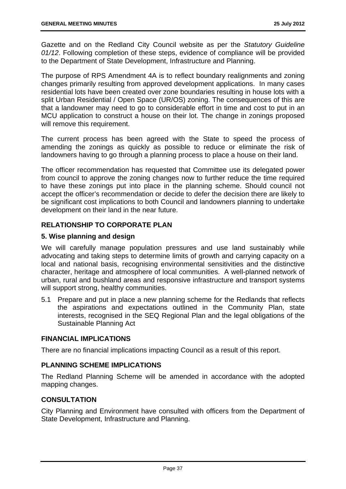Gazette and on the Redland City Council website as per the *Statutory Guideline 01/12*. Following completion of these steps, evidence of compliance will be provided to the Department of State Development, Infrastructure and Planning.

The purpose of RPS Amendment 4A is to reflect boundary realignments and zoning changes primarily resulting from approved development applications. In many cases residential lots have been created over zone boundaries resulting in house lots with a split Urban Residential / Open Space (UR/OS) zoning. The consequences of this are that a landowner may need to go to considerable effort in time and cost to put in an MCU application to construct a house on their lot. The change in zonings proposed will remove this requirement.

The current process has been agreed with the State to speed the process of amending the zonings as quickly as possible to reduce or eliminate the risk of landowners having to go through a planning process to place a house on their land.

The officer recommendation has requested that Committee use its delegated power from council to approve the zoning changes now to further reduce the time required to have these zonings put into place in the planning scheme. Should council not accept the officer's recommendation or decide to defer the decision there are likely to be significant cost implications to both Council and landowners planning to undertake development on their land in the near future.

# **RELATIONSHIP TO CORPORATE PLAN**

# **5. Wise planning and design**

We will carefully manage population pressures and use land sustainably while advocating and taking steps to determine limits of growth and carrying capacity on a local and national basis, recognising environmental sensitivities and the distinctive character, heritage and atmosphere of local communities. A well-planned network of urban, rural and bushland areas and responsive infrastructure and transport systems will support strong, healthy communities.

5.1 Prepare and put in place a new planning scheme for the Redlands that reflects the aspirations and expectations outlined in the Community Plan, state interests, recognised in the SEQ Regional Plan and the legal obligations of the Sustainable Planning Act

# **FINANCIAL IMPLICATIONS**

There are no financial implications impacting Council as a result of this report.

# **PLANNING SCHEME IMPLICATIONS**

The Redland Planning Scheme will be amended in accordance with the adopted mapping changes.

# **CONSULTATION**

City Planning and Environment have consulted with officers from the Department of State Development, Infrastructure and Planning.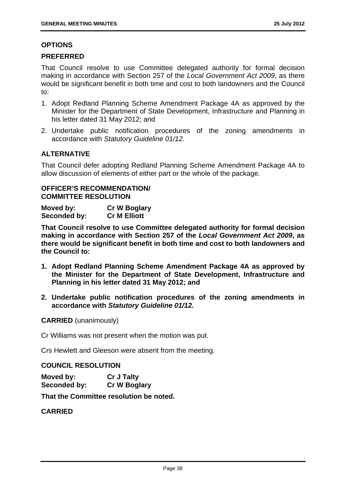### **OPTIONS**

### **PREFERRED**

That Council resolve to use Committee delegated authority for formal decision making in accordance with Section 257 of the *Local Government Act 2009*, as there would be significant benefit in both time and cost to both landowners and the Council to:

- 1. Adopt Redland Planning Scheme Amendment Package 4A as approved by the Minister for the Department of State Development, Infrastructure and Planning in his letter dated 31 May 2012; and
- 2. Undertake public notification procedures of the zoning amendments in accordance with *Statutory Guideline 01/12.*

# **ALTERNATIVE**

That Council defer adopting Redland Planning Scheme Amendment Package 4A to allow discussion of elements of either part or the whole of the package.

## **OFFICER'S RECOMMENDATION/ COMMITTEE RESOLUTION**

**Moved by: Cr W Boglary Seconded by: Cr M Elliott** 

**That Council resolve to use Committee delegated authority for formal decision making in accordance with Section 257 of the** *Local Government Act 2009***, as there would be significant benefit in both time and cost to both landowners and the Council to:**

- **1. Adopt Redland Planning Scheme Amendment Package 4A as approved by the Minister for the Department of State Development, Infrastructure and Planning in his letter dated 31 May 2012; and**
- **2. Undertake public notification procedures of the zoning amendments in accordance with** *Statutory Guideline 01/12.*

**CARRIED** (unanimously)

Cr Williams was not present when the motion was put.

Crs Hewlett and Gleeson were absent from the meeting.

#### **COUNCIL RESOLUTION**

| Moved by:    | <b>Cr J Talty</b>   |
|--------------|---------------------|
| Seconded by: | <b>Cr W Boglary</b> |

**That the Committee resolution be noted.** 

# **CARRIED**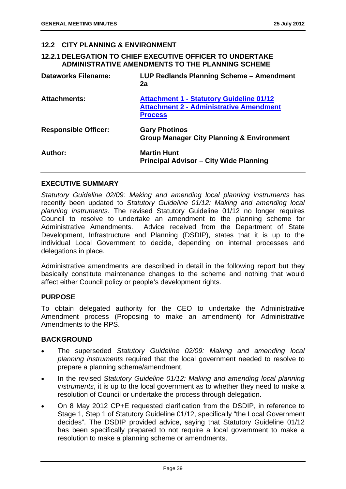### **12.2 CITY PLANNING & ENVIRONMENT**

## **12.2.1 DELEGATION TO CHIEF EXECUTIVE OFFICER TO UNDERTAKE ADMINISTRATIVE AMENDMENTS TO THE PLANNING SCHEME**

| <b>Dataworks Filename:</b>  | LUP Redlands Planning Scheme – Amendment<br>2a                                                                      |
|-----------------------------|---------------------------------------------------------------------------------------------------------------------|
| <b>Attachments:</b>         | <b>Attachment 1 - Statutory Guideline 01/12</b><br><b>Attachment 2 - Administrative Amendment</b><br><b>Process</b> |
| <b>Responsible Officer:</b> | <b>Gary Photinos</b><br><b>Group Manager City Planning &amp; Environment</b>                                        |
| Author:                     | <b>Martin Hunt</b><br><b>Principal Advisor – City Wide Planning</b>                                                 |

### **EXECUTIVE SUMMARY**

*Statutory Guideline 02/09: Making and amending local planning instruments* has recently been updated to *Statutory Guideline 01/12: Making and amending local planning instruments.* The revised Statutory Guideline 01/12 no longer requires Council to resolve to undertake an amendment to the planning scheme for Administrative Amendments. Advice received from the Department of State Development, Infrastructure and Planning (DSDIP), states that it is up to the individual Local Government to decide, depending on internal processes and delegations in place.

Administrative amendments are described in detail in the following report but they basically constitute maintenance changes to the scheme and nothing that would affect either Council policy or people's development rights.

#### **PURPOSE**

To obtain delegated authority for the CEO to undertake the Administrative Amendment process (Proposing to make an amendment) for Administrative Amendments to the RPS.

#### **BACKGROUND**

- The superseded *Statutory Guideline 02/09: Making and amending local planning instruments* required that the local government needed to resolve to prepare a planning scheme/amendment.
- In the revised *Statutory Guideline 01/12: Making and amending local planning instruments*, it is up to the local government as to whether they need to make a resolution of Council or undertake the process through delegation.
- On 8 May 2012 CP+E requested clarification from the DSDIP, in reference to Stage 1, Step 1 of Statutory Guideline 01/12, specifically "the Local Government decides". The DSDIP provided advice, saying that Statutory Guideline 01/12 has been specifically prepared to not require a local government to make a resolution to make a planning scheme or amendments.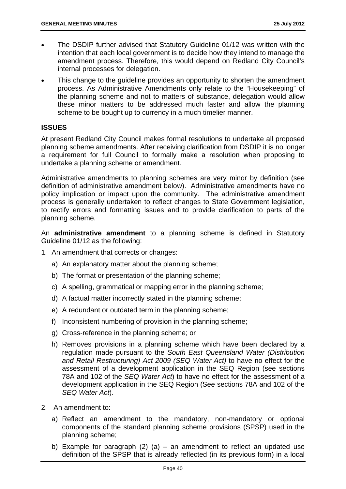- The DSDIP further advised that Statutory Guideline 01/12 was written with the intention that each local government is to decide how they intend to manage the amendment process. Therefore, this would depend on Redland City Council's internal processes for delegation.
- This change to the guideline provides an opportunity to shorten the amendment process. As Administrative Amendments only relate to the "Housekeeping" of the planning scheme and not to matters of substance, delegation would allow these minor matters to be addressed much faster and allow the planning scheme to be bought up to currency in a much timelier manner.

# **ISSUES**

At present Redland City Council makes formal resolutions to undertake all proposed planning scheme amendments. After receiving clarification from DSDIP it is no longer a requirement for full Council to formally make a resolution when proposing to undertake a planning scheme or amendment.

Administrative amendments to planning schemes are very minor by definition (see definition of administrative amendment below). Administrative amendments have no policy implication or impact upon the community. The administrative amendment process is generally undertaken to reflect changes to State Government legislation, to rectify errors and formatting issues and to provide clarification to parts of the planning scheme.

An **administrative amendment** to a planning scheme is defined in Statutory Guideline 01/12 as the following:

- 1. An amendment that corrects or changes:
	- a) An explanatory matter about the planning scheme;
	- b) The format or presentation of the planning scheme;
	- c) A spelling, grammatical or mapping error in the planning scheme;
	- d) A factual matter incorrectly stated in the planning scheme;
	- e) A redundant or outdated term in the planning scheme;
	- f) Inconsistent numbering of provision in the planning scheme;
	- g) Cross-reference in the planning scheme; or
	- h) Removes provisions in a planning scheme which have been declared by a regulation made pursuant to the *South East Queensland Water (Distribution and Retail Restructuring) Act 2009 (SEQ Water Act)* to have no effect for the assessment of a development application in the SEQ Region (see sections 78A and 102 of the *SEQ Water Act*) to have no effect for the assessment of a development application in the SEQ Region (See sections 78A and 102 of the *SEQ Water Act*).
- 2. An amendment to:
	- a) Reflect an amendment to the mandatory, non-mandatory or optional components of the standard planning scheme provisions (SPSP) used in the planning scheme;
	- b) Example for paragraph  $(2)$   $(a)$  an amendment to reflect an updated use definition of the SPSP that is already reflected (in its previous form) in a local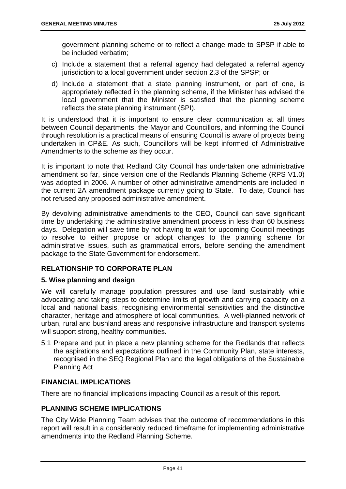government planning scheme or to reflect a change made to SPSP if able to be included verbatim;

- c) Include a statement that a referral agency had delegated a referral agency jurisdiction to a local government under section 2.3 of the SPSP; or
- d) Include a statement that a state planning instrument, or part of one, is appropriately reflected in the planning scheme, if the Minister has advised the local government that the Minister is satisfied that the planning scheme reflects the state planning instrument (SPI).

It is understood that it is important to ensure clear communication at all times between Council departments, the Mayor and Councillors, and informing the Council through resolution is a practical means of ensuring Council is aware of projects being undertaken in CP&E. As such, Councillors will be kept informed of Administrative Amendments to the scheme as they occur.

It is important to note that Redland City Council has undertaken one administrative amendment so far, since version one of the Redlands Planning Scheme (RPS V1.0) was adopted in 2006. A number of other administrative amendments are included in the current 2A amendment package currently going to State. To date, Council has not refused any proposed administrative amendment.

By devolving administrative amendments to the CEO, Council can save significant time by undertaking the administrative amendment process in less than 60 business days. Delegation will save time by not having to wait for upcoming Council meetings to resolve to either propose or adopt changes to the planning scheme for administrative issues, such as grammatical errors, before sending the amendment package to the State Government for endorsement.

# **RELATIONSHIP TO CORPORATE PLAN**

# **5. Wise planning and design**

We will carefully manage population pressures and use land sustainably while advocating and taking steps to determine limits of growth and carrying capacity on a local and national basis, recognising environmental sensitivities and the distinctive character, heritage and atmosphere of local communities. A well-planned network of urban, rural and bushland areas and responsive infrastructure and transport systems will support strong, healthy communities.

5.1 Prepare and put in place a new planning scheme for the Redlands that reflects the aspirations and expectations outlined in the Community Plan, state interests, recognised in the SEQ Regional Plan and the legal obligations of the Sustainable Planning Act

# **FINANCIAL IMPLICATIONS**

There are no financial implications impacting Council as a result of this report.

# **PLANNING SCHEME IMPLICATIONS**

The City Wide Planning Team advises that the outcome of recommendations in this report will result in a considerably reduced timeframe for implementing administrative amendments into the Redland Planning Scheme.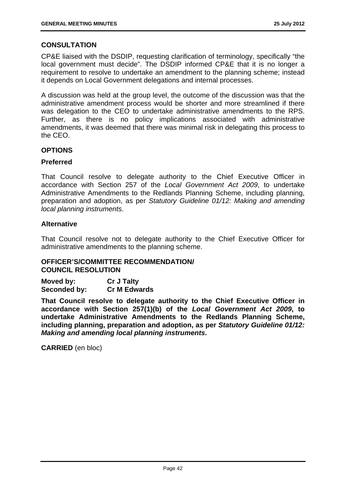# **CONSULTATION**

CP&E liaised with the DSDIP, requesting clarification of terminology, specifically "the local government must decide". The DSDIP informed CP&E that it is no longer a requirement to resolve to undertake an amendment to the planning scheme; instead it depends on Local Government delegations and internal processes.

A discussion was held at the group level, the outcome of the discussion was that the administrative amendment process would be shorter and more streamlined if there was delegation to the CEO to undertake administrative amendments to the RPS. Further, as there is no policy implications associated with administrative amendments, it was deemed that there was minimal risk in delegating this process to the CEO.

### **OPTIONS**

### **Preferred**

That Council resolve to delegate authority to the Chief Executive Officer in accordance with Section 257 of the *Local Government Act 2009*, to undertake Administrative Amendments to the Redlands Planning Scheme, including planning, preparation and adoption, as per *Statutory Guideline 01/12: Making and amending local planning instruments*.

### **Alternative**

That Council resolve not to delegate authority to the Chief Executive Officer for administrative amendments to the planning scheme.

# **OFFICER'S/COMMITTEE RECOMMENDATION/ COUNCIL RESOLUTION**

| Moved by:    | <b>Cr J Talty</b>   |
|--------------|---------------------|
| Seconded by: | <b>Cr M Edwards</b> |

**That Council resolve to delegate authority to the Chief Executive Officer in accordance with Section 257(1)(b) of the** *Local Government Act 2009***, to undertake Administrative Amendments to the Redlands Planning Scheme, including planning, preparation and adoption, as per** *Statutory Guideline 01/12: Making and amending local planning instruments***.** 

**CARRIED** (en bloc)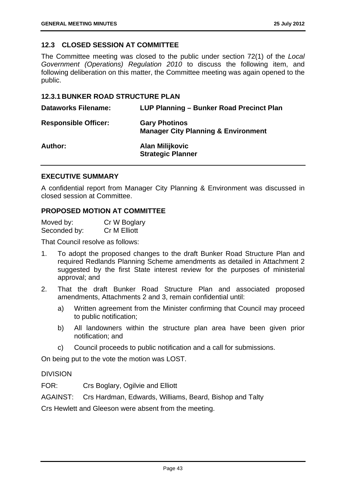# **12.3 CLOSED SESSION AT COMMITTEE**

The Committee meeting was closed to the public under section 72(1) of the *Local Government (Operations) Regulation 2010* to discuss the following item, and following deliberation on this matter, the Committee meeting was again opened to the public.

### **12.3.1 BUNKER ROAD STRUCTURE PLAN**

| <b>Dataworks Filename:</b>  | LUP Planning - Bunker Road Precinct Plan                               |
|-----------------------------|------------------------------------------------------------------------|
| <b>Responsible Officer:</b> | <b>Gary Photinos</b><br><b>Manager City Planning &amp; Environment</b> |
| <b>Author:</b>              | <b>Alan Milijkovic</b><br><b>Strategic Planner</b>                     |

### **EXECUTIVE SUMMARY**

A confidential report from Manager City Planning & Environment was discussed in closed session at Committee.

### **PROPOSED MOTION AT COMMITTEE**

| Moved by:    | Cr W Boglary |
|--------------|--------------|
| Seconded by: | Cr M Elliott |

That Council resolve as follows:

- 1. To adopt the proposed changes to the draft Bunker Road Structure Plan and required Redlands Planning Scheme amendments as detailed in Attachment 2 suggested by the first State interest review for the purposes of ministerial approval; and
- 2. That the draft Bunker Road Structure Plan and associated proposed amendments, Attachments 2 and 3, remain confidential until:
	- a) Written agreement from the Minister confirming that Council may proceed to public notification;
	- b) All landowners within the structure plan area have been given prior notification; and
	- c) Council proceeds to public notification and a call for submissions.

On being put to the vote the motion was LOST.

#### DIVISION

FOR: Crs Boglary, Ogilvie and Elliott

AGAINST: Crs Hardman, Edwards, Williams, Beard, Bishop and Talty

Crs Hewlett and Gleeson were absent from the meeting.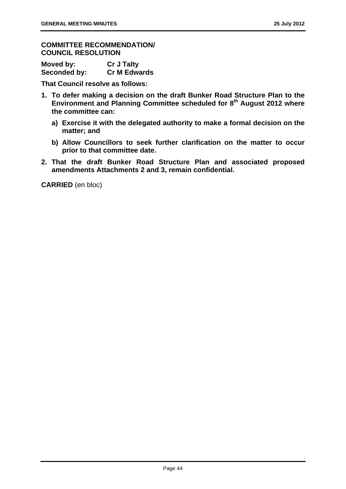## **COMMITTEE RECOMMENDATION/ COUNCIL RESOLUTION**

| Moved by:    | <b>Cr J Talty</b>   |
|--------------|---------------------|
| Seconded by: | <b>Cr M Edwards</b> |

**That Council resolve as follows:** 

- **1. To defer making a decision on the draft Bunker Road Structure Plan to the Environment and Planning Committee scheduled for 8th August 2012 where the committee can:** 
	- **a) Exercise it with the delegated authority to make a formal decision on the matter; and**
	- **b) Allow Councillors to seek further clarification on the matter to occur prior to that committee date.**
- **2. That the draft Bunker Road Structure Plan and associated proposed amendments Attachments 2 and 3, remain confidential.**

**CARRIED** (en bloc)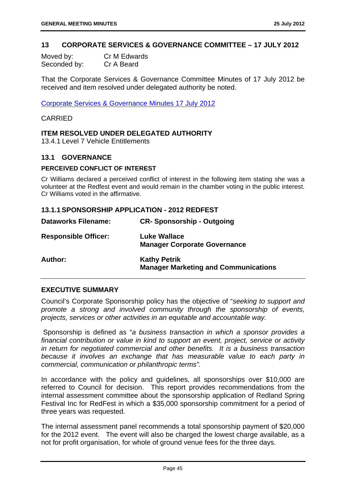### **13 CORPORATE SERVICES & GOVERNANCE COMMITTEE – 17 JULY 2012**

| Moved by:    | Cr M Edwards |
|--------------|--------------|
| Seconded by: | Cr A Beard   |

That the Corporate Services & Governance Committee Minutes of 17 July 2012 be received and item resolved under delegated authority be noted.

Corporate Services & Governance Minutes 17 July 2012

#### CARRIED

# **ITEM RESOLVED UNDER DELEGATED AUTHORITY**

13.4.1 Level 7 Vehicle Entitlements

### **13.1 GOVERNANCE**

#### **PERCEIVED CONFLICT OF INTEREST**

Cr Williams declared a perceived conflict of interest in the following item stating she was a volunteer at the Redfest event and would remain in the chamber voting in the public interest. Cr Williams voted in the affirmative.

## **13.1.1 SPONSORSHIP APPLICATION - 2012 REDFEST**

| <b>Dataworks Filename:</b>  | <b>CR-Sponsorship - Outgoing</b>                                   |
|-----------------------------|--------------------------------------------------------------------|
| <b>Responsible Officer:</b> | <b>Luke Wallace</b><br><b>Manager Corporate Governance</b>         |
| <b>Author:</b>              | <b>Kathy Petrik</b><br><b>Manager Marketing and Communications</b> |

# **EXECUTIVE SUMMARY**

Council's Corporate Sponsorship policy has the objective of "*seeking to support and promote a strong and involved community through the sponsorship of events, projects, services or other activities in an equitable and accountable way.* 

 Sponsorship is defined as "*a business transaction in which a sponsor provides a financial contribution or value in kind to support an event, project, service or activity in return for negotiated commercial and other benefits. It is a business transaction because it involves an exchange that has measurable value to each party in commercial, communication or philanthropic terms".* 

In accordance with the policy and guidelines, all sponsorships over \$10,000 are referred to Council for decision. This report provides recommendations from the internal assessment committee about the sponsorship application of Redland Spring Festival Inc for RedFest in which a \$35,000 sponsorship commitment for a period of three years was requested.

The internal assessment panel recommends a total sponsorship payment of \$20,000 for the 2012 event. The event will also be charged the lowest charge available, as a not for profit organisation, for whole of ground venue fees for the three days.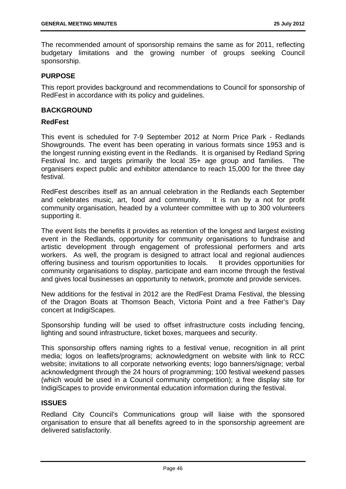The recommended amount of sponsorship remains the same as for 2011, reflecting budgetary limitations and the growing number of groups seeking Council sponsorship.

#### **PURPOSE**

This report provides background and recommendations to Council for sponsorship of RedFest in accordance with its policy and guidelines.

#### **BACKGROUND**

#### **RedFest**

This event is scheduled for 7-9 September 2012 at Norm Price Park - Redlands Showgrounds. The event has been operating in various formats since 1953 and is the longest running existing event in the Redlands. It is organised by Redland Spring Festival Inc. and targets primarily the local 35+ age group and families. The organisers expect public and exhibitor attendance to reach 15,000 for the three day festival.

RedFest describes itself as an annual celebration in the Redlands each September and celebrates music, art, food and community. It is run by a not for profit community organisation, headed by a volunteer committee with up to 300 volunteers supporting it.

The event lists the benefits it provides as retention of the longest and largest existing event in the Redlands, opportunity for community organisations to fundraise and artistic development through engagement of professional performers and arts workers. As well, the program is designed to attract local and regional audiences offering business and tourism opportunities to locals. It provides opportunities for community organisations to display, participate and earn income through the festival and gives local businesses an opportunity to network, promote and provide services.

New additions for the festival in 2012 are the RedFest Drama Festival, the blessing of the Dragon Boats at Thomson Beach, Victoria Point and a free Father's Day concert at IndigiScapes.

Sponsorship funding will be used to offset infrastructure costs including fencing, lighting and sound infrastructure, ticket boxes, marquees and security.

This sponsorship offers naming rights to a festival venue, recognition in all print media; logos on leaflets/programs; acknowledgment on website with link to RCC website; invitations to all corporate networking events; logo banners/signage; verbal acknowledgment through the 24 hours of programming; 100 festival weekend passes (which would be used in a Council community competition); a free display site for IndigiScapes to provide environmental education information during the festival.

#### **ISSUES**

Redland City Council's Communications group will liaise with the sponsored organisation to ensure that all benefits agreed to in the sponsorship agreement are delivered satisfactorily.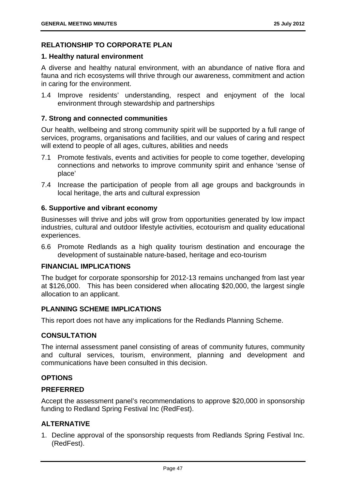# **RELATIONSHIP TO CORPORATE PLAN**

### **1. Healthy natural environment**

A diverse and healthy natural environment, with an abundance of native flora and fauna and rich ecosystems will thrive through our awareness, commitment and action in caring for the environment.

1.4 Improve residents' understanding, respect and enjoyment of the local environment through stewardship and partnerships

# **7. Strong and connected communities**

Our health, wellbeing and strong community spirit will be supported by a full range of services, programs, organisations and facilities, and our values of caring and respect will extend to people of all ages, cultures, abilities and needs

- 7.1 Promote festivals, events and activities for people to come together, developing connections and networks to improve community spirit and enhance 'sense of place'
- 7.4 Increase the participation of people from all age groups and backgrounds in local heritage, the arts and cultural expression

### **6. Supportive and vibrant economy**

Businesses will thrive and jobs will grow from opportunities generated by low impact industries, cultural and outdoor lifestyle activities, ecotourism and quality educational experiences.

6.6 Promote Redlands as a high quality tourism destination and encourage the development of sustainable nature-based, heritage and eco-tourism

#### **FINANCIAL IMPLICATIONS**

The budget for corporate sponsorship for 2012-13 remains unchanged from last year at \$126,000. This has been considered when allocating \$20,000, the largest single allocation to an applicant.

# **PLANNING SCHEME IMPLICATIONS**

This report does not have any implications for the Redlands Planning Scheme.

# **CONSULTATION**

The internal assessment panel consisting of areas of community futures, community and cultural services, tourism, environment, planning and development and communications have been consulted in this decision.

# **OPTIONS**

# **PREFERRED**

Accept the assessment panel's recommendations to approve \$20,000 in sponsorship funding to Redland Spring Festival Inc (RedFest).

# **ALTERNATIVE**

1. Decline approval of the sponsorship requests from Redlands Spring Festival Inc. (RedFest).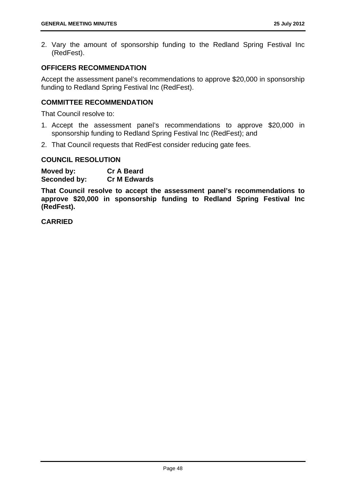2. Vary the amount of sponsorship funding to the Redland Spring Festival Inc (RedFest).

### **OFFICERS RECOMMENDATION**

Accept the assessment panel's recommendations to approve \$20,000 in sponsorship funding to Redland Spring Festival Inc (RedFest).

# **COMMITTEE RECOMMENDATION**

That Council resolve to:

- 1. Accept the assessment panel's recommendations to approve \$20,000 in sponsorship funding to Redland Spring Festival Inc (RedFest); and
- 2. That Council requests that RedFest consider reducing gate fees.

#### **COUNCIL RESOLUTION**

**Moved by: Cr A Beard Seconded by: Cr M Edwards** 

**That Council resolve to accept the assessment panel's recommendations to approve \$20,000 in sponsorship funding to Redland Spring Festival Inc (RedFest).** 

**CARRIED**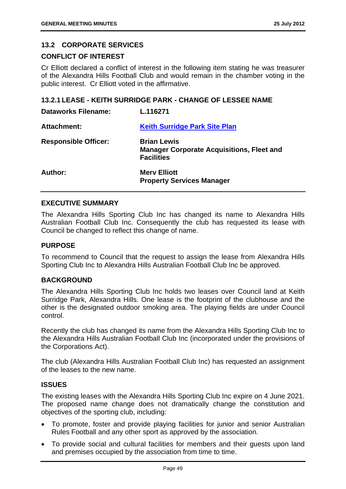# **13.2 CORPORATE SERVICES**

## **CONFLICT OF INTEREST**

Cr Elliott declared a conflict of interest in the following item stating he was treasurer of the Alexandra Hills Football Club and would remain in the chamber voting in the public interest. Cr Elliott voted in the affirmative.

# **13.2.1 LEASE - KEITH SURRIDGE PARK - CHANGE OF LESSEE NAME**

| <b>Dataworks Filename:</b>  | L.116271                                                                                    |
|-----------------------------|---------------------------------------------------------------------------------------------|
| <b>Attachment:</b>          | <b>Keith Surridge Park Site Plan</b>                                                        |
| <b>Responsible Officer:</b> | <b>Brian Lewis</b><br><b>Manager Corporate Acquisitions, Fleet and</b><br><b>Facilities</b> |
| Author:                     | <b>Mery Elliott</b><br><b>Property Services Manager</b>                                     |

### **EXECUTIVE SUMMARY**

The Alexandra Hills Sporting Club Inc has changed its name to Alexandra Hills Australian Football Club Inc. Consequently the club has requested its lease with Council be changed to reflect this change of name.

### **PURPOSE**

To recommend to Council that the request to assign the lease from Alexandra Hills Sporting Club Inc to Alexandra Hills Australian Football Club Inc be approved.

#### **BACKGROUND**

The Alexandra Hills Sporting Club Inc holds two leases over Council land at Keith Surridge Park, Alexandra Hills. One lease is the footprint of the clubhouse and the other is the designated outdoor smoking area. The playing fields are under Council control.

Recently the club has changed its name from the Alexandra Hills Sporting Club Inc to the Alexandra Hills Australian Football Club Inc (incorporated under the provisions of the Corporations Act).

The club (Alexandra Hills Australian Football Club Inc) has requested an assignment of the leases to the new name.

#### **ISSUES**

The existing leases with the Alexandra Hills Sporting Club Inc expire on 4 June 2021. The proposed name change does not dramatically change the constitution and objectives of the sporting club, including:

- To promote, foster and provide playing facilities for junior and senior Australian Rules Football and any other sport as approved by the association.
- To provide social and cultural facilities for members and their guests upon land and premises occupied by the association from time to time.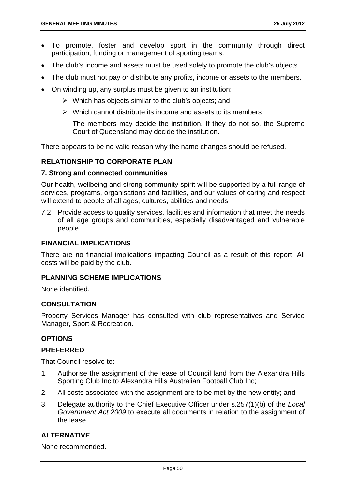- To promote, foster and develop sport in the community through direct participation, funding or management of sporting teams.
- The club's income and assets must be used solely to promote the club's objects.
- The club must not pay or distribute any profits, income or assets to the members.
- On winding up, any surplus must be given to an institution:
	- $\triangleright$  Which has objects similar to the club's objects; and
	- $\triangleright$  Which cannot distribute its income and assets to its members

The members may decide the institution. If they do not so, the Supreme Court of Queensland may decide the institution.

There appears to be no valid reason why the name changes should be refused.

### **RELATIONSHIP TO CORPORATE PLAN**

#### **7. Strong and connected communities**

Our health, wellbeing and strong community spirit will be supported by a full range of services, programs, organisations and facilities, and our values of caring and respect will extend to people of all ages, cultures, abilities and needs

7.2 Provide access to quality services, facilities and information that meet the needs of all age groups and communities, especially disadvantaged and vulnerable people

### **FINANCIAL IMPLICATIONS**

There are no financial implications impacting Council as a result of this report. All costs will be paid by the club.

#### **PLANNING SCHEME IMPLICATIONS**

None identified.

### **CONSULTATION**

Property Services Manager has consulted with club representatives and Service Manager, Sport & Recreation.

#### **OPTIONS**

#### **PREFERRED**

That Council resolve to:

- 1. Authorise the assignment of the lease of Council land from the Alexandra Hills Sporting Club Inc to Alexandra Hills Australian Football Club Inc;
- 2. All costs associated with the assignment are to be met by the new entity; and
- 3. Delegate authority to the Chief Executive Officer under s.257(1)(b) of the *Local Government Act 2009* to execute all documents in relation to the assignment of the lease.

#### **ALTERNATIVE**

None recommended.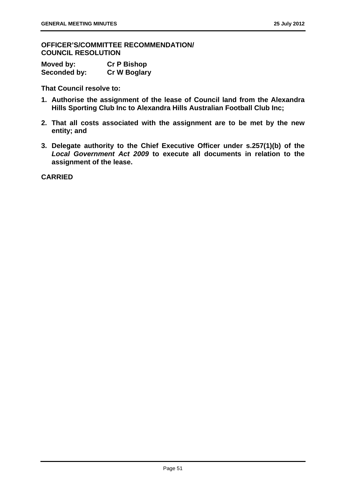**OFFICER'S/COMMITTEE RECOMMENDATION/ COUNCIL RESOLUTION** 

| Moved by:    | <b>Cr P Bishop</b>  |
|--------------|---------------------|
| Seconded by: | <b>Cr W Boglary</b> |

**That Council resolve to:** 

- **1. Authorise the assignment of the lease of Council land from the Alexandra Hills Sporting Club Inc to Alexandra Hills Australian Football Club Inc;**
- **2. That all costs associated with the assignment are to be met by the new entity; and**
- **3. Delegate authority to the Chief Executive Officer under s.257(1)(b) of the**  *Local Government Act 2009* **to execute all documents in relation to the assignment of the lease.**

**CARRIED**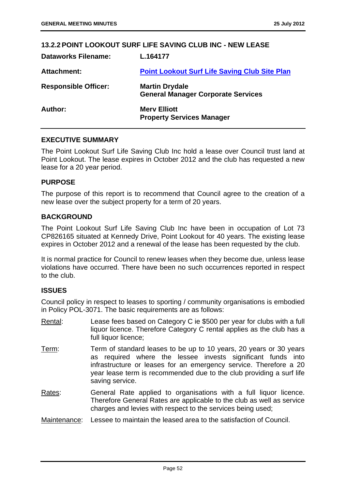| <b>13.2.2 POINT LOOKOUT SURF LIFE SAVING CLUB INC - NEW LEASE</b> |                                                                    |
|-------------------------------------------------------------------|--------------------------------------------------------------------|
| <b>Dataworks Filename:</b>                                        | L.164177                                                           |
| Attachment:                                                       | <b>Point Lookout Surf Life Saving Club Site Plan</b>               |
| <b>Responsible Officer:</b>                                       | <b>Martin Drydale</b><br><b>General Manager Corporate Services</b> |
| Author:                                                           | <b>Mery Elliott</b><br><b>Property Services Manager</b>            |

### **EXECUTIVE SUMMARY**

The Point Lookout Surf Life Saving Club Inc hold a lease over Council trust land at Point Lookout. The lease expires in October 2012 and the club has requested a new lease for a 20 year period.

#### **PURPOSE**

The purpose of this report is to recommend that Council agree to the creation of a new lease over the subject property for a term of 20 years.

#### **BACKGROUND**

The Point Lookout Surf Life Saving Club Inc have been in occupation of Lot 73 CP826165 situated at Kennedy Drive, Point Lookout for 40 years. The existing lease expires in October 2012 and a renewal of the lease has been requested by the club.

It is normal practice for Council to renew leases when they become due, unless lease violations have occurred. There have been no such occurrences reported in respect to the club.

#### **ISSUES**

Council policy in respect to leases to sporting / community organisations is embodied in Policy POL-3071. The basic requirements are as follows:

- Rental: Lease fees based on Category C ie \$500 per year for clubs with a full liquor licence. Therefore Category C rental applies as the club has a full liquor licence:
- Term: Term of standard leases to be up to 10 years, 20 years or 30 years as required where the lessee invests significant funds into infrastructure or leases for an emergency service. Therefore a 20 year lease term is recommended due to the club providing a surf life saving service.
- Rates: General Rate applied to organisations with a full liquor licence. Therefore General Rates are applicable to the club as well as service charges and levies with respect to the services being used;
- Maintenance: Lessee to maintain the leased area to the satisfaction of Council.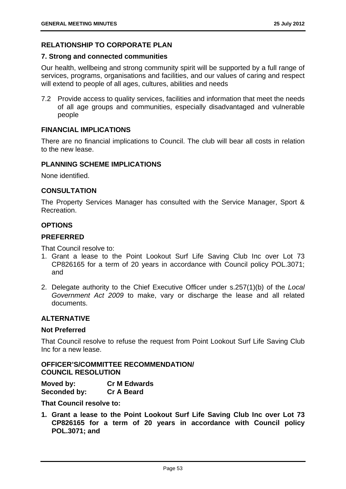# **RELATIONSHIP TO CORPORATE PLAN**

#### **7. Strong and connected communities**

Our health, wellbeing and strong community spirit will be supported by a full range of services, programs, organisations and facilities, and our values of caring and respect will extend to people of all ages, cultures, abilities and needs

7.2 Provide access to quality services, facilities and information that meet the needs of all age groups and communities, especially disadvantaged and vulnerable people

### **FINANCIAL IMPLICATIONS**

There are no financial implications to Council. The club will bear all costs in relation to the new lease.

### **PLANNING SCHEME IMPLICATIONS**

None identified.

### **CONSULTATION**

The Property Services Manager has consulted with the Service Manager, Sport & Recreation.

#### **OPTIONS**

## **PREFERRED**

That Council resolve to:

- 1. Grant a lease to the Point Lookout Surf Life Saving Club Inc over Lot 73 CP826165 for a term of 20 years in accordance with Council policy POL.3071; and
- 2. Delegate authority to the Chief Executive Officer under s.257(1)(b) of the *Local Government Act 2009* to make, vary or discharge the lease and all related documents.

### **ALTERNATIVE**

#### **Not Preferred**

That Council resolve to refuse the request from Point Lookout Surf Life Saving Club Inc for a new lease.

# **OFFICER'S/COMMITTEE RECOMMENDATION/ COUNCIL RESOLUTION**

**Moved by: Cr M Edwards Seconded by: Cr A Beard** 

**That Council resolve to:** 

**1. Grant a lease to the Point Lookout Surf Life Saving Club Inc over Lot 73 CP826165 for a term of 20 years in accordance with Council policy POL.3071; and**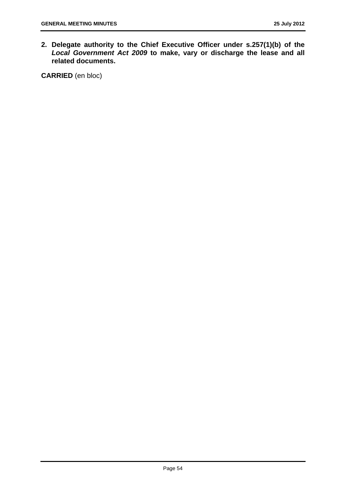**2. Delegate authority to the Chief Executive Officer under s.257(1)(b) of the**  *Local Government Act 2009* **to make, vary or discharge the lease and all related documents.** 

**CARRIED** (en bloc)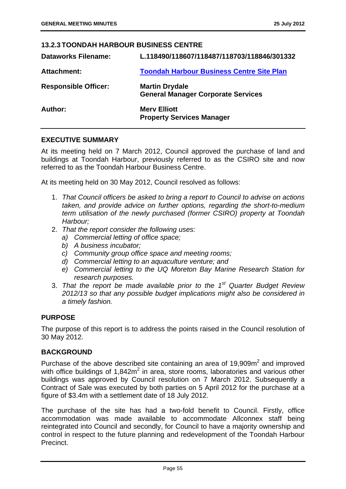### **13.2.3 TOONDAH HARBOUR BUSINESS CENTRE**

| <b>Dataworks Filename:</b>  | L.118490/118607/118487/118703/118846/301332                        |
|-----------------------------|--------------------------------------------------------------------|
| <b>Attachment:</b>          | <b>Toondah Harbour Business Centre Site Plan</b>                   |
| <b>Responsible Officer:</b> | <b>Martin Drydale</b><br><b>General Manager Corporate Services</b> |
| Author:                     | <b>Merv Elliott</b><br><b>Property Services Manager</b>            |

### **EXECUTIVE SUMMARY**

At its meeting held on 7 March 2012, Council approved the purchase of land and buildings at Toondah Harbour, previously referred to as the CSIRO site and now referred to as the Toondah Harbour Business Centre.

At its meeting held on 30 May 2012, Council resolved as follows:

- 1. *That Council officers be asked to bring a report to Council to advise on actions taken, and provide advice on further options, regarding the short-to-medium term utilisation of the newly purchased (former CSIRO) property at Toondah Harbour;*
- 2. *That the report consider the following uses:* 
	- *a) Commercial letting of office space;*
	- *b) A business incubator;*
	- *c) Community group office space and meeting rooms;*
	- *d) Commercial letting to an aquaculture venture; and*
	- *e) Commercial letting to the UQ Moreton Bay Marine Research Station for research purposes.*
- 3. *That the report be made available prior to the 1st Quarter Budget Review 2012/13 so that any possible budget implications might also be considered in a timely fashion.*

### **PURPOSE**

The purpose of this report is to address the points raised in the Council resolution of 30 May 2012.

#### **BACKGROUND**

Purchase of the above described site containing an area of  $19,909m^2$  and improved with office buildings of  $1,842m^2$  in area, store rooms, laboratories and various other buildings was approved by Council resolution on 7 March 2012. Subsequently a Contract of Sale was executed by both parties on 5 April 2012 for the purchase at a figure of \$3.4m with a settlement date of 18 July 2012.

The purchase of the site has had a two-fold benefit to Council. Firstly, office accommodation was made available to accommodate Allconnex staff being reintegrated into Council and secondly, for Council to have a majority ownership and control in respect to the future planning and redevelopment of the Toondah Harbour Precinct.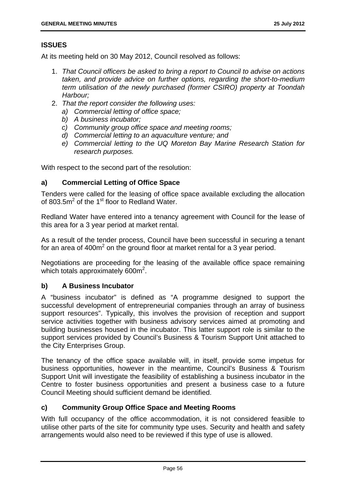# **ISSUES**

At its meeting held on 30 May 2012, Council resolved as follows:

- 1. *That Council officers be asked to bring a report to Council to advise on actions taken, and provide advice on further options, regarding the short-to-medium term utilisation of the newly purchased (former CSIRO) property at Toondah Harbour;*
- 2. *That the report consider the following uses:* 
	- *a) Commercial letting of office space;*
	- *b) A business incubator;*
	- *c) Community group office space and meeting rooms;*
	- *d) Commercial letting to an aquaculture venture; and*
	- *e) Commercial letting to the UQ Moreton Bay Marine Research Station for research purposes.*

With respect to the second part of the resolution:

# **a) Commercial Letting of Office Space**

Tenders were called for the leasing of office space available excluding the allocation of 803.5 $m<sup>2</sup>$  of the 1<sup>st</sup> floor to Redland Water.

Redland Water have entered into a tenancy agreement with Council for the lease of this area for a 3 year period at market rental.

As a result of the tender process, Council have been successful in securing a tenant for an area of 400 $m^2$  on the ground floor at market rental for a 3 year period.

Negotiations are proceeding for the leasing of the available office space remaining which totals approximately  $600m^2$ .

# **b) A Business Incubator**

A "business incubator" is defined as "A programme designed to support the successful development of entrepreneurial companies through an array of business support resources". Typically, this involves the provision of reception and support service activities together with business advisory services aimed at promoting and building businesses housed in the incubator. This latter support role is similar to the support services provided by Council's Business & Tourism Support Unit attached to the City Enterprises Group.

The tenancy of the office space available will, in itself, provide some impetus for business opportunities, however in the meantime, Council's Business & Tourism Support Unit will investigate the feasibility of establishing a business incubator in the Centre to foster business opportunities and present a business case to a future Council Meeting should sufficient demand be identified.

# **c) Community Group Office Space and Meeting Rooms**

With full occupancy of the office accommodation, it is not considered feasible to utilise other parts of the site for community type uses. Security and health and safety arrangements would also need to be reviewed if this type of use is allowed.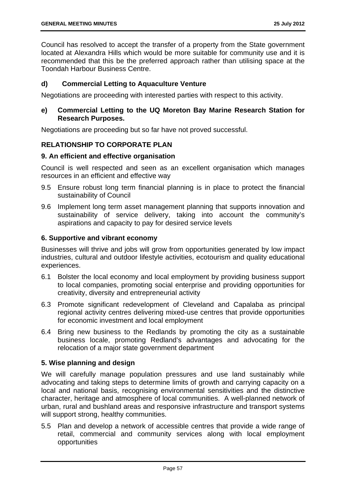Council has resolved to accept the transfer of a property from the State government located at Alexandra Hills which would be more suitable for community use and it is recommended that this be the preferred approach rather than utilising space at the Toondah Harbour Business Centre.

# **d) Commercial Letting to Aquaculture Venture**

Negotiations are proceeding with interested parties with respect to this activity.

# **e) Commercial Letting to the UQ Moreton Bay Marine Research Station for Research Purposes.**

Negotiations are proceeding but so far have not proved successful.

# **RELATIONSHIP TO CORPORATE PLAN**

### **9. An efficient and effective organisation**

Council is well respected and seen as an excellent organisation which manages resources in an efficient and effective way

- 9.5 Ensure robust long term financial planning is in place to protect the financial sustainability of Council
- 9.6 Implement long term asset management planning that supports innovation and sustainability of service delivery, taking into account the community's aspirations and capacity to pay for desired service levels

## **6. Supportive and vibrant economy**

Businesses will thrive and jobs will grow from opportunities generated by low impact industries, cultural and outdoor lifestyle activities, ecotourism and quality educational experiences.

- 6.1 Bolster the local economy and local employment by providing business support to local companies, promoting social enterprise and providing opportunities for creativity, diversity and entrepreneurial activity
- 6.3 Promote significant redevelopment of Cleveland and Capalaba as principal regional activity centres delivering mixed-use centres that provide opportunities for economic investment and local employment
- 6.4 Bring new business to the Redlands by promoting the city as a sustainable business locale, promoting Redland's advantages and advocating for the relocation of a major state government department

# **5. Wise planning and design**

We will carefully manage population pressures and use land sustainably while advocating and taking steps to determine limits of growth and carrying capacity on a local and national basis, recognising environmental sensitivities and the distinctive character, heritage and atmosphere of local communities. A well-planned network of urban, rural and bushland areas and responsive infrastructure and transport systems will support strong, healthy communities.

5.5 Plan and develop a network of accessible centres that provide a wide range of retail, commercial and community services along with local employment opportunities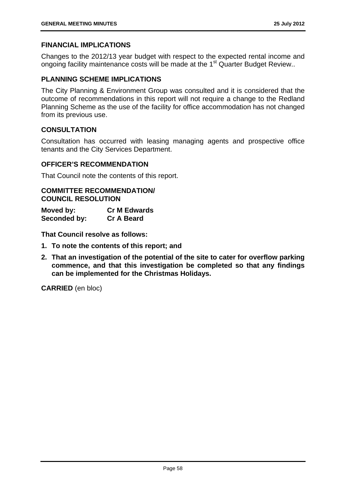# **FINANCIAL IMPLICATIONS**

Changes to the 2012/13 year budget with respect to the expected rental income and ongoing facility maintenance costs will be made at the 1<sup>st</sup> Quarter Budget Review..

# **PLANNING SCHEME IMPLICATIONS**

The City Planning & Environment Group was consulted and it is considered that the outcome of recommendations in this report will not require a change to the Redland Planning Scheme as the use of the facility for office accommodation has not changed from its previous use.

# **CONSULTATION**

Consultation has occurred with leasing managing agents and prospective office tenants and the City Services Department.

### **OFFICER'S RECOMMENDATION**

That Council note the contents of this report.

### **COMMITTEE RECOMMENDATION/ COUNCIL RESOLUTION**

**Moved by: Cr M Edwards Seconded by: Cr A Beard** 

**That Council resolve as follows:** 

- **1. To note the contents of this report; and**
- **2. That an investigation of the potential of the site to cater for overflow parking commence, and that this investigation be completed so that any findings can be implemented for the Christmas Holidays.**

**CARRIED** (en bloc)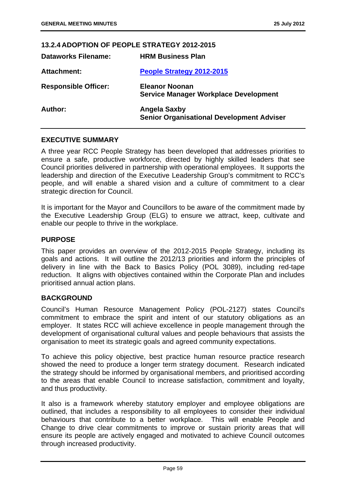| 13.2.4 ADOPTION OF PEOPLE STRATEGY 2012-2015 |                                                                         |
|----------------------------------------------|-------------------------------------------------------------------------|
| <b>Dataworks Filename:</b>                   | <b>HRM Business Plan</b>                                                |
| <b>Attachment:</b>                           | People Strategy 2012-2015                                               |
| <b>Responsible Officer:</b>                  | <b>Eleanor Noonan</b><br><b>Service Manager Workplace Development</b>   |
| Author:                                      | <b>Angela Saxby</b><br><b>Senior Organisational Development Adviser</b> |

### **EXECUTIVE SUMMARY**

A three year RCC People Strategy has been developed that addresses priorities to ensure a safe, productive workforce, directed by highly skilled leaders that see Council priorities delivered in partnership with operational employees. It supports the leadership and direction of the Executive Leadership Group's commitment to RCC's people, and will enable a shared vision and a culture of commitment to a clear strategic direction for Council.

It is important for the Mayor and Councillors to be aware of the commitment made by the Executive Leadership Group (ELG) to ensure we attract, keep, cultivate and enable our people to thrive in the workplace.

#### **PURPOSE**

This paper provides an overview of the 2012-2015 People Strategy, including its goals and actions. It will outline the 2012/13 priorities and inform the principles of delivery in line with the Back to Basics Policy (POL 3089), including red-tape reduction. It aligns with objectives contained within the Corporate Plan and includes prioritised annual action plans.

# **BACKGROUND**

Council's Human Resource Management Policy (POL-2127) states Council's commitment to embrace the spirit and intent of our statutory obligations as an employer. It states RCC will achieve excellence in people management through the development of organisational cultural values and people behaviours that assists the organisation to meet its strategic goals and agreed community expectations.

To achieve this policy objective, best practice human resource practice research showed the need to produce a longer term strategy document. Research indicated the strategy should be informed by organisational members, and prioritised according to the areas that enable Council to increase satisfaction, commitment and loyalty, and thus productivity.

It also is a framework whereby statutory employer and employee obligations are outlined, that includes a responsibility to all employees to consider their individual behaviours that contribute to a better workplace. This will enable People and Change to drive clear commitments to improve or sustain priority areas that will ensure its people are actively engaged and motivated to achieve Council outcomes through increased productivity.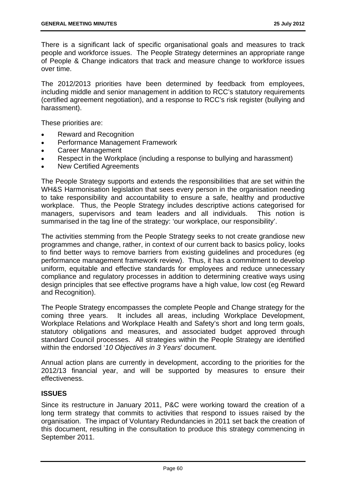There is a significant lack of specific organisational goals and measures to track people and workforce issues. The People Strategy determines an appropriate range of People & Change indicators that track and measure change to workforce issues over time.

The 2012/2013 priorities have been determined by feedback from employees, including middle and senior management in addition to RCC's statutory requirements (certified agreement negotiation), and a response to RCC's risk register (bullying and harassment).

These priorities are:

- Reward and Recognition
- Performance Management Framework
- Career Management
- Respect in the Workplace (including a response to bullying and harassment)
- New Certified Agreements

The People Strategy supports and extends the responsibilities that are set within the WH&S Harmonisation legislation that sees every person in the organisation needing to take responsibility and accountability to ensure a safe, healthy and productive workplace. Thus, the People Strategy includes descriptive actions categorised for managers, supervisors and team leaders and all individuals. This notion is summarised in the tag line of the strategy: 'our workplace, our responsibility'.

The activities stemming from the People Strategy seeks to not create grandiose new programmes and change, rather, in context of our current back to basics policy, looks to find better ways to remove barriers from existing guidelines and procedures (eg performance management framework review). Thus, it has a commitment to develop uniform, equitable and effective standards for employees and reduce unnecessary compliance and regulatory processes in addition to determining creative ways using design principles that see effective programs have a high value, low cost (eg Reward and Recognition).

The People Strategy encompasses the complete People and Change strategy for the coming three years. It includes all areas, including Workplace Development, Workplace Relations and Workplace Health and Safety's short and long term goals, statutory obligations and measures, and associated budget approved through standard Council processes. All strategies within the People Strategy are identified within the endorsed '*10 Objectives in 3 Years*' document.

Annual action plans are currently in development, according to the priorities for the 2012/13 financial year, and will be supported by measures to ensure their effectiveness.

# **ISSUES**

Since its restructure in January 2011, P&C were working toward the creation of a long term strategy that commits to activities that respond to issues raised by the organisation. The impact of Voluntary Redundancies in 2011 set back the creation of this document, resulting in the consultation to produce this strategy commencing in September 2011.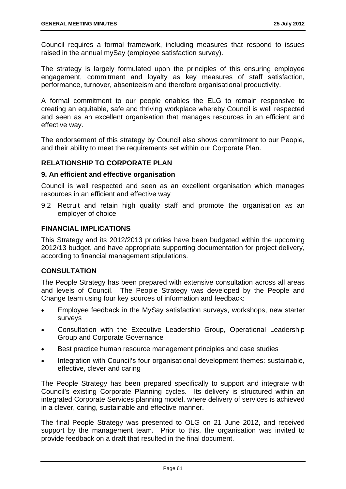Council requires a formal framework, including measures that respond to issues raised in the annual mySay (employee satisfaction survey).

The strategy is largely formulated upon the principles of this ensuring employee engagement, commitment and loyalty as key measures of staff satisfaction, performance, turnover, absenteeism and therefore organisational productivity.

A formal commitment to our people enables the ELG to remain responsive to creating an equitable, safe and thriving workplace whereby Council is well respected and seen as an excellent organisation that manages resources in an efficient and effective way.

The endorsement of this strategy by Council also shows commitment to our People, and their ability to meet the requirements set within our Corporate Plan.

# **RELATIONSHIP TO CORPORATE PLAN**

### **9. An efficient and effective organisation**

Council is well respected and seen as an excellent organisation which manages resources in an efficient and effective way

9.2 Recruit and retain high quality staff and promote the organisation as an employer of choice

# **FINANCIAL IMPLICATIONS**

This Strategy and its 2012/2013 priorities have been budgeted within the upcoming 2012/13 budget, and have appropriate supporting documentation for project delivery, according to financial management stipulations.

# **CONSULTATION**

The People Strategy has been prepared with extensive consultation across all areas and levels of Council. The People Strategy was developed by the People and Change team using four key sources of information and feedback:

- Employee feedback in the MySay satisfaction surveys, workshops, new starter surveys
- Consultation with the Executive Leadership Group, Operational Leadership Group and Corporate Governance
- Best practice human resource management principles and case studies
- Integration with Council's four organisational development themes: sustainable, effective, clever and caring

The People Strategy has been prepared specifically to support and integrate with Council's existing Corporate Planning cycles. Its delivery is structured within an integrated Corporate Services planning model, where delivery of services is achieved in a clever, caring, sustainable and effective manner.

The final People Strategy was presented to OLG on 21 June 2012, and received support by the management team. Prior to this, the organisation was invited to provide feedback on a draft that resulted in the final document.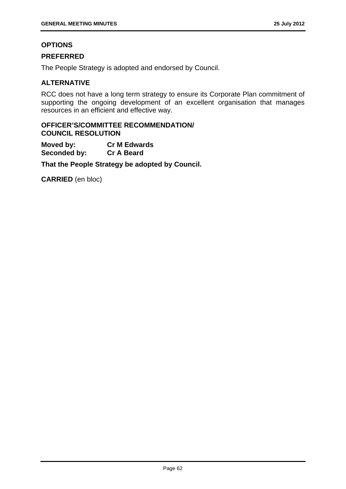# **OPTIONS**

# **PREFERRED**

The People Strategy is adopted and endorsed by Council.

# **ALTERNATIVE**

RCC does not have a long term strategy to ensure its Corporate Plan commitment of supporting the ongoing development of an excellent organisation that manages resources in an efficient and effective way.

# **OFFICER'S/COMMITTEE RECOMMENDATION/ COUNCIL RESOLUTION**

**Moved by: Cr M Edwards Seconded by: Cr A Beard** 

**That the People Strategy be adopted by Council.** 

**CARRIED** (en bloc)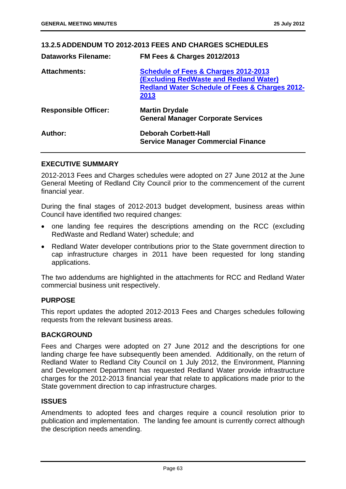### **13.2.5 ADDENDUM TO 2012-2013 FEES AND CHARGES SCHEDULES**

| <b>Dataworks Filename:</b>  | <b>FM Fees &amp; Charges 2012/2013</b>                                                                                                                     |
|-----------------------------|------------------------------------------------------------------------------------------------------------------------------------------------------------|
| <b>Attachments:</b>         | Schedule of Fees & Charges 2012-2013<br><b>(Excluding RedWaste and Redland Water)</b><br><b>Redland Water Schedule of Fees &amp; Charges 2012-</b><br>2013 |
| <b>Responsible Officer:</b> | <b>Martin Drydale</b><br><b>General Manager Corporate Services</b>                                                                                         |
| Author:                     | <b>Deborah Corbett-Hall</b><br><b>Service Manager Commercial Finance</b>                                                                                   |

#### **EXECUTIVE SUMMARY**

2012-2013 Fees and Charges schedules were adopted on 27 June 2012 at the June General Meeting of Redland City Council prior to the commencement of the current financial year.

During the final stages of 2012-2013 budget development, business areas within Council have identified two required changes:

- one landing fee requires the descriptions amending on the RCC (excluding RedWaste and Redland Water) schedule; and
- Redland Water developer contributions prior to the State government direction to cap infrastructure charges in 2011 have been requested for long standing applications.

The two addendums are highlighted in the attachments for RCC and Redland Water commercial business unit respectively.

#### **PURPOSE**

This report updates the adopted 2012-2013 Fees and Charges schedules following requests from the relevant business areas.

### **BACKGROUND**

Fees and Charges were adopted on 27 June 2012 and the descriptions for one landing charge fee have subsequently been amended. Additionally, on the return of Redland Water to Redland City Council on 1 July 2012, the Environment, Planning and Development Department has requested Redland Water provide infrastructure charges for the 2012-2013 financial year that relate to applications made prior to the State government direction to cap infrastructure charges.

### **ISSUES**

Amendments to adopted fees and charges require a council resolution prior to publication and implementation. The landing fee amount is currently correct although the description needs amending.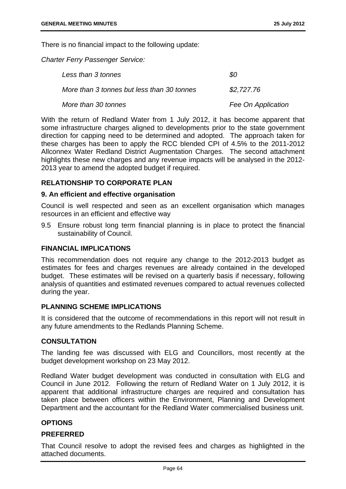There is no financial impact to the following update:

*Charter Ferry Passenger Service:* 

| Less than 3 tonnes                         | SO.                |
|--------------------------------------------|--------------------|
| More than 3 tonnes but less than 30 tonnes | \$2,727.76         |
| More than 30 tonnes                        | Fee On Application |

With the return of Redland Water from 1 July 2012, it has become apparent that some infrastructure charges aligned to developments prior to the state government direction for capping need to be determined and adopted. The approach taken for these charges has been to apply the RCC blended CPI of 4.5% to the 2011-2012 Allconnex Water Redland District Augmentation Charges. The second attachment highlights these new charges and any revenue impacts will be analysed in the 2012- 2013 year to amend the adopted budget if required.

### **RELATIONSHIP TO CORPORATE PLAN**

#### **9. An efficient and effective organisation**

Council is well respected and seen as an excellent organisation which manages resources in an efficient and effective way

9.5 Ensure robust long term financial planning is in place to protect the financial sustainability of Council.

#### **FINANCIAL IMPLICATIONS**

This recommendation does not require any change to the 2012-2013 budget as estimates for fees and charges revenues are already contained in the developed budget. These estimates will be revised on a quarterly basis if necessary, following analysis of quantities and estimated revenues compared to actual revenues collected during the year.

#### **PLANNING SCHEME IMPLICATIONS**

It is considered that the outcome of recommendations in this report will not result in any future amendments to the Redlands Planning Scheme.

### **CONSULTATION**

The landing fee was discussed with ELG and Councillors, most recently at the budget development workshop on 23 May 2012.

Redland Water budget development was conducted in consultation with ELG and Council in June 2012. Following the return of Redland Water on 1 July 2012, it is apparent that additional infrastructure charges are required and consultation has taken place between officers within the Environment, Planning and Development Department and the accountant for the Redland Water commercialised business unit.

### **OPTIONS**

#### **PREFERRED**

That Council resolve to adopt the revised fees and charges as highlighted in the attached documents.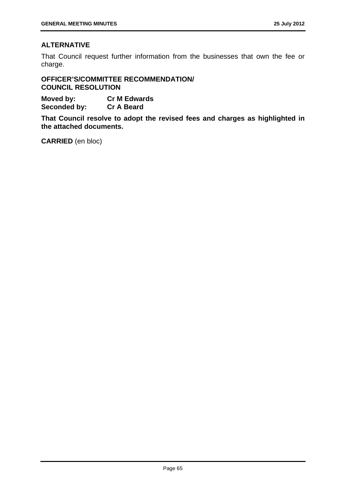# **ALTERNATIVE**

That Council request further information from the businesses that own the fee or charge.

**OFFICER'S/COMMITTEE RECOMMENDATION/ COUNCIL RESOLUTION** 

**Moved by: Cr M Edwards Seconded by: Cr A Beard** 

**That Council resolve to adopt the revised fees and charges as highlighted in the attached documents.** 

**CARRIED** (en bloc)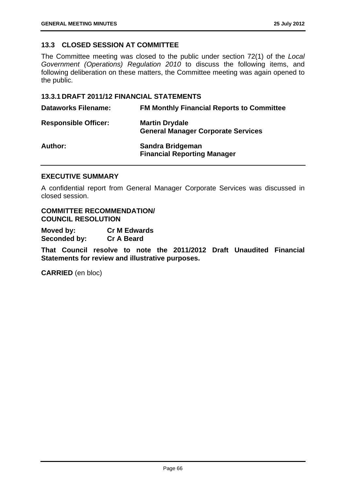# **13.3 CLOSED SESSION AT COMMITTEE**

The Committee meeting was closed to the public under section 72(1) of the *Local Government (Operations) Regulation 2010* to discuss the following items, and following deliberation on these matters, the Committee meeting was again opened to the public.

### **13.3.1 DRAFT 2011/12 FINANCIAL STATEMENTS**

| <b>Dataworks Filename:</b>  | <b>FM Monthly Financial Reports to Committee</b>                   |
|-----------------------------|--------------------------------------------------------------------|
| <b>Responsible Officer:</b> | <b>Martin Drydale</b><br><b>General Manager Corporate Services</b> |
| <b>Author:</b>              | Sandra Bridgeman<br><b>Financial Reporting Manager</b>             |

#### **EXECUTIVE SUMMARY**

A confidential report from General Manager Corporate Services was discussed in closed session.

**COMMITTEE RECOMMENDATION/ COUNCIL RESOLUTION** 

**Moved by: Cr M Edwards Seconded by: Cr A Beard** 

**That Council resolve to note the 2011/2012 Draft Unaudited Financial Statements for review and illustrative purposes.** 

**CARRIED** (en bloc)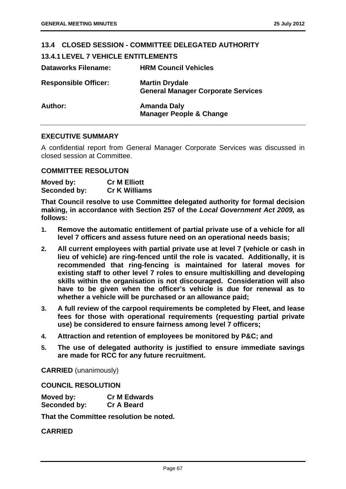| 13.4 CLOSED SESSION - COMMITTEE DELEGATED AUTHORITY |                                                                    |
|-----------------------------------------------------|--------------------------------------------------------------------|
| <b>13.4.1 LEVEL 7 VEHICLE ENTITLEMENTS</b>          |                                                                    |
| <b>Dataworks Filename:</b>                          | <b>HRM Council Vehicles</b>                                        |
| <b>Responsible Officer:</b>                         | <b>Martin Drydale</b><br><b>General Manager Corporate Services</b> |
| Author:                                             | <b>Amanda Daly</b><br><b>Manager People &amp; Change</b>           |

### **EXECUTIVE SUMMARY**

A confidential report from General Manager Corporate Services was discussed in closed session at Committee.

# **COMMITTEE RESOLUTON**

| Moved by:    | <b>Cr M Elliott</b>  |
|--------------|----------------------|
| Seconded by: | <b>Cr K Williams</b> |

**That Council resolve to use Committee delegated authority for formal decision making, in accordance with Section 257 of the** *Local Government Act 2009,* **as follows:** 

- **1. Remove the automatic entitlement of partial private use of a vehicle for all level 7 officers and assess future need on an operational needs basis;**
- **2. All current employees with partial private use at level 7 (vehicle or cash in lieu of vehicle) are ring-fenced until the role is vacated. Additionally, it is recommended that ring-fencing is maintained for lateral moves for existing staff to other level 7 roles to ensure multiskilling and developing skills within the organisation is not discouraged. Consideration will also have to be given when the officer's vehicle is due for renewal as to whether a vehicle will be purchased or an allowance paid;**
- **3. A full review of the carpool requirements be completed by Fleet, and lease fees for those with operational requirements (requesting partial private use) be considered to ensure fairness among level 7 officers;**
- **4. Attraction and retention of employees be monitored by P&C; and**
- **5. The use of delegated authority is justified to ensure immediate savings are made for RCC for any future recruitment.**

**CARRIED** (unanimously)

**COUNCIL RESOLUTION** 

| Moved by:    | <b>Cr M Edwards</b> |
|--------------|---------------------|
| Seconded by: | <b>Cr A Beard</b>   |

**That the Committee resolution be noted.** 

**CARRIED**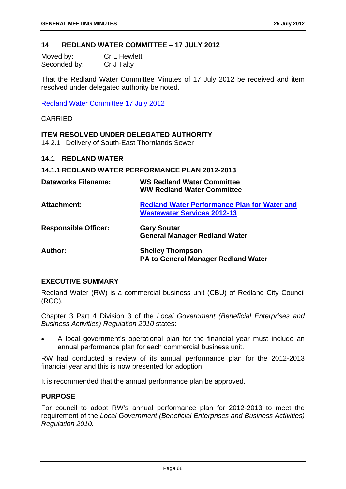### **14 REDLAND WATER COMMITTEE – 17 JULY 2012**

| Moved by:    | <b>Cr L Hewlett</b> |
|--------------|---------------------|
| Seconded by: | Cr J Talty          |

That the Redland Water Committee Minutes of 17 July 2012 be received and item resolved under delegated authority be noted.

Redland Water Committee 17 July 2012

### CARRIED

### **ITEM RESOLVED UNDER DELEGATED AUTHORITY**

14.2.1 Delivery of South-East Thornlands Sewer

#### **14.1 REDLAND WATER**

#### **14.1.1 REDLAND WATER PERFORMANCE PLAN 2012-2013**

| <b>Dataworks Filename:</b>  | <b>WS Redland Water Committee</b><br><b>WW Redland Water Committee</b>                    |
|-----------------------------|-------------------------------------------------------------------------------------------|
| <b>Attachment:</b>          | <b>Redland Water Performance Plan for Water and</b><br><b>Wastewater Services 2012-13</b> |
| <b>Responsible Officer:</b> | <b>Gary Soutar</b><br><b>General Manager Redland Water</b>                                |
| Author:                     | <b>Shelley Thompson</b><br><b>PA to General Manager Redland Water</b>                     |

### **EXECUTIVE SUMMARY**

Redland Water (RW) is a commercial business unit (CBU) of Redland City Council (RCC).

Chapter 3 Part 4 Division 3 of the *Local Government (Beneficial Enterprises and Business Activities) Regulation 2010* states:

 A local government's operational plan for the financial year must include an annual performance plan for each commercial business unit.

RW had conducted a review of its annual performance plan for the 2012-2013 financial year and this is now presented for adoption.

It is recommended that the annual performance plan be approved.

### **PURPOSE**

For council to adopt RW's annual performance plan for 2012-2013 to meet the requirement of the *Local Government (Beneficial Enterprises and Business Activities) Regulation 2010.*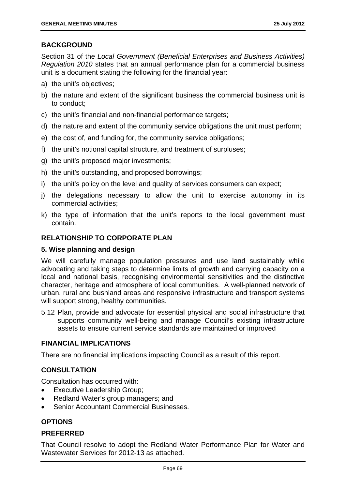# **BACKGROUND**

Section 31 of the *Local Government (Beneficial Enterprises and Business Activities) Regulation 2010* states that an annual performance plan for a commercial business unit is a document stating the following for the financial year:

- a) the unit's objectives;
- b) the nature and extent of the significant business the commercial business unit is to conduct;
- c) the unit's financial and non-financial performance targets;
- d) the nature and extent of the community service obligations the unit must perform;
- e) the cost of, and funding for, the community service obligations;
- f) the unit's notional capital structure, and treatment of surpluses;
- g) the unit's proposed major investments;
- h) the unit's outstanding, and proposed borrowings;
- i) the unit's policy on the level and quality of services consumers can expect;
- j) the delegations necessary to allow the unit to exercise autonomy in its commercial activities;
- k) the type of information that the unit's reports to the local government must contain.

# **RELATIONSHIP TO CORPORATE PLAN**

# **5. Wise planning and design**

We will carefully manage population pressures and use land sustainably while advocating and taking steps to determine limits of growth and carrying capacity on a local and national basis, recognising environmental sensitivities and the distinctive character, heritage and atmosphere of local communities. A well-planned network of urban, rural and bushland areas and responsive infrastructure and transport systems will support strong, healthy communities.

5.12 Plan, provide and advocate for essential physical and social infrastructure that supports community well-being and manage Council's existing infrastructure assets to ensure current service standards are maintained or improved

# **FINANCIAL IMPLICATIONS**

There are no financial implications impacting Council as a result of this report.

# **CONSULTATION**

Consultation has occurred with:

- Executive Leadership Group;
- Redland Water's group managers; and
- Senior Accountant Commercial Businesses.

# **OPTIONS**

# **PREFERRED**

That Council resolve to adopt the Redland Water Performance Plan for Water and Wastewater Services for 2012-13 as attached.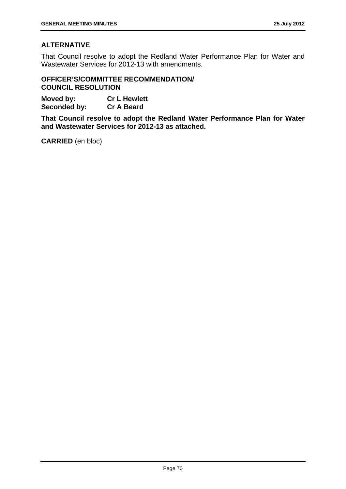# **ALTERNATIVE**

That Council resolve to adopt the Redland Water Performance Plan for Water and Wastewater Services for 2012-13 with amendments.

### **OFFICER'S/COMMITTEE RECOMMENDATION/ COUNCIL RESOLUTION**

**Moved by: Cr L Hewlett Seconded by: Cr A Beard** 

**That Council resolve to adopt the Redland Water Performance Plan for Water and Wastewater Services for 2012-13 as attached.** 

**CARRIED** (en bloc)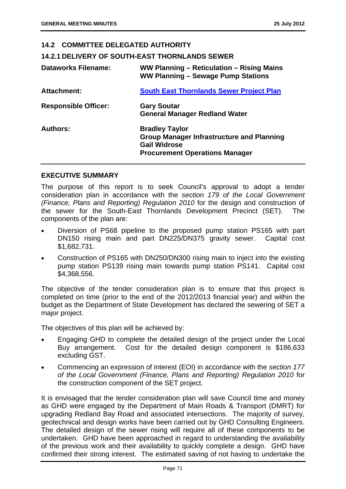### **14.2 COMMITTEE DELEGATED AUTHORITY**

#### **14.2.1 DELIVERY OF SOUTH-EAST THORNLANDS SEWER**

| <b>Dataworks Filename:</b>  | WW Planning - Reticulation - Rising Mains<br>WW Planning - Sewage Pump Stations                                                           |
|-----------------------------|-------------------------------------------------------------------------------------------------------------------------------------------|
| Attachment:                 | <b>South East Thornlands Sewer Project Plan</b>                                                                                           |
| <b>Responsible Officer:</b> | <b>Gary Soutar</b><br><b>General Manager Redland Water</b>                                                                                |
| <b>Authors:</b>             | <b>Bradley Taylor</b><br><b>Group Manager Infrastructure and Planning</b><br><b>Gail Widrose</b><br><b>Procurement Operations Manager</b> |

### **EXECUTIVE SUMMARY**

The purpose of this report is to seek Council's approval to adopt a tender consideration plan in accordance with the *section 179 of the Local Government (Finance, Plans and Reporting) Regulation 2010* for the design and construction of the sewer for the South-East Thornlands Development Precinct (SET). The components of the plan are:

- Diversion of PS68 pipeline to the proposed pump station PS165 with part DN150 rising main and part DN225/DN375 gravity sewer. Capital cost \$1,682,731.
- Construction of PS165 with DN250/DN300 rising main to inject into the existing pump station PS139 rising main towards pump station PS141. Capital cost \$4,368,556.

The objective of the tender consideration plan is to ensure that this project is completed on time (prior to the end of the 2012/2013 financial year) and within the budget as the Department of State Development has declared the sewering of SET a major project.

The objectives of this plan will be achieved by:

- Engaging GHD to complete the detailed design of the project under the Local Buy arrangement. Cost for the detailed design component is \$186,633 excluding GST.
- Commencing an expression of interest (EOI) in accordance with the *section 177 of the Local Government (Finance, Plans and Reporting) Regulation 2010* for the construction component of the SET project.

It is envisaged that the tender consideration plan will save Council time and money as GHD were engaged by the Department of Main Roads & Transport (DMRT) for upgrading Redland Bay Road and associated intersections. The majority of survey, geotechnical and design works have been carried out by GHD Consulting Engineers. The detailed design of the sewer rising will require all of these components to be undertaken. GHD have been approached in regard to understanding the availability of the previous work and their availability to quickly complete a design. GHD have confirmed their strong interest. The estimated saving of not having to undertake the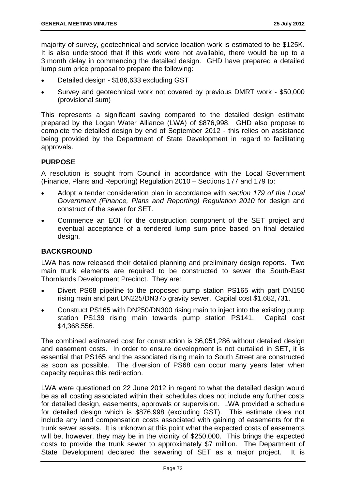majority of survey, geotechnical and service location work is estimated to be \$125K. It is also understood that if this work were not available, there would be up to a 3 month delay in commencing the detailed design. GHD have prepared a detailed lump sum price proposal to prepare the following:

- Detailed design \$186,633 excluding GST
- Survey and geotechnical work not covered by previous DMRT work \$50,000 (provisional sum)

This represents a significant saving compared to the detailed design estimate prepared by the Logan Water Alliance (LWA) of \$876,998. GHD also propose to complete the detailed design by end of September 2012 - this relies on assistance being provided by the Department of State Development in regard to facilitating approvals.

# **PURPOSE**

A resolution is sought from Council in accordance with the Local Government (Finance, Plans and Reporting) Regulation 2010 – Sections 177 and 179 to:

- Adopt a tender consideration plan in accordance with *section 179 of the Local Government (Finance, Plans and Reporting) Regulation 2010* for design and construct of the sewer for SET.
- Commence an EOI for the construction component of the SET project and eventual acceptance of a tendered lump sum price based on final detailed design.

# **BACKGROUND**

LWA has now released their detailed planning and preliminary design reports. Two main trunk elements are required to be constructed to sewer the South-East Thornlands Development Precinct. They are:

- Divert PS68 pipeline to the proposed pump station PS165 with part DN150 rising main and part DN225/DN375 gravity sewer. Capital cost \$1,682,731.
- Construct PS165 with DN250/DN300 rising main to inject into the existing pump station PS139 rising main towards pump station PS141. Capital cost \$4,368,556.

The combined estimated cost for construction is \$6,051,286 without detailed design and easement costs. In order to ensure development is not curtailed in SET, it is essential that PS165 and the associated rising main to South Street are constructed as soon as possible. The diversion of PS68 can occur many years later when capacity requires this redirection.

LWA were questioned on 22 June 2012 in regard to what the detailed design would be as all costing associated within their schedules does not include any further costs for detailed design, easements, approvals or supervision. LWA provided a schedule for detailed design which is \$876,998 (excluding GST). This estimate does not include any land compensation costs associated with gaining of easements for the trunk sewer assets. It is unknown at this point what the expected costs of easements will be, however, they may be in the vicinity of \$250,000. This brings the expected costs to provide the trunk sewer to approximately \$7 million. The Department of State Development declared the sewering of SET as a major project. It is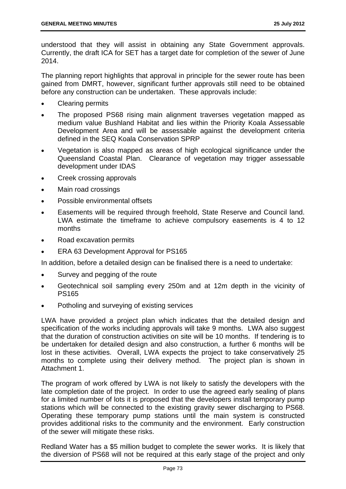understood that they will assist in obtaining any State Government approvals. Currently, the draft ICA for SET has a target date for completion of the sewer of June 2014.

The planning report highlights that approval in principle for the sewer route has been gained from DMRT, however, significant further approvals still need to be obtained before any construction can be undertaken. These approvals include:

- Clearing permits
- The proposed PS68 rising main alignment traverses vegetation mapped as medium value Bushland Habitat and lies within the Priority Koala Assessable Development Area and will be assessable against the development criteria defined in the SEQ Koala Conservation SPRP
- Vegetation is also mapped as areas of high ecological significance under the Queensland Coastal Plan. Clearance of vegetation may trigger assessable development under IDAS
- Creek crossing approvals
- Main road crossings
- Possible environmental offsets
- Easements will be required through freehold, State Reserve and Council land. LWA estimate the timeframe to achieve compulsory easements is 4 to 12 months
- Road excavation permits
- **ERA 63 Development Approval for PS165**

In addition, before a detailed design can be finalised there is a need to undertake:

- Survey and pegging of the route
- Geotechnical soil sampling every 250m and at 12m depth in the vicinity of PS165
- Potholing and surveying of existing services

LWA have provided a project plan which indicates that the detailed design and specification of the works including approvals will take 9 months. LWA also suggest that the duration of construction activities on site will be 10 months. If tendering is to be undertaken for detailed design and also construction, a further 6 months will be lost in these activities. Overall, LWA expects the project to take conservatively 25 months to complete using their delivery method. The project plan is shown in Attachment 1.

The program of work offered by LWA is not likely to satisfy the developers with the late completion date of the project. In order to use the agreed early sealing of plans for a limited number of lots it is proposed that the developers install temporary pump stations which will be connected to the existing gravity sewer discharging to PS68. Operating these temporary pump stations until the main system is constructed provides additional risks to the community and the environment. Early construction of the sewer will mitigate these risks.

Redland Water has a \$5 million budget to complete the sewer works. It is likely that the diversion of PS68 will not be required at this early stage of the project and only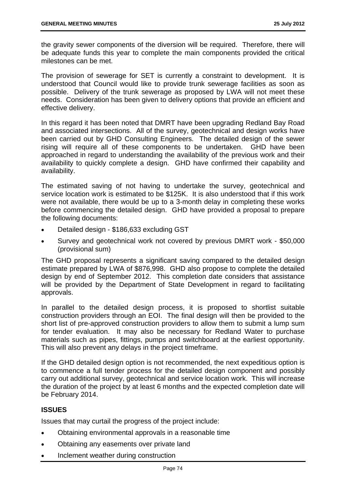the gravity sewer components of the diversion will be required. Therefore, there will be adequate funds this year to complete the main components provided the critical milestones can be met.

The provision of sewerage for SET is currently a constraint to development. It is understood that Council would like to provide trunk sewerage facilities as soon as possible. Delivery of the trunk sewerage as proposed by LWA will not meet these needs. Consideration has been given to delivery options that provide an efficient and effective delivery.

In this regard it has been noted that DMRT have been upgrading Redland Bay Road and associated intersections. All of the survey, geotechnical and design works have been carried out by GHD Consulting Engineers. The detailed design of the sewer rising will require all of these components to be undertaken. GHD have been approached in regard to understanding the availability of the previous work and their availability to quickly complete a design. GHD have confirmed their capability and availability.

The estimated saving of not having to undertake the survey, geotechnical and service location work is estimated to be \$125K. It is also understood that if this work were not available, there would be up to a 3-month delay in completing these works before commencing the detailed design. GHD have provided a proposal to prepare the following documents:

- Detailed design \$186,633 excluding GST
- Survey and geotechnical work not covered by previous DMRT work \$50,000 (provisional sum)

The GHD proposal represents a significant saving compared to the detailed design estimate prepared by LWA of \$876,998. GHD also propose to complete the detailed design by end of September 2012. This completion date considers that assistance will be provided by the Department of State Development in regard to facilitating approvals.

In parallel to the detailed design process, it is proposed to shortlist suitable construction providers through an EOI. The final design will then be provided to the short list of pre-approved construction providers to allow them to submit a lump sum for tender evaluation. It may also be necessary for Redland Water to purchase materials such as pipes, fittings, pumps and switchboard at the earliest opportunity. This will also prevent any delays in the project timeframe.

If the GHD detailed design option is not recommended, the next expeditious option is to commence a full tender process for the detailed design component and possibly carry out additional survey, geotechnical and service location work. This will increase the duration of the project by at least 6 months and the expected completion date will be February 2014.

# **ISSUES**

Issues that may curtail the progress of the project include:

- Obtaining environmental approvals in a reasonable time
- Obtaining any easements over private land
- Inclement weather during construction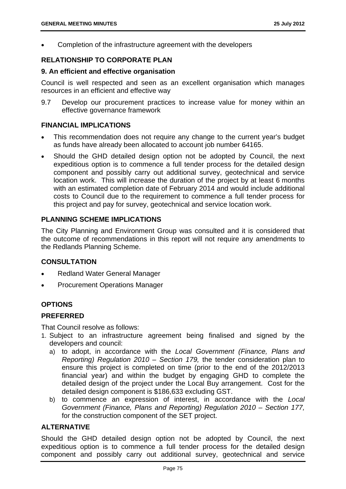Completion of the infrastructure agreement with the developers

# **RELATIONSHIP TO CORPORATE PLAN**

### **9. An efficient and effective organisation**

Council is well respected and seen as an excellent organisation which manages resources in an efficient and effective way

9.7 Develop our procurement practices to increase value for money within an effective governance framework

### **FINANCIAL IMPLICATIONS**

- This recommendation does not require any change to the current year's budget as funds have already been allocated to account job number 64165.
- Should the GHD detailed design option not be adopted by Council, the next expeditious option is to commence a full tender process for the detailed design component and possibly carry out additional survey, geotechnical and service location work. This will increase the duration of the project by at least 6 months with an estimated completion date of February 2014 and would include additional costs to Council due to the requirement to commence a full tender process for this project and pay for survey, geotechnical and service location work.

# **PLANNING SCHEME IMPLICATIONS**

The City Planning and Environment Group was consulted and it is considered that the outcome of recommendations in this report will not require any amendments to the Redlands Planning Scheme.

# **CONSULTATION**

- Redland Water General Manager
- Procurement Operations Manager

# **OPTIONS**

# **PREFERRED**

That Council resolve as follows:

- 1. Subject to an infrastructure agreement being finalised and signed by the developers and council:
	- a) to adopt, in accordance with the *Local Government (Finance, Plans and Reporting) Regulation 2010 – Section 179,* the tender consideration plan to ensure this project is completed on time (prior to the end of the 2012/2013 financial year) and within the budget by engaging GHD to complete the detailed design of the project under the Local Buy arrangement. Cost for the detailed design component is \$186,633 excluding GST.
	- b) to commence an expression of interest, in accordance with the *Local Government (Finance, Plans and Reporting) Regulation 2010 – Section 177,*  for the construction component of the SET project.

# **ALTERNATIVE**

Should the GHD detailed design option not be adopted by Council, the next expeditious option is to commence a full tender process for the detailed design component and possibly carry out additional survey, geotechnical and service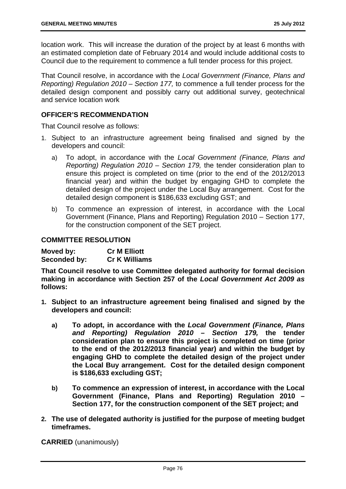location work. This will increase the duration of the project by at least 6 months with an estimated completion date of February 2014 and would include additional costs to Council due to the requirement to commence a full tender process for this project.

That Council resolve, in accordance with the *Local Government (Finance, Plans and Reporting) Regulation 2010 – Section 177,* to commence a full tender process for the detailed design component and possibly carry out additional survey, geotechnical and service location work

### **OFFICER'S RECOMMENDATION**

That Council resolve *as* follows:

- 1. Subject to an infrastructure agreement being finalised and signed by the developers and council:
	- a) To adopt, in accordance with the *Local Government (Finance, Plans and Reporting) Regulation 2010 – Section 179,* the tender consideration plan to ensure this project is completed on time (prior to the end of the 2012/2013 financial year) and within the budget by engaging GHD to complete the detailed design of the project under the Local Buy arrangement. Cost for the detailed design component is \$186,633 excluding GST; and
	- b) To commence an expression of interest, in accordance with the Local Government (Finance, Plans and Reporting) Regulation 2010 – Section 177, for the construction component of the SET project.

### **COMMITTEE RESOLUTION**

| Moved by:    | <b>Cr M Elliott</b>  |
|--------------|----------------------|
| Seconded by: | <b>Cr K Williams</b> |

**That Council resolve to use Committee delegated authority for formal decision making in accordance with Section 257 of the** *Local Government Act 2009 as* **follows:** 

- **1. Subject to an infrastructure agreement being finalised and signed by the developers and council:** 
	- **a) To adopt, in accordance with the** *Local Government (Finance, Plans and Reporting) Regulation 2010 – Section 179,* **the tender consideration plan to ensure this project is completed on time (prior to the end of the 2012/2013 financial year) and within the budget by engaging GHD to complete the detailed design of the project under the Local Buy arrangement. Cost for the detailed design component is \$186,633 excluding GST;**
	- **b) To commence an expression of interest, in accordance with the Local Government (Finance, Plans and Reporting) Regulation 2010 – Section 177, for the construction component of the SET project; and**
- **2. The use of delegated authority is justified for the purpose of meeting budget timeframes.**

**CARRIED** (unanimously)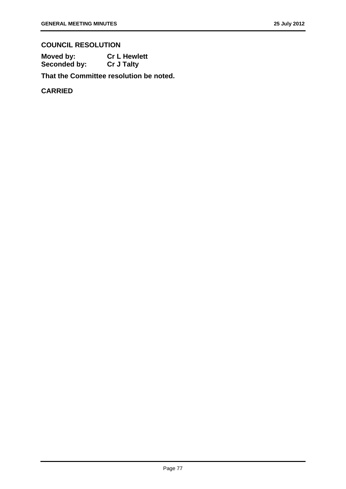# **COUNCIL RESOLUTION**

| Moved by:    | <b>Cr L Hewlett</b> |
|--------------|---------------------|
| Seconded by: | <b>Cr J Talty</b>   |

**That the Committee resolution be noted.**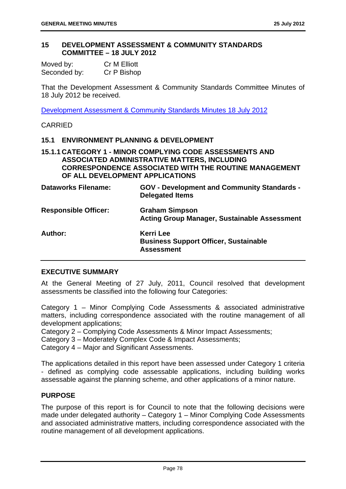### **15 DEVELOPMENT ASSESSMENT & COMMUNITY STANDARDS COMMITTEE – 18 JULY 2012**

| Moved by:    | Cr M Elliott |
|--------------|--------------|
| Seconded by: | Cr P Bishop  |

That the Development Assessment & Community Standards Committee Minutes of 18 July 2012 be received.

Development Assessment & Community Standards Minutes 18 July 2012

# CARRIED

### **15.1 ENVIRONMENT PLANNING & DEVELOPMENT**

# **15.1.1 CATEGORY 1 - MINOR COMPLYING CODE ASSESSMENTS AND ASSOCIATED ADMINISTRATIVE MATTERS, INCLUDING CORRESPONDENCE ASSOCIATED WITH THE ROUTINE MANAGEMENT OF ALL DEVELOPMENT APPLICATIONS**

| <b>Dataworks Filename:</b>  | <b>GOV - Development and Community Standards -</b><br><b>Delegated Items</b>          |
|-----------------------------|---------------------------------------------------------------------------------------|
| <b>Responsible Officer:</b> | <b>Graham Simpson</b><br><b>Acting Group Manager, Sustainable Assessment</b>          |
| <b>Author:</b>              | <b>Kerri Lee</b><br><b>Business Support Officer, Sustainable</b><br><b>Assessment</b> |

### **EXECUTIVE SUMMARY**

At the General Meeting of 27 July, 2011, Council resolved that development assessments be classified into the following four Categories:

Category 1 – Minor Complying Code Assessments & associated administrative matters, including correspondence associated with the routine management of all development applications;

Category 2 – Complying Code Assessments & Minor Impact Assessments;

Category 3 – Moderately Complex Code & Impact Assessments;

Category 4 – Major and Significant Assessments.

The applications detailed in this report have been assessed under Category 1 criteria - defined as complying code assessable applications, including building works assessable against the planning scheme, and other applications of a minor nature.

### **PURPOSE**

The purpose of this report is for Council to note that the following decisions were made under delegated authority – Category 1 – Minor Complying Code Assessments and associated administrative matters, including correspondence associated with the routine management of all development applications.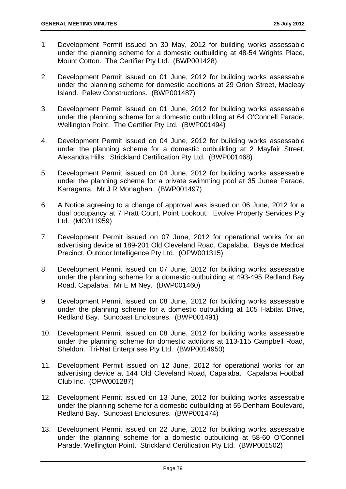- 1. Development Permit issued on 30 May, 2012 for building works assessable under the planning scheme for a domestic outbuilding at 48-54 Wrights Place, Mount Cotton. The Certifier Pty Ltd. (BWP001428)
- 2. Development Permit issued on 01 June, 2012 for building works assessable under the planning scheme for domestic additions at 29 Orion Street, Macleay Island. Palew Constructions. (BWP001487)
- 3. Development Permit issued on 01 June, 2012 for building works assessable under the planning scheme for a domestic outbuilding at 64 O'Connell Parade, Wellington Point. The Certifier Pty Ltd. (BWP001494)
- 4. Development Permit issued on 04 June, 2012 for building works assessable under the planning scheme for a domestic outbuilding at 2 Mayfair Street, Alexandra Hills. Strickland Certification Pty Ltd. (BWP001468)
- 5. Development Permit issued on 04 June, 2012 for building works assessable under the planning scheme for a private swimming pool at 35 Junee Parade, Karragarra. Mr J R Monaghan. (BWP001497)
- 6. A Notice agreeing to a change of approval was issued on 06 June, 2012 for a dual occupancy at 7 Pratt Court, Point Lookout. Evolve Property Services Pty Ltd. (MC011959)
- 7. Development Permit issued on 07 June, 2012 for operational works for an advertising device at 189-201 Old Cleveland Road, Capalaba. Bayside Medical Precinct, Outdoor Intelligence Pty Ltd. (OPW001315)
- 8. Development Permit issued on 07 June, 2012 for building works assessable under the planning scheme for a domestic outbuilding at 493-495 Redland Bay Road, Capalaba. Mr E M Ney. (BWP001460)
- 9. Development Permit issued on 08 June, 2012 for building works assessable under the planning scheme for a domestic outbuilding at 105 Habitat Drive, Redland Bay. Suncoast Enclosures. (BWP001491)
- 10. Development Permit issued on 08 June, 2012 for building works assessable under the planning scheme for domestic additons at 113-115 Campbell Road, Sheldon. Tri-Nat Enterprises Pty Ltd. (BWP0014950)
- 11. Development Permit issued on 12 June, 2012 for operational works for an advertising device at 144 Old Cleveland Road, Capalaba. Capalaba Football Club Inc. (OPW001287)
- 12. Development Permit issued on 13 June, 2012 for building works assessable under the planning scheme for a domestic outbuilding at 55 Denham Boulevard, Redland Bay. Suncoast Enclosures. (BWP001474)
- 13. Development Permit issued on 22 June, 2012 for building works assessable under the planning scheme for a domestic outbuilding at 58-60 O'Connell Parade, Wellington Point. Strickland Certification Pty Ltd. (BWP001502)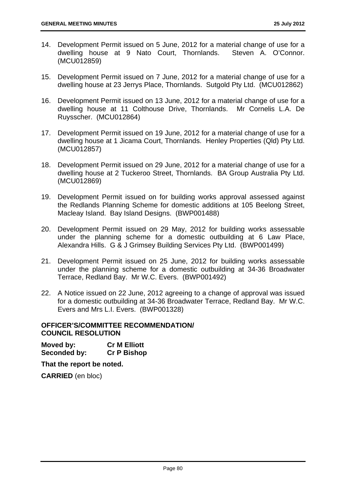- 14. Development Permit issued on 5 June, 2012 for a material change of use for a dwelling house at 9 Nato Court, Thornlands. Steven A. O'Connor. (MCU012859)
- 15. Development Permit issued on 7 June, 2012 for a material change of use for a dwelling house at 23 Jerrys Place, Thornlands. Sutgold Pty Ltd. (MCU012862)
- 16. Development Permit issued on 13 June, 2012 for a material change of use for a dwelling house at 11 Colthouse Drive, Thornlands. Mr Cornelis L.A. De Ruysscher. (MCU012864)
- 17. Development Permit issued on 19 June, 2012 for a material change of use for a dwelling house at 1 Jicama Court, Thornlands. Henley Properties (Qld) Pty Ltd. (MCU012857)
- 18. Development Permit issued on 29 June, 2012 for a material change of use for a dwelling house at 2 Tuckeroo Street, Thornlands. BA Group Australia Pty Ltd. (MCU012869)
- 19. Development Permit issued on for building works approval assessed against the Redlands Planning Scheme for domestic additions at 105 Beelong Street, Macleay Island. Bay Island Designs. (BWP001488)
- 20. Development Permit issued on 29 May, 2012 for building works assessable under the planning scheme for a domestic outbuilding at 6 Law Place, Alexandra Hills. G & J Grimsey Building Services Pty Ltd. (BWP001499)
- 21. Development Permit issued on 25 June, 2012 for building works assessable under the planning scheme for a domestic outbuilding at 34-36 Broadwater Terrace, Redland Bay. Mr W.C. Evers. (BWP001492)
- 22. A Notice issued on 22 June, 2012 agreeing to a change of approval was issued for a domestic outbuilding at 34-36 Broadwater Terrace, Redland Bay. Mr W.C. Evers and Mrs L.I. Evers. (BWP001328)

### **OFFICER'S/COMMITTEE RECOMMENDATION/ COUNCIL RESOLUTION**

**Moved by: Cr M Elliott Seconded by: Cr P Bishop** 

**That the report be noted.** 

**CARRIED** (en bloc)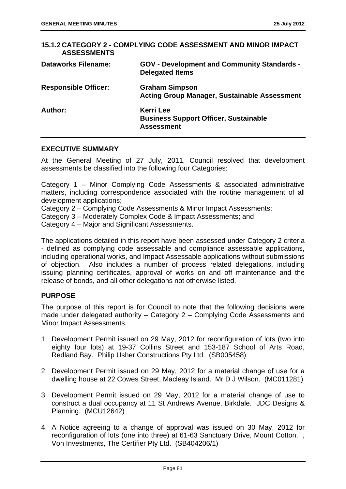| <b>ASSESSMENTS</b>          | 15.1.2 CATEGORY 2 - COMPLYING CODE ASSESSMENT AND MINOR IMPACT                        |
|-----------------------------|---------------------------------------------------------------------------------------|
| <b>Dataworks Filename:</b>  | <b>GOV - Development and Community Standards -</b><br><b>Delegated Items</b>          |
| <b>Responsible Officer:</b> | <b>Graham Simpson</b><br><b>Acting Group Manager, Sustainable Assessment</b>          |
| Author:                     | <b>Kerri Lee</b><br><b>Business Support Officer, Sustainable</b><br><b>Assessment</b> |

### **EXECUTIVE SUMMARY**

At the General Meeting of 27 July, 2011, Council resolved that development assessments be classified into the following four Categories:

Category 1 – Minor Complying Code Assessments & associated administrative matters, including correspondence associated with the routine management of all development applications;

Category 2 – Complying Code Assessments & Minor Impact Assessments;

Category 3 – Moderately Complex Code & Impact Assessments; and

Category 4 – Major and Significant Assessments.

The applications detailed in this report have been assessed under Category 2 criteria - defined as complying code assessable and compliance assessable applications, including operational works, and Impact Assessable applications without submissions of objection. Also includes a number of process related delegations, including issuing planning certificates, approval of works on and off maintenance and the release of bonds, and all other delegations not otherwise listed.

# **PURPOSE**

The purpose of this report is for Council to note that the following decisions were made under delegated authority – Category 2 – Complying Code Assessments and Minor Impact Assessments.

- 1. Development Permit issued on 29 May, 2012 for reconfiguration of lots (two into eighty four lots) at 19-37 Collins Street and 153-187 School of Arts Road, Redland Bay. Philip Usher Constructions Pty Ltd. (SB005458)
- 2. Development Permit issued on 29 May, 2012 for a material change of use for a dwelling house at 22 Cowes Street, Macleay Island. Mr D J Wilson. (MC011281)
- 3. Development Permit issued on 29 May, 2012 for a material change of use to construct a dual occupancy at 11 St Andrews Avenue, Birkdale. JDC Designs & Planning. (MCU12642)
- 4. A Notice agreeing to a change of approval was issued on 30 May, 2012 for reconfiguration of lots (one into three) at 61-63 Sanctuary Drive, Mount Cotton. , Von Investments, The Certifier Pty Ltd. (SB404206/1)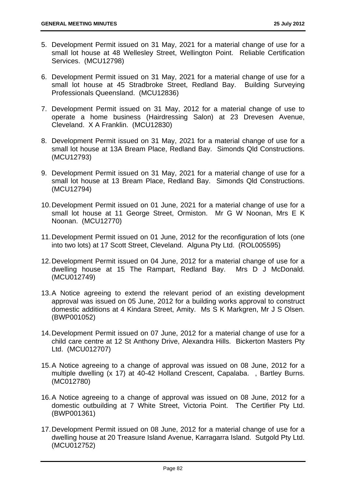- 5. Development Permit issued on 31 May, 2021 for a material change of use for a small lot house at 48 Wellesley Street, Wellington Point. Reliable Certification Services. (MCU12798)
- 6. Development Permit issued on 31 May, 2021 for a material change of use for a small lot house at 45 Stradbroke Street, Redland Bay. Building Surveying Professionals Queensland. (MCU12836)
- 7. Development Permit issued on 31 May, 2012 for a material change of use to operate a home business (Hairdressing Salon) at 23 Drevesen Avenue, Cleveland. X A Franklin. (MCU12830)
- 8. Development Permit issued on 31 May, 2021 for a material change of use for a small lot house at 13A Bream Place, Redland Bay. Simonds Qld Constructions. (MCU12793)
- 9. Development Permit issued on 31 May, 2021 for a material change of use for a small lot house at 13 Bream Place, Redland Bay. Simonds Qld Constructions. (MCU12794)
- 10. Development Permit issued on 01 June, 2021 for a material change of use for a small lot house at 11 George Street, Ormiston. Mr G W Noonan, Mrs E K Noonan. (MCU12770)
- 11. Development Permit issued on 01 June, 2012 for the reconfiguration of lots (one into two lots) at 17 Scott Street, Cleveland. Alguna Pty Ltd. (ROL005595)
- 12. Development Permit issued on 04 June, 2012 for a material change of use for a dwelling house at 15 The Rampart, Redland Bay. Mrs D J McDonald. (MCU012749)
- 13. A Notice agreeing to extend the relevant period of an existing development approval was issued on 05 June, 2012 for a building works approval to construct domestic additions at 4 Kindara Street, Amity. Ms S K Markgren, Mr J S Olsen. (BWP001052)
- 14. Development Permit issued on 07 June, 2012 for a material change of use for a child care centre at 12 St Anthony Drive, Alexandra Hills. Bickerton Masters Pty Ltd. (MCU012707)
- 15. A Notice agreeing to a change of approval was issued on 08 June, 2012 for a multiple dwelling (x 17) at 40-42 Holland Crescent, Capalaba. , Bartley Burns. (MC012780)
- 16. A Notice agreeing to a change of approval was issued on 08 June, 2012 for a domestic outbuilding at 7 White Street, Victoria Point. The Certifier Pty Ltd. (BWP001361)
- 17. Development Permit issued on 08 June, 2012 for a material change of use for a dwelling house at 20 Treasure Island Avenue, Karragarra Island. Sutgold Pty Ltd. (MCU012752)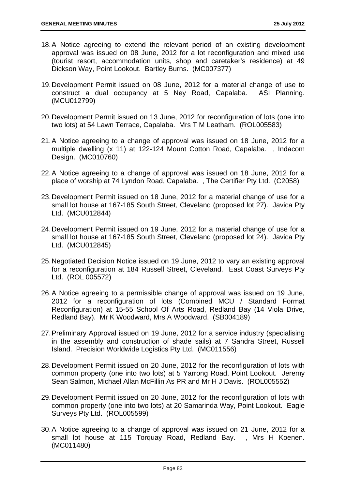- 18. A Notice agreeing to extend the relevant period of an existing development approval was issued on 08 June, 2012 for a lot reconfiguration and mixed use (tourist resort, accommodation units, shop and caretaker's residence) at 49 Dickson Way, Point Lookout. Bartley Burns. (MC007377)
- 19. Development Permit issued on 08 June, 2012 for a material change of use to construct a dual occupancy at 5 Ney Road, Capalaba. ASI Planning. (MCU012799)
- 20. Development Permit issued on 13 June, 2012 for reconfiguration of lots (one into two lots) at 54 Lawn Terrace, Capalaba. Mrs T M Leatham. (ROL005583)
- 21. A Notice agreeing to a change of approval was issued on 18 June, 2012 for a multiple dwelling (x 11) at 122-124 Mount Cotton Road, Capalaba. , Indacom Design. (MC010760)
- 22. A Notice agreeing to a change of approval was issued on 18 June, 2012 for a place of worship at 74 Lyndon Road, Capalaba. , The Certifier Pty Ltd. (C2058)
- 23. Development Permit issued on 18 June, 2012 for a material change of use for a small lot house at 167-185 South Street, Cleveland (proposed lot 27). Javica Pty Ltd. (MCU012844)
- 24. Development Permit issued on 19 June, 2012 for a material change of use for a small lot house at 167-185 South Street, Cleveland (proposed lot 24). Javica Pty Ltd. (MCU012845)
- 25. Negotiated Decision Notice issued on 19 June, 2012 to vary an existing approval for a reconfiguration at 184 Russell Street, Cleveland. East Coast Surveys Pty Ltd. (ROL 005572)
- 26. A Notice agreeing to a permissible change of approval was issued on 19 June, 2012 for a reconfiguration of lots (Combined MCU / Standard Format Reconfiguration) at 15-55 School Of Arts Road, Redland Bay (14 Viola Drive, Redland Bay). Mr K Woodward, Mrs A Woodward. (SB004189)
- 27. Preliminary Approval issued on 19 June, 2012 for a service industry (specialising in the assembly and construction of shade sails) at 7 Sandra Street, Russell Island. Precision Worldwide Logistics Pty Ltd. (MC011556)
- 28. Development Permit issued on 20 June, 2012 for the reconfiguration of lots with common property (one into two lots) at 5 Yarrong Road, Point Lookout. Jeremy Sean Salmon, Michael Allan McFillin As PR and Mr H J Davis. (ROL005552)
- 29. Development Permit issued on 20 June, 2012 for the reconfiguration of lots with common property (one into two lots) at 20 Samarinda Way, Point Lookout. Eagle Surveys Pty Ltd. (ROL005599)
- 30. A Notice agreeing to a change of approval was issued on 21 June, 2012 for a small lot house at 115 Torquay Road, Redland Bay. , Mrs H Koenen. (MC011480)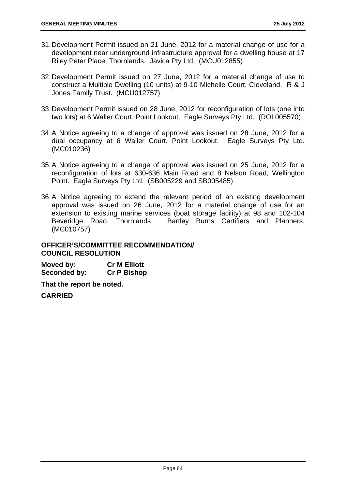- 31. Development Permit issued on 21 June, 2012 for a material change of use for a development near underground infrastructure approval for a dwelling house at 17 Riley Peter Place, Thornlands. Javica Pty Ltd. (MCU012855)
- 32. Development Permit issued on 27 June, 2012 for a material change of use to construct a Multiple Dwelling (10 units) at 9-10 Michelle Court, Cleveland. R & J Jones Family Trust. (MCU012757)
- 33. Development Permit issued on 28 June, 2012 for reconfiguration of lots (one into two lots) at 6 Waller Court, Point Lookout. Eagle Surveys Pty Ltd. (ROL005570)
- 34. A Notice agreeing to a change of approval was issued on 28 June, 2012 for a dual occupancy at 6 Waller Court, Point Lookout. Eagle Surveys Pty Ltd. (MC010236)
- 35. A Notice agreeing to a change of approval was issued on 25 June, 2012 for a reconfiguration of lots at 630-636 Main Road and 8 Nelson Road, Wellington Point. Eagle Surveys Pty Ltd. (SB005229 and SB005485)
- 36. A Notice agreeing to extend the relevant period of an existing development approval was issued on 26 June, 2012 for a material change of use for an extension to existing marine services (boat storage facility) at 98 and 102-104 Beveridge Road, Thornlands. Bartley Burns Certifiers and Planners. (MC010757)

# **OFFICER'S/COMMITTEE RECOMMENDATION/ COUNCIL RESOLUTION**

| Moved by:    | <b>Cr M Elliott</b> |
|--------------|---------------------|
| Seconded by: | <b>Cr P Bishop</b>  |

**That the report be noted.**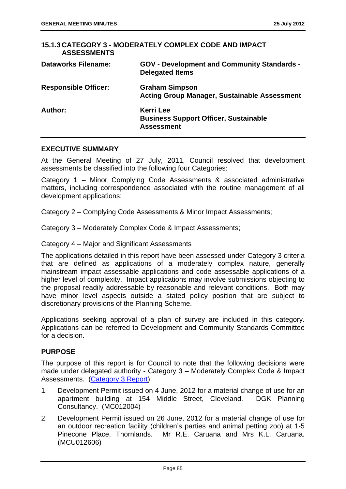| <b>ASSESSMENTS</b>          | 15.1.3 CATEGORY 3 - MODERATELY COMPLEX CODE AND IMPACT                                |
|-----------------------------|---------------------------------------------------------------------------------------|
| <b>Dataworks Filename:</b>  | <b>GOV - Development and Community Standards -</b><br><b>Delegated Items</b>          |
| <b>Responsible Officer:</b> | <b>Graham Simpson</b><br><b>Acting Group Manager, Sustainable Assessment</b>          |
| Author:                     | <b>Kerri Lee</b><br><b>Business Support Officer, Sustainable</b><br><b>Assessment</b> |

#### **EXECUTIVE SUMMARY**

At the General Meeting of 27 July, 2011, Council resolved that development assessments be classified into the following four Categories:

Category 1 – Minor Complying Code Assessments & associated administrative matters, including correspondence associated with the routine management of all development applications;

Category 2 – Complying Code Assessments & Minor Impact Assessments;

Category 3 – Moderately Complex Code & Impact Assessments;

Category 4 – Major and Significant Assessments

The applications detailed in this report have been assessed under Category 3 criteria that are defined as applications of a moderately complex nature, generally mainstream impact assessable applications and code assessable applications of a higher level of complexity. Impact applications may involve submissions objecting to the proposal readily addressable by reasonable and relevant conditions. Both may have minor level aspects outside a stated policy position that are subject to discretionary provisions of the Planning Scheme.

Applications seeking approval of a plan of survey are included in this category. Applications can be referred to Development and Community Standards Committee for a decision.

### **PURPOSE**

The purpose of this report is for Council to note that the following decisions were made under delegated authority - Category 3 – Moderately Complex Code & Impact Assessments. (Category 3 Report)

- 1. Development Permit issued on 4 June, 2012 for a material change of use for an apartment building at 154 Middle Street, Cleveland. DGK Planning Consultancy. (MC012004)
- 2. Development Permit issued on 26 June, 2012 for a material change of use for an outdoor recreation facility (children's parties and animal petting zoo) at 1-5 Pinecone Place, Thornlands. Mr R.E. Caruana and Mrs K.L. Caruana. (MCU012606)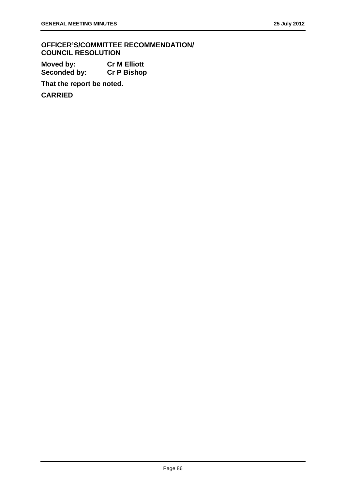**OFFICER'S/COMMITTEE RECOMMENDATION/ COUNCIL RESOLUTION** 

**Moved by: Cr M Elliott Seconded by: Cr P Bishop** 

**That the report be noted.**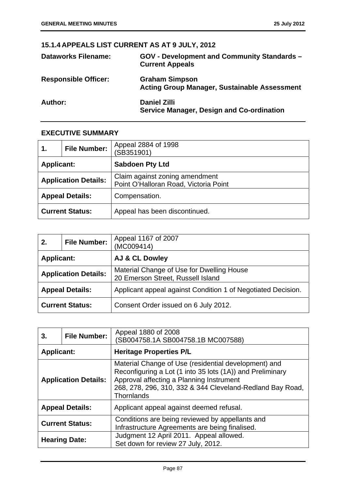# **15.1.4 APPEALS LIST CURRENT AS AT 9 JULY, 2012**

| <b>Dataworks Filename:</b>  | <b>GOV - Development and Community Standards -</b><br><b>Current Appeals</b> |
|-----------------------------|------------------------------------------------------------------------------|
| <b>Responsible Officer:</b> | <b>Graham Simpson</b><br><b>Acting Group Manager, Sustainable Assessment</b> |
| <b>Author:</b>              | <b>Daniel Zilli</b><br>Service Manager, Design and Co-ordination             |

# **EXECUTIVE SUMMARY**

| 1.                | <b>File Number:</b>         | Appeal 2884 of 1998<br>(SB351901)                                       |
|-------------------|-----------------------------|-------------------------------------------------------------------------|
| <b>Applicant:</b> |                             | <b>Sabdoen Pty Ltd</b>                                                  |
|                   | <b>Application Details:</b> | Claim against zoning amendment<br>Point O'Halloran Road, Victoria Point |
|                   | <b>Appeal Details:</b>      | Compensation.                                                           |
|                   | <b>Current Status:</b>      | Appeal has been discontinued.                                           |

| 2.                          | <b>File Number:</b> | Appeal 1167 of 2007<br>(MC009414)                                              |
|-----------------------------|---------------------|--------------------------------------------------------------------------------|
| <b>Applicant:</b>           |                     | <b>AJ &amp; CL Dowley</b>                                                      |
| <b>Application Details:</b> |                     | Material Change of Use for Dwelling House<br>20 Emerson Street, Russell Island |
| <b>Appeal Details:</b>      |                     | Applicant appeal against Condition 1 of Negotiated Decision.                   |
| <b>Current Status:</b>      |                     | Consent Order issued on 6 July 2012.                                           |

| 3.                          | <b>File Number:</b> | Appeal 1880 of 2008<br>(SB004758.1A SB004758.1B MC007588)                                                                                                                                                                                |
|-----------------------------|---------------------|------------------------------------------------------------------------------------------------------------------------------------------------------------------------------------------------------------------------------------------|
| <b>Applicant:</b>           |                     | <b>Heritage Properties P/L</b>                                                                                                                                                                                                           |
| <b>Application Details:</b> |                     | Material Change of Use (residential development) and<br>Reconfiguring a Lot (1 into 35 lots (1A)) and Preliminary<br>Approval affecting a Planning Instrument<br>268, 278, 296, 310, 332 & 344 Cleveland-Redland Bay Road,<br>Thornlands |
| <b>Appeal Details:</b>      |                     | Applicant appeal against deemed refusal.                                                                                                                                                                                                 |
| <b>Current Status:</b>      |                     | Conditions are being reviewed by appellants and<br>Infrastructure Agreements are being finalised.                                                                                                                                        |
| <b>Hearing Date:</b>        |                     | Judgment 12 April 2011. Appeal allowed.<br>Set down for review 27 July, 2012.                                                                                                                                                            |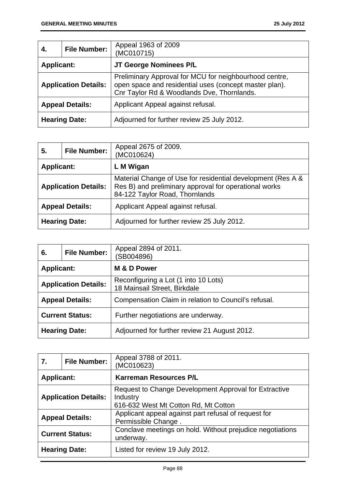| 4.                          | <b>File Number:</b> | Appeal 1963 of 2009<br>(MC010715)                                                                                                                              |
|-----------------------------|---------------------|----------------------------------------------------------------------------------------------------------------------------------------------------------------|
| <b>Applicant:</b>           |                     | JT George Nominees P/L                                                                                                                                         |
| <b>Application Details:</b> |                     | Preliminary Approval for MCU for neighbourhood centre,<br>open space and residential uses (concept master plan).<br>Cnr Taylor Rd & Woodlands Dve, Thornlands. |
| <b>Appeal Details:</b>      |                     | Applicant Appeal against refusal.                                                                                                                              |
| <b>Hearing Date:</b>        |                     | Adjourned for further review 25 July 2012.                                                                                                                     |

| 5.                          | <b>File Number:</b> | Appeal 2675 of 2009.<br>(MC010624)                                                                                                                     |
|-----------------------------|---------------------|--------------------------------------------------------------------------------------------------------------------------------------------------------|
| <b>Applicant:</b>           |                     | L M Wigan                                                                                                                                              |
| <b>Application Details:</b> |                     | Material Change of Use for residential development (Res A &<br>Res B) and preliminary approval for operational works<br>84-122 Taylor Road, Thornlands |
| <b>Appeal Details:</b>      |                     | Applicant Appeal against refusal.                                                                                                                      |
| <b>Hearing Date:</b>        |                     | Adjourned for further review 25 July 2012.                                                                                                             |

| 6.                          | <b>File Number:</b> | Appeal 2894 of 2011.<br>(SB004896)                                   |
|-----------------------------|---------------------|----------------------------------------------------------------------|
| <b>Applicant:</b>           |                     | M & D Power                                                          |
| <b>Application Details:</b> |                     | Reconfiguring a Lot (1 into 10 Lots)<br>18 Mainsail Street, Birkdale |
| <b>Appeal Details:</b>      |                     | Compensation Claim in relation to Council's refusal.                 |
| <b>Current Status:</b>      |                     | Further negotiations are underway.                                   |
| <b>Hearing Date:</b>        |                     | Adjourned for further review 21 August 2012.                         |

| 7.                          | <b>File Number:</b> | Appeal 3788 of 2011.<br>(MC010623)                                                                        |
|-----------------------------|---------------------|-----------------------------------------------------------------------------------------------------------|
| <b>Applicant:</b>           |                     | <b>Karreman Resources P/L</b>                                                                             |
| <b>Application Details:</b> |                     | Request to Change Development Approval for Extractive<br>Industry<br>616-632 West Mt Cotton Rd, Mt Cotton |
| <b>Appeal Details:</b>      |                     | Applicant appeal against part refusal of request for<br>Permissible Change.                               |
| <b>Current Status:</b>      |                     | Conclave meetings on hold. Without prejudice negotiations<br>underway.                                    |
| <b>Hearing Date:</b>        |                     | Listed for review 19 July 2012.                                                                           |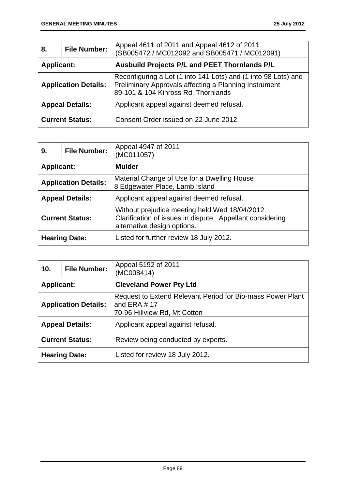| 8.                          | <b>File Number:</b> | Appeal 4611 of 2011 and Appeal 4612 of 2011<br>(SB005472 / MC012092 and SB005471 / MC012091)                                                                   |
|-----------------------------|---------------------|----------------------------------------------------------------------------------------------------------------------------------------------------------------|
| <b>Applicant:</b>           |                     | Ausbuild Projects P/L and PEET Thornlands P/L                                                                                                                  |
| <b>Application Details:</b> |                     | Reconfiguring a Lot (1 into 141 Lots) and (1 into 98 Lots) and<br>Preliminary Approvals affecting a Planning Instrument<br>89-101 & 104 Kinross Rd, Thornlands |
| <b>Appeal Details:</b>      |                     | Applicant appeal against deemed refusal.                                                                                                                       |
| <b>Current Status:</b>      |                     | Consent Order issued on 22 June 2012.                                                                                                                          |

| 9.                          | <b>File Number:</b> | Appeal 4947 of 2011<br>(MC011057)                                                                                                          |
|-----------------------------|---------------------|--------------------------------------------------------------------------------------------------------------------------------------------|
| <b>Applicant:</b>           |                     | <b>Mulder</b>                                                                                                                              |
| <b>Application Details:</b> |                     | Material Change of Use for a Dwelling House<br>8 Edgewater Place, Lamb Island                                                              |
| <b>Appeal Details:</b>      |                     | Applicant appeal against deemed refusal.                                                                                                   |
| <b>Current Status:</b>      |                     | Without prejudice meeting held Wed 18/04/2012.<br>Clarification of issues in dispute. Appellant considering<br>alternative design options. |
| <b>Hearing Date:</b>        |                     | Listed for further review 18 July 2012.                                                                                                    |

| 10 <sub>1</sub>             | <b>File Number:</b> | Appeal 5192 of 2011<br>(MC008414)                                                                            |
|-----------------------------|---------------------|--------------------------------------------------------------------------------------------------------------|
| <b>Applicant:</b>           |                     | <b>Cleveland Power Pty Ltd</b>                                                                               |
| <b>Application Details:</b> |                     | Request to Extend Relevant Period for Bio-mass Power Plant<br>and ERA $# 17$<br>70-96 Hillview Rd, Mt Cotton |
| <b>Appeal Details:</b>      |                     | Applicant appeal against refusal.                                                                            |
| <b>Current Status:</b>      |                     | Review being conducted by experts.                                                                           |
| <b>Hearing Date:</b>        |                     | Listed for review 18 July 2012.                                                                              |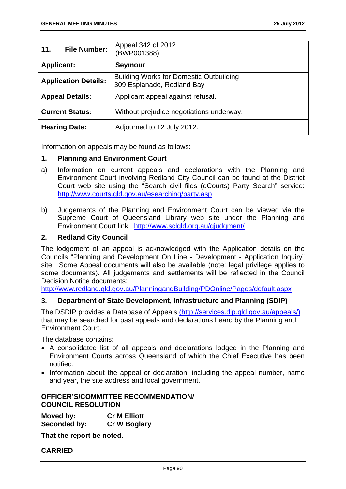| 11.                         | <b>File Number:</b> | Appeal 342 of 2012<br>(BWP001388)                                            |  |
|-----------------------------|---------------------|------------------------------------------------------------------------------|--|
| <b>Applicant:</b>           |                     | <b>Seymour</b>                                                               |  |
| <b>Application Details:</b> |                     | <b>Building Works for Domestic Outbuilding</b><br>309 Esplanade, Redland Bay |  |
| <b>Appeal Details:</b>      |                     | Applicant appeal against refusal.                                            |  |
| <b>Current Status:</b>      |                     | Without prejudice negotiations underway.                                     |  |
| <b>Hearing Date:</b>        |                     | Adjourned to 12 July 2012.                                                   |  |

Information on appeals may be found as follows:

#### **1. Planning and Environment Court**

- a) Information on current appeals and declarations with the Planning and Environment Court involving Redland City Council can be found at the District Court web site using the "Search civil files (eCourts) Party Search" service: http://www.courts.qld.gov.au/esearching/party.asp
- b) Judgements of the Planning and Environment Court can be viewed via the Supreme Court of Queensland Library web site under the Planning and Environment Court link: http://www.sclqld.org.au/qjudgment/

### **2. Redland City Council**

The lodgement of an appeal is acknowledged with the Application details on the Councils "Planning and Development On Line - Development - Application Inquiry" site. Some Appeal documents will also be available (note: legal privilege applies to some documents). All judgements and settlements will be reflected in the Council Decision Notice documents:

http://www.redland.qld.gov.au/PlanningandBuilding/PDOnline/Pages/default.aspx

### **3. Department of State Development, Infrastructure and Planning (SDIP)**

The DSDIP provides a Database of Appeals (http://services.dip.qld.gov.au/appeals/) that may be searched for past appeals and declarations heard by the Planning and Environment Court.

The database contains:

- A consolidated list of all appeals and declarations lodged in the Planning and Environment Courts across Queensland of which the Chief Executive has been notified.
- Information about the appeal or declaration, including the appeal number, name and year, the site address and local government.

### **OFFICER'S/COMMITTEE RECOMMENDATION/ COUNCIL RESOLUTION**

| Moved by:    | <b>Cr M Elliott</b> |
|--------------|---------------------|
| Seconded by: | <b>Cr W Boglary</b> |

**That the report be noted.**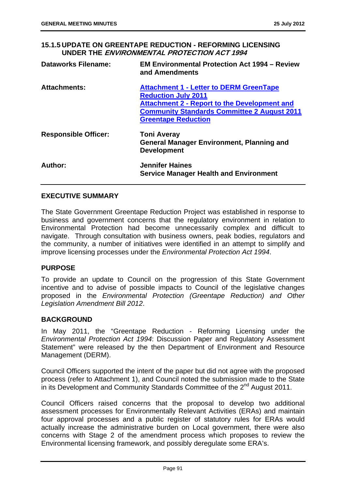**15.1.5 UPDATE ON GREENTAPE REDUCTION - REFORMING LICENSING UNDER THE ENVIRONMENTAL PROTECTION ACT 1994**

| <b>Dataworks Filename:</b>  | <b>EM Environmental Protection Act 1994 – Review</b><br>and Amendments                                                                                                                                                  |
|-----------------------------|-------------------------------------------------------------------------------------------------------------------------------------------------------------------------------------------------------------------------|
| <b>Attachments:</b>         | <b>Attachment 1 - Letter to DERM GreenTape</b><br><b>Reduction July 2011</b><br><b>Attachment 2 - Report to the Development and</b><br><b>Community Standards Committee 2 August 2011</b><br><b>Greentape Reduction</b> |
| <b>Responsible Officer:</b> | <b>Toni Averay</b><br><b>General Manager Environment, Planning and</b><br><b>Development</b>                                                                                                                            |
| Author:                     | <b>Jennifer Haines</b><br><b>Service Manager Health and Environment</b>                                                                                                                                                 |

### **EXECUTIVE SUMMARY**

The State Government Greentape Reduction Project was established in response to business and government concerns that the regulatory environment in relation to Environmental Protection had become unnecessarily complex and difficult to navigate. Through consultation with business owners, peak bodies, regulators and the community, a number of initiatives were identified in an attempt to simplify and improve licensing processes under the *Environmental Protection Act 1994*.

### **PURPOSE**

To provide an update to Council on the progression of this State Government incentive and to advise of possible impacts to Council of the legislative changes proposed in the *Environmental Protection (Greentape Reduction) and Other Legislation Amendment Bill 2012*.

### **BACKGROUND**

In May 2011, the "Greentape Reduction - Reforming Licensing under the *Environmental Protection Act 1994*: Discussion Paper and Regulatory Assessment Statement" were released by the then Department of Environment and Resource Management (DERM).

Council Officers supported the intent of the paper but did not agree with the proposed process (refer to Attachment 1), and Council noted the submission made to the State in its Development and Community Standards Committee of the 2<sup>nd</sup> August 2011.

Council Officers raised concerns that the proposal to develop two additional assessment processes for Environmentally Relevant Activities (ERAs) and maintain four approval processes and a public register of statutory rules for ERAs would actually increase the administrative burden on Local government, there were also concerns with Stage 2 of the amendment process which proposes to review the Environmental licensing framework, and possibly deregulate some ERA's.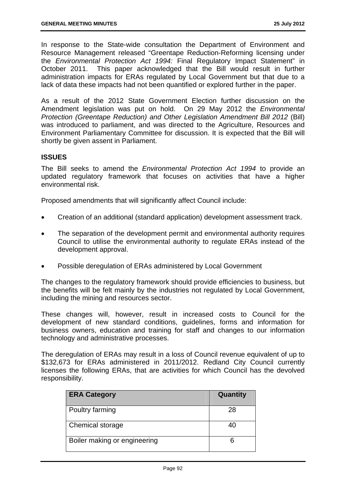In response to the State-wide consultation the Department of Environment and Resource Management released "Greentape Reduction-Reforming licensing under the *Environmental Protection Act 1994:* Final Regulatory Impact Statement" in October 2011. This paper acknowledged that the Bill would result in further administration impacts for ERAs regulated by Local Government but that due to a lack of data these impacts had not been quantified or explored further in the paper.

As a result of the 2012 State Government Election further discussion on the Amendment legislation was put on hold. On 29 May 2012 the *Environmental Protection (Greentape Reduction) and Other Legislation Amendment Bill 2012* (Bill) was introduced to parliament, and was directed to the Agriculture, Resources and Environment Parliamentary Committee for discussion. It is expected that the Bill will shortly be given assent in Parliament.

# **ISSUES**

The Bill seeks to amend the *Environmental Protection Act 1994* to provide an updated regulatory framework that focuses on activities that have a higher environmental risk.

Proposed amendments that will significantly affect Council include:

- Creation of an additional (standard application) development assessment track.
- The separation of the development permit and environmental authority requires Council to utilise the environmental authority to regulate ERAs instead of the development approval.
- Possible deregulation of ERAs administered by Local Government

The changes to the regulatory framework should provide efficiencies to business, but the benefits will be felt mainly by the industries not regulated by Local Government, including the mining and resources sector.

These changes will, however, result in increased costs to Council for the development of new standard conditions, guidelines, forms and information for business owners, education and training for staff and changes to our information technology and administrative processes.

The deregulation of ERAs may result in a loss of Council revenue equivalent of up to \$132,673 for ERAs administered in 2011/2012. Redland City Council currently licenses the following ERAs, that are activities for which Council has the devolved responsibility.

| <b>ERA Category</b>          | Quantity |
|------------------------------|----------|
| Poultry farming              | 28       |
| Chemical storage             | 40       |
| Boiler making or engineering |          |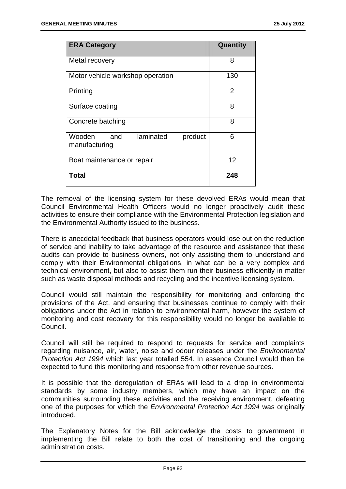| <b>ERA Category</b>                                    | Quantity       |
|--------------------------------------------------------|----------------|
| Metal recovery                                         | 8              |
| Motor vehicle workshop operation                       | 130            |
| Printing                                               | $\overline{2}$ |
| Surface coating                                        | 8              |
| Concrete batching                                      | 8              |
| laminated<br>Wooden<br>and<br>product<br>manufacturing | 6              |
| Boat maintenance or repair                             | 12             |
| <b>Total</b>                                           | 248            |

The removal of the licensing system for these devolved ERAs would mean that Council Environmental Health Officers would no longer proactively audit these activities to ensure their compliance with the Environmental Protection legislation and the Environmental Authority issued to the business.

There is anecdotal feedback that business operators would lose out on the reduction of service and inability to take advantage of the resource and assistance that these audits can provide to business owners, not only assisting them to understand and comply with their Environmental obligations, in what can be a very complex and technical environment, but also to assist them run their business efficiently in matter such as waste disposal methods and recycling and the incentive licensing system.

Council would still maintain the responsibility for monitoring and enforcing the provisions of the Act, and ensuring that businesses continue to comply with their obligations under the Act in relation to environmental harm, however the system of monitoring and cost recovery for this responsibility would no longer be available to Council.

Council will still be required to respond to requests for service and complaints regarding nuisance, air, water, noise and odour releases under the *Environmental Protection Act 1994* which last year totalled 554. In essence Council would then be expected to fund this monitoring and response from other revenue sources.

It is possible that the deregulation of ERAs will lead to a drop in environmental standards by some industry members, which may have an impact on the communities surrounding these activities and the receiving environment, defeating one of the purposes for which the *Environmental Protection Act 1994* was originally introduced.

The Explanatory Notes for the Bill acknowledge the costs to government in implementing the Bill relate to both the cost of transitioning and the ongoing administration costs.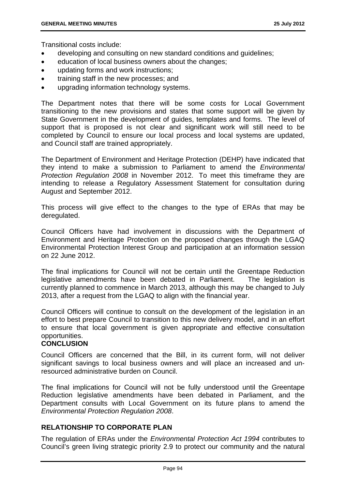Transitional costs include:

- developing and consulting on new standard conditions and guidelines;
- education of local business owners about the changes;
- updating forms and work instructions;
- training staff in the new processes; and
- upgrading information technology systems.

The Department notes that there will be some costs for Local Government transitioning to the new provisions and states that some support will be given by State Government in the development of guides, templates and forms. The level of support that is proposed is not clear and significant work will still need to be completed by Council to ensure our local process and local systems are updated, and Council staff are trained appropriately.

The Department of Environment and Heritage Protection (DEHP) have indicated that they intend to make a submission to Parliament to amend the *Environmental Protection Regulation 2008* in November 2012. To meet this timeframe they are intending to release a Regulatory Assessment Statement for consultation during August and September 2012.

This process will give effect to the changes to the type of ERAs that may be deregulated.

Council Officers have had involvement in discussions with the Department of Environment and Heritage Protection on the proposed changes through the LGAQ Environmental Protection Interest Group and participation at an information session on 22 June 2012.

The final implications for Council will not be certain until the Greentape Reduction legislative amendments have been debated in Parliament. The legislation is currently planned to commence in March 2013, although this may be changed to July 2013, after a request from the LGAQ to align with the financial year.

Council Officers will continue to consult on the development of the legislation in an effort to best prepare Council to transition to this new delivery model, and in an effort to ensure that local government is given appropriate and effective consultation opportunities.

### **CONCLUSION**

Council Officers are concerned that the Bill, in its current form, will not deliver significant savings to local business owners and will place an increased and unresourced administrative burden on Council.

The final implications for Council will not be fully understood until the Greentape Reduction legislative amendments have been debated in Parliament, and the Department consults with Local Government on its future plans to amend the *Environmental Protection Regulation 2008*.

# **RELATIONSHIP TO CORPORATE PLAN**

The regulation of ERAs under the *Environmental Protection Act 1994* contributes to Council's green living strategic priority 2.9 to protect our community and the natural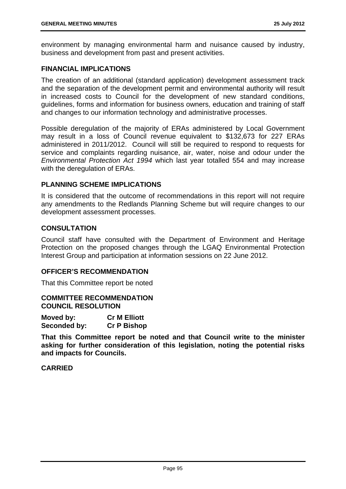environment by managing environmental harm and nuisance caused by industry, business and development from past and present activities.

# **FINANCIAL IMPLICATIONS**

The creation of an additional (standard application) development assessment track and the separation of the development permit and environmental authority will result in increased costs to Council for the development of new standard conditions, guidelines, forms and information for business owners, education and training of staff and changes to our information technology and administrative processes.

Possible deregulation of the majority of ERAs administered by Local Government may result in a loss of Council revenue equivalent to \$132,673 for 227 ERAs administered in 2011/2012. Council will still be required to respond to requests for service and complaints regarding nuisance, air, water, noise and odour under the *Environmental Protection Act 1994* which last year totalled 554 and may increase with the deregulation of ERAs.

# **PLANNING SCHEME IMPLICATIONS**

It is considered that the outcome of recommendations in this report will not require any amendments to the Redlands Planning Scheme but will require changes to our development assessment processes.

# **CONSULTATION**

Council staff have consulted with the Department of Environment and Heritage Protection on the proposed changes through the LGAQ Environmental Protection Interest Group and participation at information sessions on 22 June 2012.

### **OFFICER'S RECOMMENDATION**

That this Committee report be noted

**COMMITTEE RECOMMENDATION COUNCIL RESOLUTION** 

| Moved by:    | <b>Cr M Elliott</b> |
|--------------|---------------------|
| Seconded by: | <b>Cr P Bishop</b>  |

**That this Committee report be noted and that Council write to the minister asking for further consideration of this legislation, noting the potential risks and impacts for Councils.**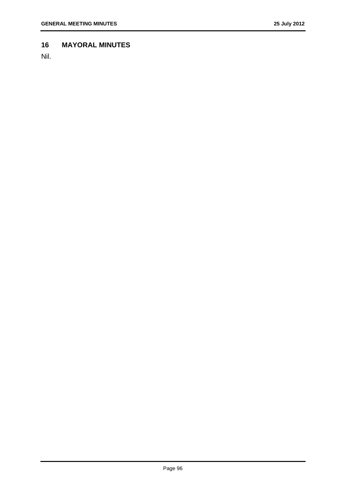### **16 MAYORAL MINUTES**

Nil.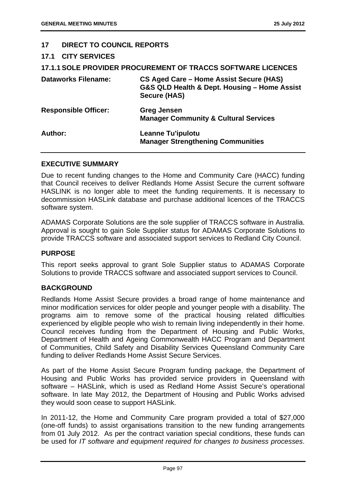### **17 DIRECT TO COUNCIL REPORTS**

### **17.1 CITY SERVICES**

|                             | <b>17.1.1 SOLE PROVIDER PROCUREMENT OF TRACCS SOFTWARE LICENCES</b>                                            |
|-----------------------------|----------------------------------------------------------------------------------------------------------------|
| <b>Dataworks Filename:</b>  | CS Aged Care – Home Assist Secure (HAS)<br>G&S QLD Health & Dept. Housing - Home Assist<br><b>Secure (HAS)</b> |
| <b>Responsible Officer:</b> | <b>Greg Jensen</b><br><b>Manager Community &amp; Cultural Services</b>                                         |
| Author:                     | <b>Leanne Tu'ipulotu</b><br><b>Manager Strengthening Communities</b>                                           |

### **EXECUTIVE SUMMARY**

Due to recent funding changes to the Home and Community Care (HACC) funding that Council receives to deliver Redlands Home Assist Secure the current software HASLINK is no longer able to meet the funding requirements. It is necessary to decommission HASLink database and purchase additional licences of the TRACCS software system.

ADAMAS Corporate Solutions are the sole supplier of TRACCS software in Australia. Approval is sought to gain Sole Supplier status for ADAMAS Corporate Solutions to provide TRACCS software and associated support services to Redland City Council.

### **PURPOSE**

This report seeks approval to grant Sole Supplier status to ADAMAS Corporate Solutions to provide TRACCS software and associated support services to Council.

# **BACKGROUND**

Redlands Home Assist Secure provides a broad range of home maintenance and minor modification services for older people and younger people with a disability. The programs aim to remove some of the practical housing related difficulties experienced by eligible people who wish to remain living independently in their home. Council receives funding from the Department of Housing and Public Works, Department of Health and Ageing Commonwealth HACC Program and Department of Communities, Child Safety and Disability Services Queensland Community Care funding to deliver Redlands Home Assist Secure Services.

As part of the Home Assist Secure Program funding package, the Department of Housing and Public Works has provided service providers in Queensland with software – HASLink, which is used as Redland Home Assist Secure's operational software. In late May 2012, the Department of Housing and Public Works advised they would soon cease to support HASLink.

In 2011-12, the Home and Community Care program provided a total of \$27,000 (one-off funds) to assist organisations transition to the new funding arrangements from 01 July 2012. As per the contract variation special conditions, these funds can be used for *IT software and equipment required for changes to business processes*.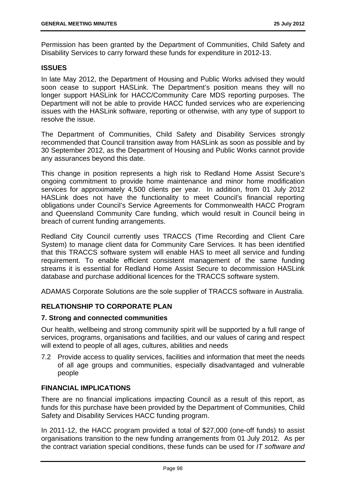Permission has been granted by the Department of Communities, Child Safety and Disability Services to carry forward these funds for expenditure in 2012-13.

### **ISSUES**

In late May 2012, the Department of Housing and Public Works advised they would soon cease to support HASLink. The Department's position means they will no longer support HASLink for HACC/Community Care MDS reporting purposes. The Department will not be able to provide HACC funded services who are experiencing issues with the HASLink software, reporting or otherwise, with any type of support to resolve the issue.

The Department of Communities, Child Safety and Disability Services strongly recommended that Council transition away from HASLink as soon as possible and by 30 September 2012, as the Department of Housing and Public Works cannot provide any assurances beyond this date.

This change in position represents a high risk to Redland Home Assist Secure's ongoing commitment to provide home maintenance and minor home modification services for approximately 4,500 clients per year. In addition, from 01 July 2012 HASLink does not have the functionality to meet Council's financial reporting obligations under Council's Service Agreements for Commonwealth HACC Program and Queensland Community Care funding, which would result in Council being in breach of current funding arrangements.

Redland City Council currently uses TRACCS (Time Recording and Client Care System) to manage client data for Community Care Services. It has been identified that this TRACCS software system will enable HAS to meet all service and funding requirement. To enable efficient consistent management of the same funding streams it is essential for Redland Home Assist Secure to decommission HASLink database and purchase additional licences for the TRACCS software system.

ADAMAS Corporate Solutions are the sole supplier of TRACCS software in Australia.

# **RELATIONSHIP TO CORPORATE PLAN**

### **7. Strong and connected communities**

Our health, wellbeing and strong community spirit will be supported by a full range of services, programs, organisations and facilities, and our values of caring and respect will extend to people of all ages, cultures, abilities and needs

7.2 Provide access to quality services, facilities and information that meet the needs of all age groups and communities, especially disadvantaged and vulnerable people

# **FINANCIAL IMPLICATIONS**

There are no financial implications impacting Council as a result of this report, as funds for this purchase have been provided by the Department of Communities, Child Safety and Disability Services HACC funding program.

In 2011-12, the HACC program provided a total of \$27,000 (one-off funds) to assist organisations transition to the new funding arrangements from 01 July 2012. As per the contract variation special conditions, these funds can be used for *IT software and*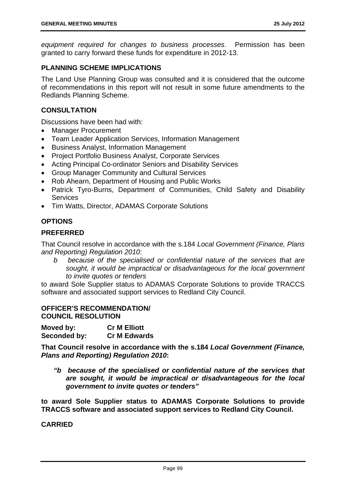*equipment required for changes to business processes*. Permission has been granted to carry forward these funds for expenditure in 2012-13.

### **PLANNING SCHEME IMPLICATIONS**

The Land Use Planning Group was consulted and it is considered that the outcome of recommendations in this report will not result in some future amendments to the Redlands Planning Scheme.

### **CONSULTATION**

Discussions have been had with:

- Manager Procurement
- Team Leader Application Services, Information Management
- Business Analyst, Information Management
- Project Portfolio Business Analyst, Corporate Services
- Acting Principal Co-ordinator Seniors and Disability Services
- Group Manager Community and Cultural Services
- Rob Ahearn, Department of Housing and Public Works
- Patrick Tyro-Burns, Department of Communities, Child Safety and Disability **Services**
- Tim Watts, Director, ADAMAS Corporate Solutions

# **OPTIONS**

# **PREFERRED**

That Council resolve in accordance with the s.184 *Local Government (Finance, Plans and Reporting) Regulation 2010*:

*b because of the specialised or confidential nature of the services that are sought, it would be impractical or disadvantageous for the local government to invite quotes or tenders* 

to award Sole Supplier status to ADAMAS Corporate Solutions to provide TRACCS software and associated support services to Redland City Council.

### **OFFICER'S RECOMMENDATION/ COUNCIL RESOLUTION**

| Moved by:    | <b>Cr M Elliott</b> |
|--------------|---------------------|
| Seconded by: | <b>Cr M Edwards</b> |

**That Council resolve in accordance with the s.184** *Local Government (Finance, Plans and Reporting) Regulation 2010***:** 

*"b because of the specialised or confidential nature of the services that are sought, it would be impractical or disadvantageous for the local government to invite quotes or tenders"* 

**to award Sole Supplier status to ADAMAS Corporate Solutions to provide TRACCS software and associated support services to Redland City Council.**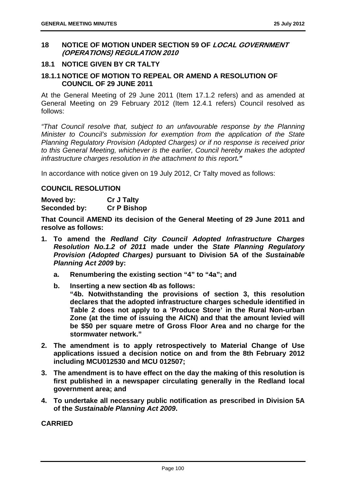### **18 NOTICE OF MOTION UNDER SECTION 59 OF LOCAL GOVERNMENT (OPERATIONS) REGULATION 2010**

# **18.1 NOTICE GIVEN BY CR TALTY**

# **18.1.1 NOTICE OF MOTION TO REPEAL OR AMEND A RESOLUTION OF COUNCIL OF 29 JUNE 2011**

At the General Meeting of 29 June 2011 (Item 17.1.2 refers) and as amended at General Meeting on 29 February 2012 (Item 12.4.1 refers) Council resolved as follows:

*"That Council resolve that, subject to an unfavourable response by the Planning Minister to Council's submission for exemption from the application of the State Planning Regulatory Provision (Adopted Charges) or if no response is received prior to this General Meeting, whichever is the earlier, Council hereby makes the adopted infrastructure charges resolution in the attachment to this report."* 

In accordance with notice given on 19 July 2012, Cr Talty moved as follows:

# **COUNCIL RESOLUTION**

**Moved by: Cr J Talty Seconded by: Cr P Bishop** 

**That Council AMEND its decision of the General Meeting of 29 June 2011 and resolve as follows:** 

- **1. To amend the** *Redland City Council Adopted Infrastructure Charges Resolution No.1.2 of 2011* **made under the** *State Planning Regulatory Provision (Adopted Charges)* **pursuant to Division 5A of the** *Sustainable Planning Act 2009* **by:** 
	- **a. Renumbering the existing section "4" to "4a"; and**
	- **b. Inserting a new section 4b as follows:**

**"4b. Notwithstanding the provisions of section 3, this resolution declares that the adopted infrastructure charges schedule identified in Table 2 does not apply to a 'Produce Store' in the Rural Non-urban Zone (at the time of issuing the AICN) and that the amount levied will be \$50 per square metre of Gross Floor Area and no charge for the stormwater network."** 

- **2. The amendment is to apply retrospectively to Material Change of Use applications issued a decision notice on and from the 8th February 2012 including MCU012530 and MCU 012507;**
- **3. The amendment is to have effect on the day the making of this resolution is first published in a newspaper circulating generally in the Redland local government area; and**
- **4. To undertake all necessary public notification as prescribed in Division 5A of the** *Sustainable Planning Act 2009***.**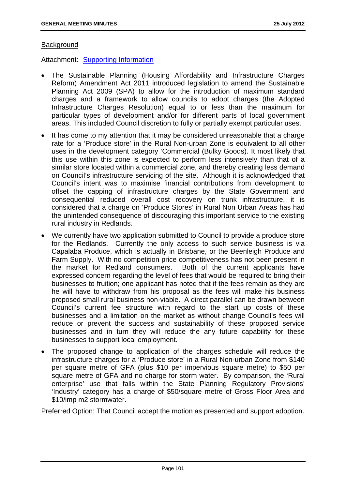### **Background**

Attachment: Supporting Information

- The Sustainable Planning (Housing Affordability and Infrastructure Charges Reform) Amendment Act 2011 introduced legislation to amend the Sustainable Planning Act 2009 (SPA) to allow for the introduction of maximum standard charges and a framework to allow councils to adopt charges (the Adopted Infrastructure Charges Resolution) equal to or less than the maximum for particular types of development and/or for different parts of local government areas. This included Council discretion to fully or partially exempt particular uses.
- It has come to my attention that it may be considered unreasonable that a charge rate for a 'Produce store' in the Rural Non-urban Zone is equivalent to all other uses in the development category 'Commercial (Bulky Goods). It most likely that this use within this zone is expected to perform less intensively than that of a similar store located within a commercial zone, and thereby creating less demand on Council's infrastructure servicing of the site. Although it is acknowledged that Council's intent was to maximise financial contributions from development to offset the capping of infrastructure charges by the State Government and consequential reduced overall cost recovery on trunk infrastructure, it is considered that a charge on 'Produce Stores' in Rural Non Urban Areas has had the unintended consequence of discouraging this important service to the existing rural industry in Redlands.
- We currently have two application submitted to Council to provide a produce store for the Redlands. Currently the only access to such service business is via Capalaba Produce, which is actually in Brisbane, or the Beenleigh Produce and Farm Supply. With no competition price competitiveness has not been present in the market for Redland consumers. Both of the current applicants have expressed concern regarding the level of fees that would be required to bring their businesses to fruition; one applicant has noted that if the fees remain as they are he will have to withdraw from his proposal as the fees will make his business proposed small rural business non-viable. A direct parallel can be drawn between Council's current fee structure with regard to the start up costs of these businesses and a limitation on the market as without change Council's fees will reduce or prevent the success and sustainability of these proposed service businesses and in turn they will reduce the any future capability for these businesses to support local employment.
- The proposed change to application of the charges schedule will reduce the infrastructure charges for a 'Produce store' in a Rural Non-urban Zone from \$140 per square metre of GFA (plus \$10 per impervious square metre) to \$50 per square metre of GFA and no charge for storm water. By comparison, the 'Rural enterprise' use that falls within the State Planning Regulatory Provisions' 'Industry' category has a charge of \$50/square metre of Gross Floor Area and \$10/imp m2 stormwater.

Preferred Option: That Council accept the motion as presented and support adoption.